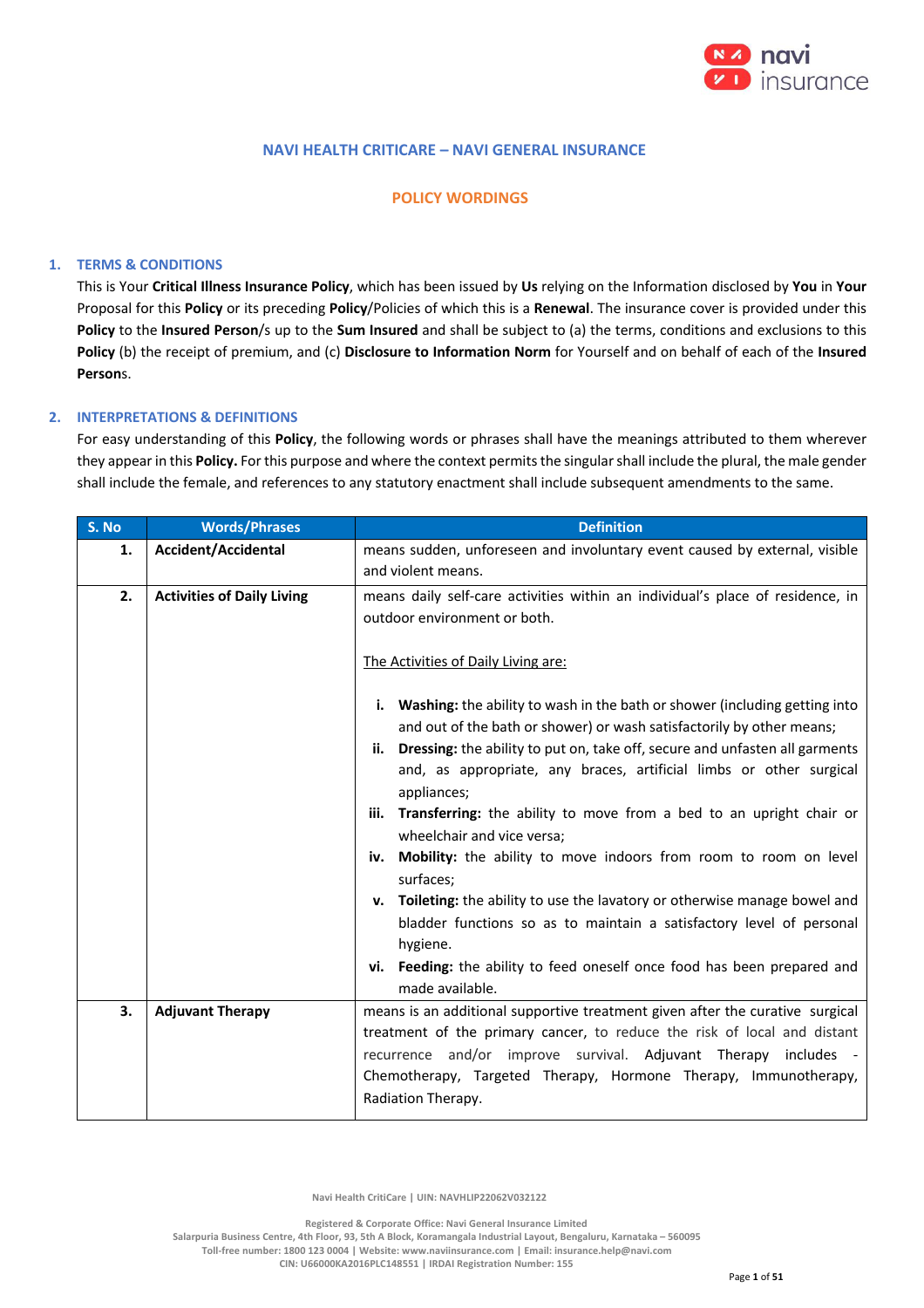

## **NAVI HEALTH CRITICARE – NAVI GENERAL INSURANCE**

## **POLICY WORDINGS**

## **1. TERMS & CONDITIONS**

This is Your **Critical Illness Insurance Policy**, which has been issued by **Us** relying on the Information disclosed by **You** in **Your** Proposal for this **Policy** or its preceding **Policy**/Policies of which this is a **Renewal**. The insurance cover is provided under this **Policy** to the **Insured Person**/s up to the **Sum Insured** and shall be subject to (a) the terms, conditions and exclusions to this **Policy** (b) the receipt of premium, and (c) **Disclosure to Information Norm** for Yourself and on behalf of each of the **Insured Person**s.

## **2. INTERPRETATIONS & DEFINITIONS**

For easy understanding of this **Policy**, the following words or phrases shall have the meanings attributed to them wherever they appear in this **Policy.** For this purpose and where the context permits the singular shall include the plural, the male gender shall include the female, and references to any statutory enactment shall include subsequent amendments to the same.

| S. No | <b>Words/Phrases</b>              | <b>Definition</b>                                                                                                                                                                                                                                                                                                                                                                                                                                                                                                                                                                                                                                                                                                        |  |
|-------|-----------------------------------|--------------------------------------------------------------------------------------------------------------------------------------------------------------------------------------------------------------------------------------------------------------------------------------------------------------------------------------------------------------------------------------------------------------------------------------------------------------------------------------------------------------------------------------------------------------------------------------------------------------------------------------------------------------------------------------------------------------------------|--|
| 1.    | Accident/Accidental               | means sudden, unforeseen and involuntary event caused by external, visible<br>and violent means.                                                                                                                                                                                                                                                                                                                                                                                                                                                                                                                                                                                                                         |  |
| 2.    | <b>Activities of Daily Living</b> | means daily self-care activities within an individual's place of residence, in<br>outdoor environment or both.<br>The Activities of Daily Living are:<br>Washing: the ability to wash in the bath or shower (including getting into<br>i.                                                                                                                                                                                                                                                                                                                                                                                                                                                                                |  |
|       |                                   | and out of the bath or shower) or wash satisfactorily by other means;<br>Dressing: the ability to put on, take off, secure and unfasten all garments<br>ii.<br>and, as appropriate, any braces, artificial limbs or other surgical<br>appliances;<br>Transferring: the ability to move from a bed to an upright chair or<br>iii.<br>wheelchair and vice versa;<br>Mobility: the ability to move indoors from room to room on level<br>iv.<br>surfaces;<br>v. Toileting: the ability to use the lavatory or otherwise manage bowel and<br>bladder functions so as to maintain a satisfactory level of personal<br>hygiene.<br>vi. Feeding: the ability to feed oneself once food has been prepared and<br>made available. |  |
| 3.    | <b>Adjuvant Therapy</b>           | means is an additional supportive treatment given after the curative surgical<br>treatment of the primary cancer, to reduce the risk of local and distant<br>recurrence and/or improve survival. Adjuvant Therapy includes -<br>Chemotherapy, Targeted Therapy, Hormone Therapy, Immunotherapy,<br>Radiation Therapy.                                                                                                                                                                                                                                                                                                                                                                                                    |  |

 **Navi Health CritiCare | UIN: NAVHLIP22062V032122**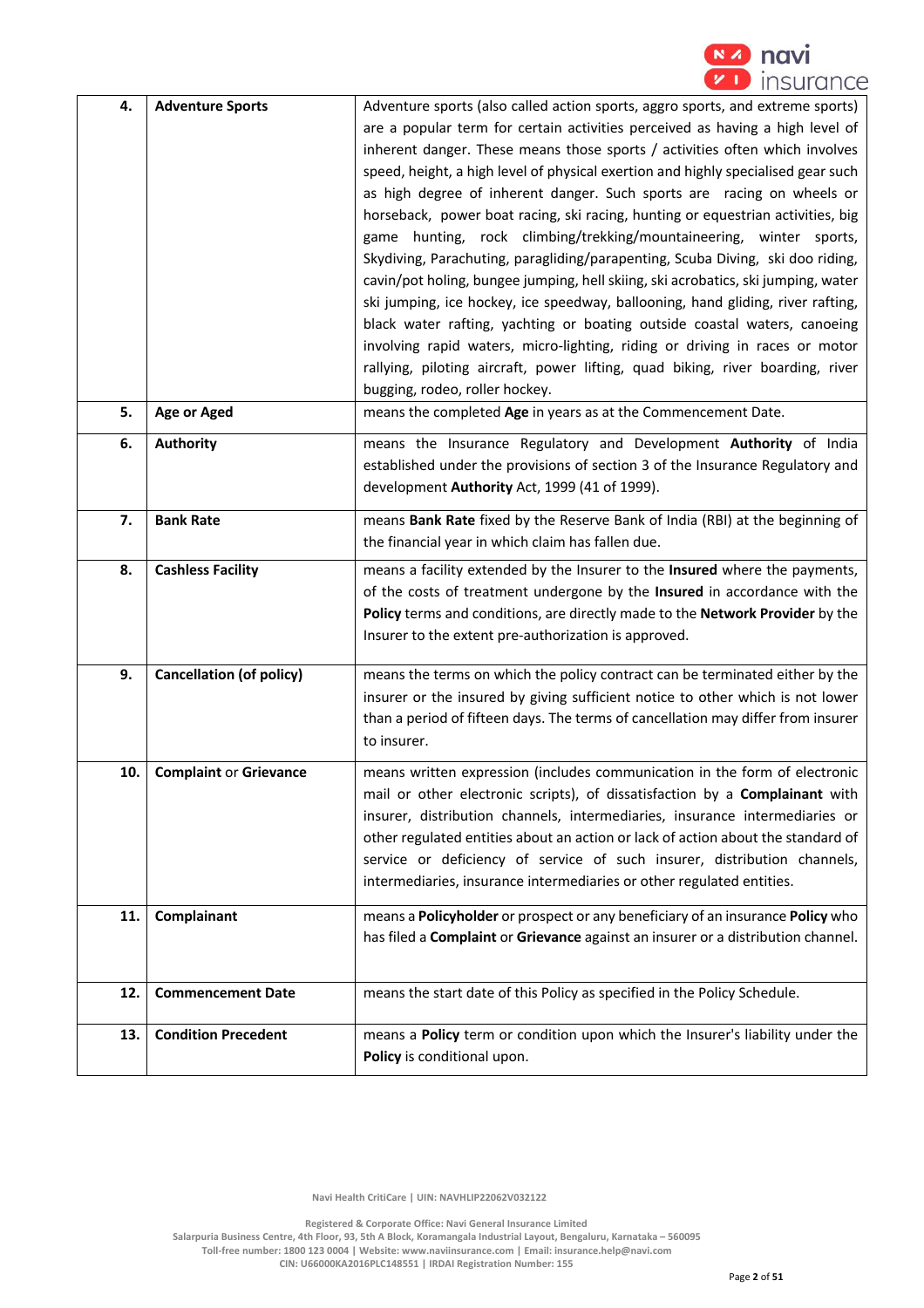

| 4.  | <b>Adventure Sports</b>         | Adventure sports (also called action sports, aggro sports, and extreme sports)          |
|-----|---------------------------------|-----------------------------------------------------------------------------------------|
|     |                                 | are a popular term for certain activities perceived as having a high level of           |
|     |                                 | inherent danger. These means those sports / activities often which involves             |
|     |                                 |                                                                                         |
|     |                                 | speed, height, a high level of physical exertion and highly specialised gear such       |
|     |                                 | as high degree of inherent danger. Such sports are racing on wheels or                  |
|     |                                 | horseback, power boat racing, ski racing, hunting or equestrian activities, big         |
|     |                                 | game hunting, rock climbing/trekking/mountaineering, winter sports,                     |
|     |                                 | Skydiving, Parachuting, paragliding/parapenting, Scuba Diving, ski doo riding,          |
|     |                                 | cavin/pot holing, bungee jumping, hell skiing, ski acrobatics, ski jumping, water       |
|     |                                 | ski jumping, ice hockey, ice speedway, ballooning, hand gliding, river rafting,         |
|     |                                 | black water rafting, yachting or boating outside coastal waters, canoeing               |
|     |                                 | involving rapid waters, micro-lighting, riding or driving in races or motor             |
|     |                                 | rallying, piloting aircraft, power lifting, quad biking, river boarding, river          |
|     |                                 |                                                                                         |
|     |                                 | bugging, rodeo, roller hockey.                                                          |
| 5.  | <b>Age or Aged</b>              | means the completed Age in years as at the Commencement Date.                           |
| 6.  | <b>Authority</b>                | means the Insurance Regulatory and Development Authority of India                       |
|     |                                 | established under the provisions of section 3 of the Insurance Regulatory and           |
|     |                                 | development Authority Act, 1999 (41 of 1999).                                           |
|     |                                 |                                                                                         |
| 7.  | <b>Bank Rate</b>                | means Bank Rate fixed by the Reserve Bank of India (RBI) at the beginning of            |
|     |                                 | the financial year in which claim has fallen due.                                       |
| 8.  | <b>Cashless Facility</b>        | means a facility extended by the Insurer to the Insured where the payments,             |
|     |                                 | of the costs of treatment undergone by the Insured in accordance with the               |
|     |                                 | Policy terms and conditions, are directly made to the Network Provider by the           |
|     |                                 | Insurer to the extent pre-authorization is approved.                                    |
|     |                                 |                                                                                         |
| 9.  | <b>Cancellation (of policy)</b> | means the terms on which the policy contract can be terminated either by the            |
|     |                                 | insurer or the insured by giving sufficient notice to other which is not lower          |
|     |                                 | than a period of fifteen days. The terms of cancellation may differ from insurer        |
|     |                                 | to insurer.                                                                             |
| 10. | <b>Complaint or Grievance</b>   | means written expression (includes communication in the form of electronic              |
|     |                                 | mail or other electronic scripts), of dissatisfaction by a Complainant with             |
|     |                                 | insurer, distribution channels, intermediaries, insurance intermediaries or             |
|     |                                 |                                                                                         |
|     |                                 | other regulated entities about an action or lack of action about the standard of        |
|     |                                 | service or deficiency of service of such insurer, distribution channels,                |
|     |                                 | intermediaries, insurance intermediaries or other regulated entities.                   |
| 11. | Complainant                     | means a Policyholder or prospect or any beneficiary of an insurance Policy who          |
|     |                                 | has filed a <b>Complaint</b> or Grievance against an insurer or a distribution channel. |
|     |                                 |                                                                                         |
|     |                                 |                                                                                         |
| 12. | <b>Commencement Date</b>        | means the start date of this Policy as specified in the Policy Schedule.                |
|     |                                 |                                                                                         |
| 13. | <b>Condition Precedent</b>      | means a Policy term or condition upon which the Insurer's liability under the           |
|     |                                 | Policy is conditional upon.                                                             |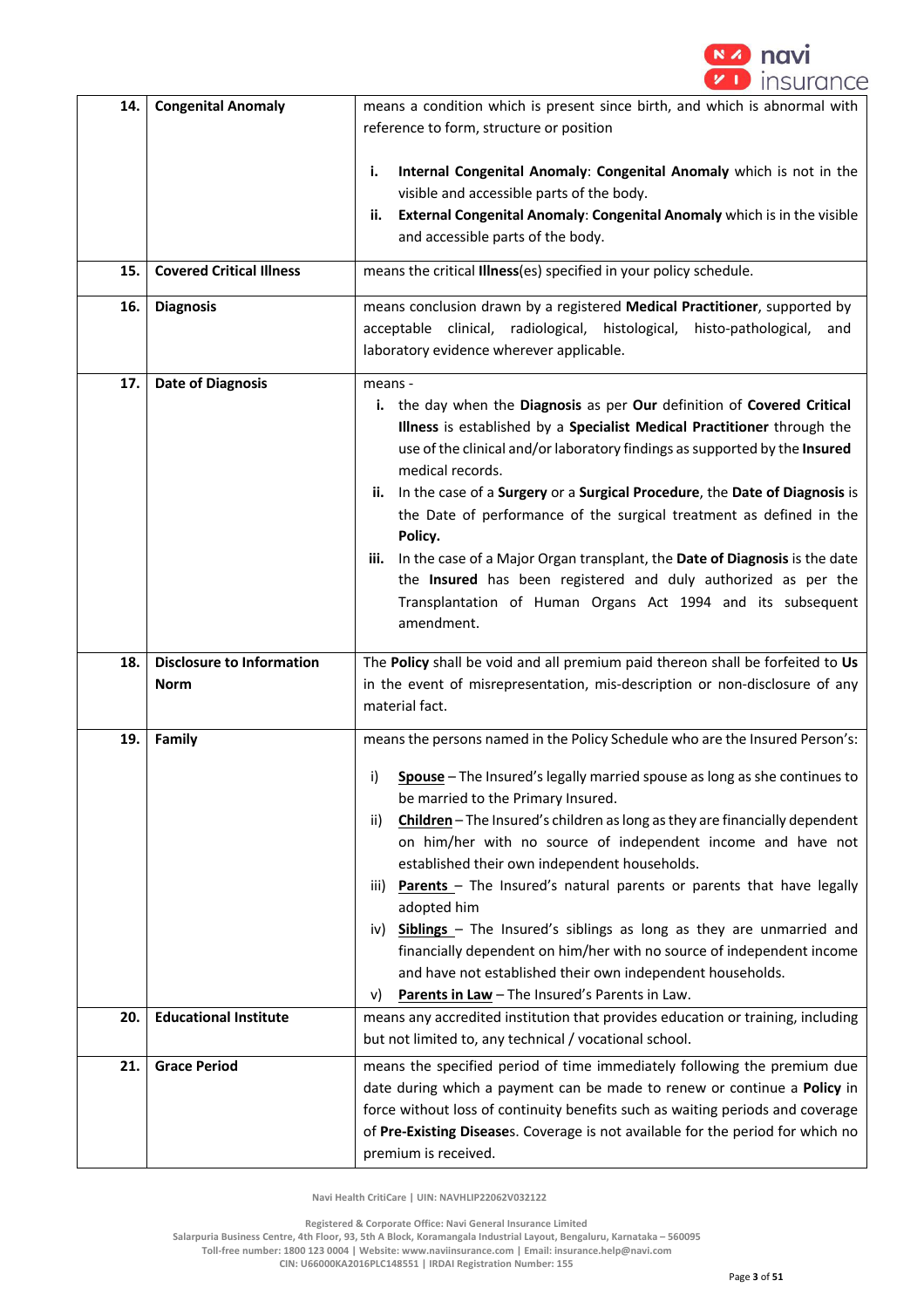

| 14. | <b>Congenital Anomaly</b>                | means a condition which is present since birth, and which is abnormal with<br>reference to form, structure or position                                                                                                                                                                                                                                                                                                                                                                                                                                                                                                                                                                                                                                                                   |  |
|-----|------------------------------------------|------------------------------------------------------------------------------------------------------------------------------------------------------------------------------------------------------------------------------------------------------------------------------------------------------------------------------------------------------------------------------------------------------------------------------------------------------------------------------------------------------------------------------------------------------------------------------------------------------------------------------------------------------------------------------------------------------------------------------------------------------------------------------------------|--|
|     |                                          | Internal Congenital Anomaly: Congenital Anomaly which is not in the<br>i.<br>visible and accessible parts of the body.<br>External Congenital Anomaly: Congenital Anomaly which is in the visible<br>ii.<br>and accessible parts of the body.                                                                                                                                                                                                                                                                                                                                                                                                                                                                                                                                            |  |
| 15. | <b>Covered Critical Illness</b>          | means the critical Illness(es) specified in your policy schedule.                                                                                                                                                                                                                                                                                                                                                                                                                                                                                                                                                                                                                                                                                                                        |  |
| 16. | <b>Diagnosis</b>                         | means conclusion drawn by a registered Medical Practitioner, supported by<br>acceptable clinical, radiological, histological, histo-pathological,<br>and<br>laboratory evidence wherever applicable.                                                                                                                                                                                                                                                                                                                                                                                                                                                                                                                                                                                     |  |
| 17. | <b>Date of Diagnosis</b>                 | means -<br>i. the day when the Diagnosis as per Our definition of Covered Critical<br>Illness is established by a Specialist Medical Practitioner through the<br>use of the clinical and/or laboratory findings as supported by the Insured<br>medical records.<br>In the case of a Surgery or a Surgical Procedure, the Date of Diagnosis is<br>ii.<br>the Date of performance of the surgical treatment as defined in the<br>Policy.<br>In the case of a Major Organ transplant, the Date of Diagnosis is the date<br>iii.<br>the Insured has been registered and duly authorized as per the<br>Transplantation of Human Organs Act 1994 and its subsequent<br>amendment.                                                                                                              |  |
| 18. | <b>Disclosure to Information</b><br>Norm | The Policy shall be void and all premium paid thereon shall be forfeited to Us<br>in the event of misrepresentation, mis-description or non-disclosure of any<br>material fact.                                                                                                                                                                                                                                                                                                                                                                                                                                                                                                                                                                                                          |  |
| 19. | Family                                   | means the persons named in the Policy Schedule who are the Insured Person's:<br>Spouse - The Insured's legally married spouse as long as she continues to<br>i)<br>be married to the Primary Insured.<br>Children - The Insured's children as long as they are financially dependent<br>ii)<br>on him/her with no source of independent income and have not<br>established their own independent households.<br>Parents - The Insured's natural parents or parents that have legally<br>iii)<br>adopted him<br>Siblings - The Insured's siblings as long as they are unmarried and<br>IV)<br>financially dependent on him/her with no source of independent income<br>and have not established their own independent households.<br>Parents in Law - The Insured's Parents in Law.<br>V) |  |
| 20. | <b>Educational Institute</b>             | means any accredited institution that provides education or training, including<br>but not limited to, any technical / vocational school.                                                                                                                                                                                                                                                                                                                                                                                                                                                                                                                                                                                                                                                |  |
| 21. | <b>Grace Period</b>                      | means the specified period of time immediately following the premium due<br>date during which a payment can be made to renew or continue a Policy in<br>force without loss of continuity benefits such as waiting periods and coverage<br>of Pre-Existing Diseases. Coverage is not available for the period for which no<br>premium is received.                                                                                                                                                                                                                                                                                                                                                                                                                                        |  |

 **Registered & Corporate Office: Navi General Insurance Limited**

**Salarpuria Business Centre, 4th Floor, 93, 5th A Block, Koramangala Industrial Layout, Bengaluru, Karnataka – 560095** 

**Toll-free number: 1800 123 0004 | Website: www.naviinsurance.com | Email: insurance.help@navi.com**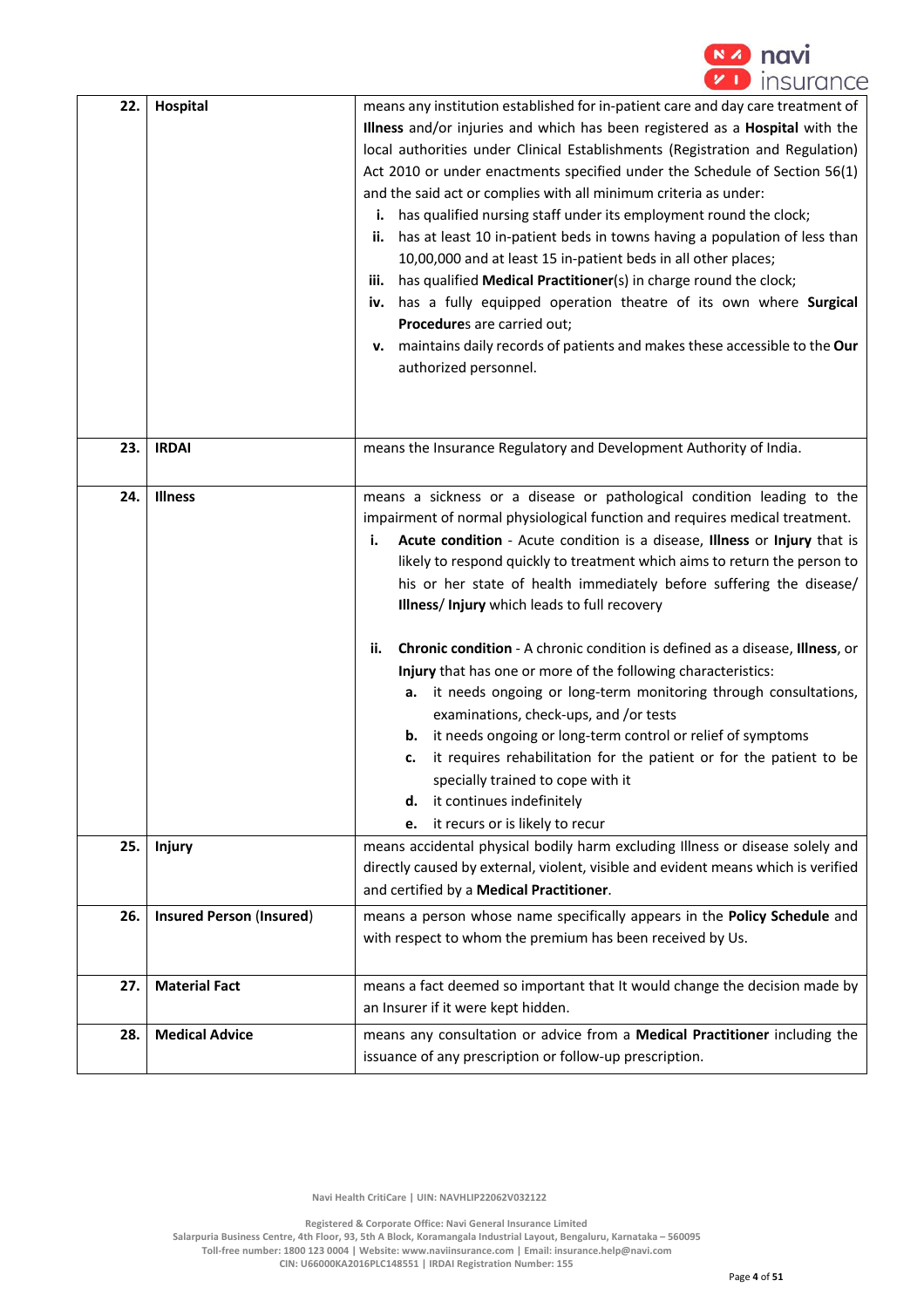

| 22. | Hospital                        | means any institution established for in-patient care and day care treatment of<br>Illness and/or injuries and which has been registered as a Hospital with the<br>local authorities under Clinical Establishments (Registration and Regulation)<br>Act 2010 or under enactments specified under the Schedule of Section 56(1)<br>and the said act or complies with all minimum criteria as under:<br>has qualified nursing staff under its employment round the clock;<br>i.<br>has at least 10 in-patient beds in towns having a population of less than<br>ii.<br>10,00,000 and at least 15 in-patient beds in all other places;<br>has qualified Medical Practitioner(s) in charge round the clock;<br>iii.<br>iv. has a fully equipped operation theatre of its own where Surgical<br>Procedures are carried out;<br>maintains daily records of patients and makes these accessible to the Our<br>v.<br>authorized personnel. |  |
|-----|---------------------------------|------------------------------------------------------------------------------------------------------------------------------------------------------------------------------------------------------------------------------------------------------------------------------------------------------------------------------------------------------------------------------------------------------------------------------------------------------------------------------------------------------------------------------------------------------------------------------------------------------------------------------------------------------------------------------------------------------------------------------------------------------------------------------------------------------------------------------------------------------------------------------------------------------------------------------------|--|
|     |                                 |                                                                                                                                                                                                                                                                                                                                                                                                                                                                                                                                                                                                                                                                                                                                                                                                                                                                                                                                    |  |
| 23. | <b>IRDAI</b>                    | means the Insurance Regulatory and Development Authority of India.                                                                                                                                                                                                                                                                                                                                                                                                                                                                                                                                                                                                                                                                                                                                                                                                                                                                 |  |
| 24. | <b>Illness</b>                  | means a sickness or a disease or pathological condition leading to the<br>impairment of normal physiological function and requires medical treatment.<br>Acute condition - Acute condition is a disease, Illness or Injury that is<br>i.<br>likely to respond quickly to treatment which aims to return the person to<br>his or her state of health immediately before suffering the disease/<br>Illness/Injury which leads to full recovery<br>Chronic condition - A chronic condition is defined as a disease, Illness, or<br>ii.<br>Injury that has one or more of the following characteristics:<br>it needs ongoing or long-term monitoring through consultations,<br>а.                                                                                                                                                                                                                                                      |  |
|     |                                 | examinations, check-ups, and /or tests<br>it needs ongoing or long-term control or relief of symptoms<br>b.<br>it requires rehabilitation for the patient or for the patient to be<br>c.<br>specially trained to cope with it<br>it continues indefinitely<br>d.<br>it recurs or is likely to recur<br>e.                                                                                                                                                                                                                                                                                                                                                                                                                                                                                                                                                                                                                          |  |
| 25. | <b>Injury</b>                   | means accidental physical bodily harm excluding Illness or disease solely and<br>directly caused by external, violent, visible and evident means which is verified<br>and certified by a Medical Practitioner.                                                                                                                                                                                                                                                                                                                                                                                                                                                                                                                                                                                                                                                                                                                     |  |
| 26. | <b>Insured Person (Insured)</b> | means a person whose name specifically appears in the Policy Schedule and<br>with respect to whom the premium has been received by Us.                                                                                                                                                                                                                                                                                                                                                                                                                                                                                                                                                                                                                                                                                                                                                                                             |  |
| 27. | <b>Material Fact</b>            | means a fact deemed so important that It would change the decision made by<br>an Insurer if it were kept hidden.                                                                                                                                                                                                                                                                                                                                                                                                                                                                                                                                                                                                                                                                                                                                                                                                                   |  |
| 28. | <b>Medical Advice</b>           | means any consultation or advice from a Medical Practitioner including the<br>issuance of any prescription or follow-up prescription.                                                                                                                                                                                                                                                                                                                                                                                                                                                                                                                                                                                                                                                                                                                                                                                              |  |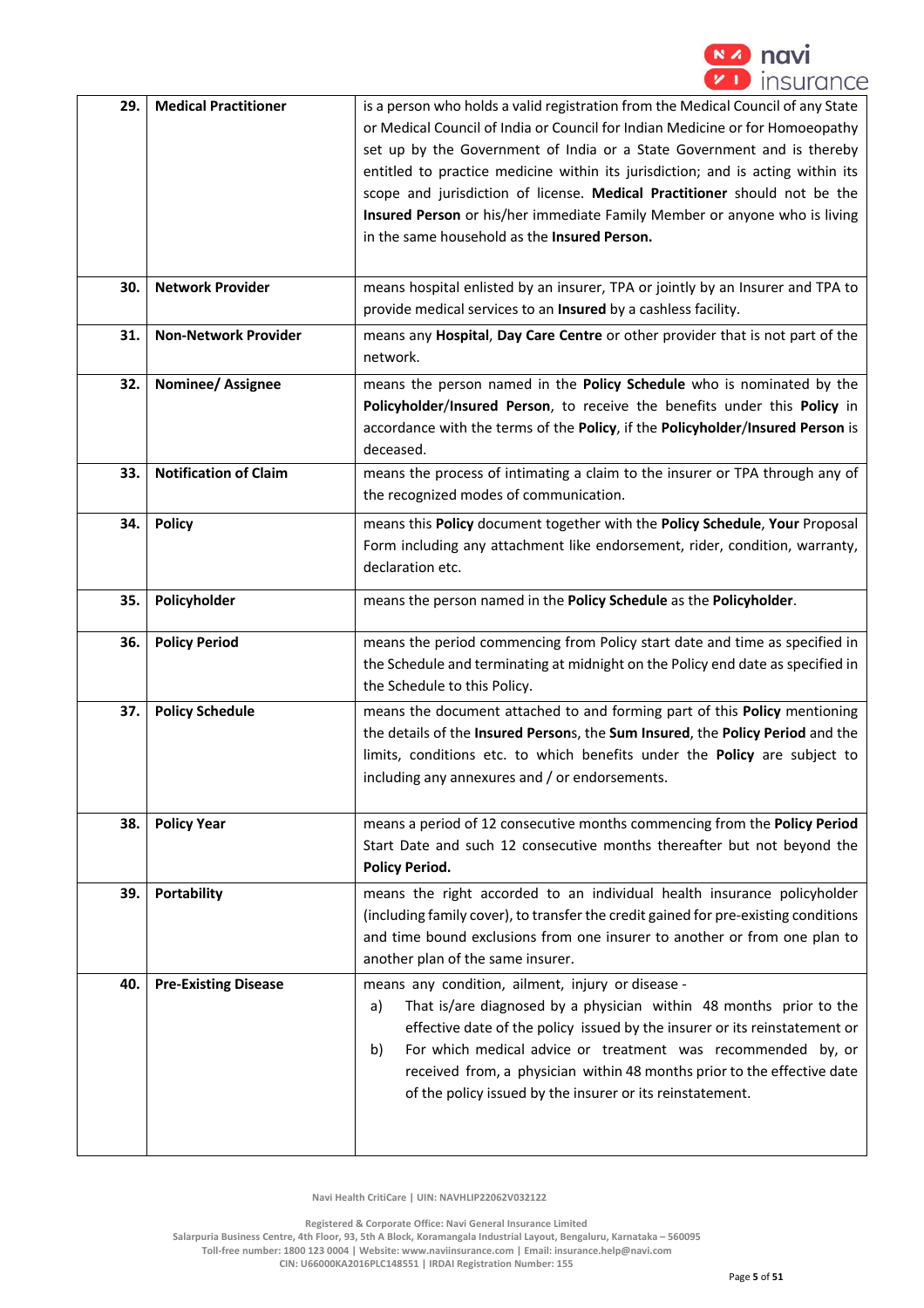

| 29. | <b>Medical Practitioner</b>  | is a person who holds a valid registration from the Medical Council of any State<br>or Medical Council of India or Council for Indian Medicine or for Homoeopathy<br>set up by the Government of India or a State Government and is thereby<br>entitled to practice medicine within its jurisdiction; and is acting within its<br>scope and jurisdiction of license. Medical Practitioner should not be the<br>Insured Person or his/her immediate Family Member or anyone who is living<br>in the same household as the Insured Person. |  |
|-----|------------------------------|------------------------------------------------------------------------------------------------------------------------------------------------------------------------------------------------------------------------------------------------------------------------------------------------------------------------------------------------------------------------------------------------------------------------------------------------------------------------------------------------------------------------------------------|--|
| 30. | <b>Network Provider</b>      | means hospital enlisted by an insurer, TPA or jointly by an Insurer and TPA to<br>provide medical services to an Insured by a cashless facility.                                                                                                                                                                                                                                                                                                                                                                                         |  |
| 31. | <b>Non-Network Provider</b>  | means any Hospital, Day Care Centre or other provider that is not part of the<br>network.                                                                                                                                                                                                                                                                                                                                                                                                                                                |  |
| 32. | Nominee/ Assignee            | means the person named in the Policy Schedule who is nominated by the<br>Policyholder/Insured Person, to receive the benefits under this Policy in<br>accordance with the terms of the Policy, if the Policyholder/Insured Person is<br>deceased.                                                                                                                                                                                                                                                                                        |  |
| 33. | <b>Notification of Claim</b> | means the process of intimating a claim to the insurer or TPA through any of<br>the recognized modes of communication.                                                                                                                                                                                                                                                                                                                                                                                                                   |  |
| 34. | <b>Policy</b>                | means this Policy document together with the Policy Schedule, Your Proposal<br>Form including any attachment like endorsement, rider, condition, warranty,<br>declaration etc.                                                                                                                                                                                                                                                                                                                                                           |  |
| 35. | Policyholder                 | means the person named in the Policy Schedule as the Policyholder.                                                                                                                                                                                                                                                                                                                                                                                                                                                                       |  |
| 36. | <b>Policy Period</b>         | means the period commencing from Policy start date and time as specified in<br>the Schedule and terminating at midnight on the Policy end date as specified in<br>the Schedule to this Policy.                                                                                                                                                                                                                                                                                                                                           |  |
| 37. | <b>Policy Schedule</b>       | means the document attached to and forming part of this Policy mentioning<br>the details of the Insured Persons, the Sum Insured, the Policy Period and the<br>limits, conditions etc. to which benefits under the Policy are subject to<br>including any annexures and / or endorsements.                                                                                                                                                                                                                                               |  |
| 38. | <b>Policy Year</b>           | means a period of 12 consecutive months commencing from the Policy Period<br>Start Date and such 12 consecutive months thereafter but not beyond the<br><b>Policy Period.</b>                                                                                                                                                                                                                                                                                                                                                            |  |
| 39. | <b>Portability</b>           | means the right accorded to an individual health insurance policyholder<br>(including family cover), to transfer the credit gained for pre-existing conditions<br>and time bound exclusions from one insurer to another or from one plan to<br>another plan of the same insurer.                                                                                                                                                                                                                                                         |  |
| 40. | <b>Pre-Existing Disease</b>  | means any condition, ailment, injury or disease -<br>That is/are diagnosed by a physician within 48 months prior to the<br>a)<br>effective date of the policy issued by the insurer or its reinstatement or<br>For which medical advice or treatment was recommended by, or<br>b)<br>received from, a physician within 48 months prior to the effective date<br>of the policy issued by the insurer or its reinstatement.                                                                                                                |  |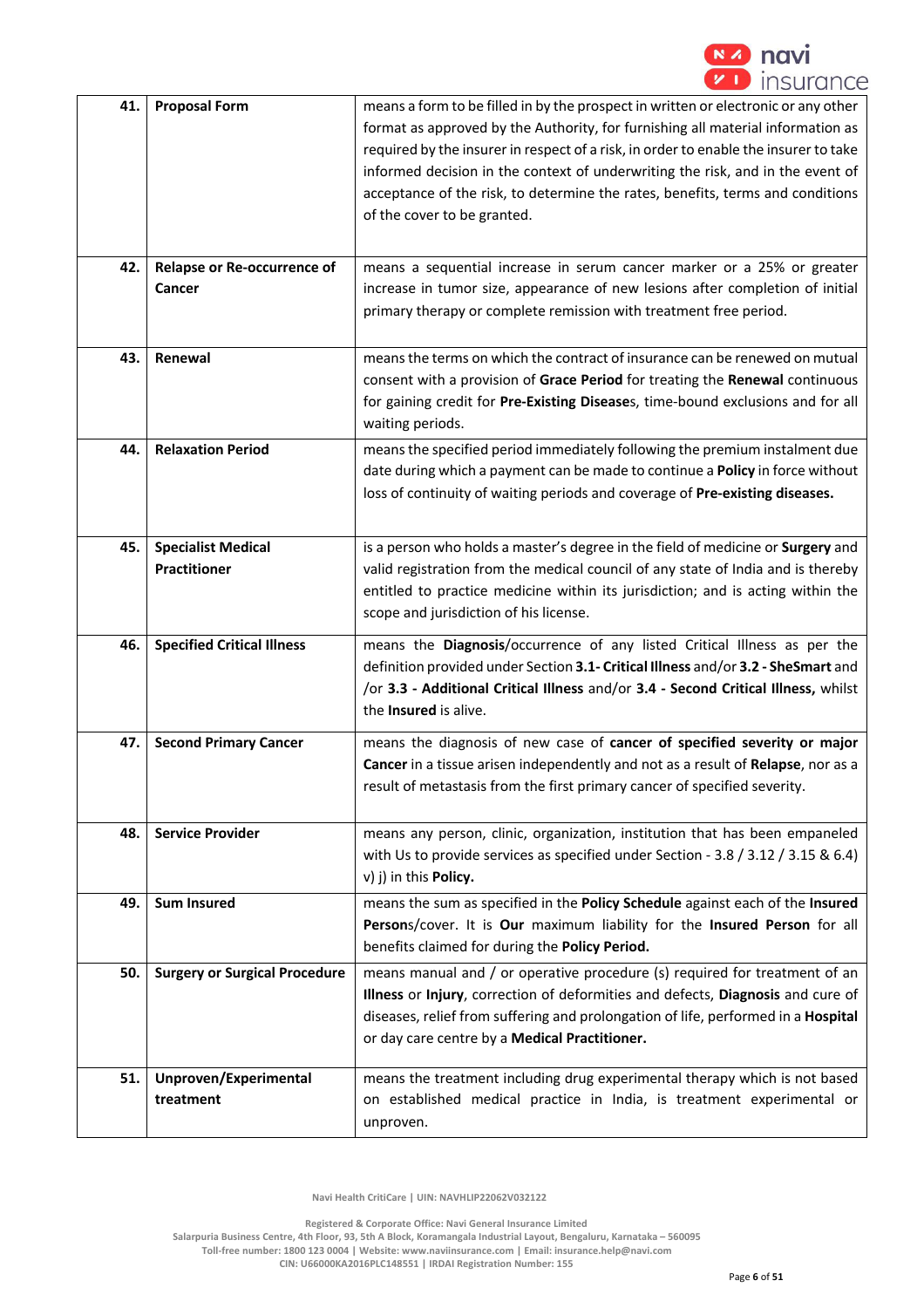

| 41. | <b>Proposal Form</b>                             | means a form to be filled in by the prospect in written or electronic or any other<br>format as approved by the Authority, for furnishing all material information as<br>required by the insurer in respect of a risk, in order to enable the insurer to take<br>informed decision in the context of underwriting the risk, and in the event of<br>acceptance of the risk, to determine the rates, benefits, terms and conditions<br>of the cover to be granted. |  |
|-----|--------------------------------------------------|------------------------------------------------------------------------------------------------------------------------------------------------------------------------------------------------------------------------------------------------------------------------------------------------------------------------------------------------------------------------------------------------------------------------------------------------------------------|--|
| 42. | Relapse or Re-occurrence of<br>Cancer            | means a sequential increase in serum cancer marker or a 25% or greater<br>increase in tumor size, appearance of new lesions after completion of initial<br>primary therapy or complete remission with treatment free period.                                                                                                                                                                                                                                     |  |
| 43. | Renewal                                          | means the terms on which the contract of insurance can be renewed on mutual<br>consent with a provision of Grace Period for treating the Renewal continuous<br>for gaining credit for Pre-Existing Diseases, time-bound exclusions and for all<br>waiting periods.                                                                                                                                                                                               |  |
| 44. | <b>Relaxation Period</b>                         | means the specified period immediately following the premium instalment due<br>date during which a payment can be made to continue a Policy in force without<br>loss of continuity of waiting periods and coverage of Pre-existing diseases.                                                                                                                                                                                                                     |  |
| 45. | <b>Specialist Medical</b><br><b>Practitioner</b> | is a person who holds a master's degree in the field of medicine or Surgery and<br>valid registration from the medical council of any state of India and is thereby<br>entitled to practice medicine within its jurisdiction; and is acting within the<br>scope and jurisdiction of his license.                                                                                                                                                                 |  |
| 46. | <b>Specified Critical Illness</b>                | means the Diagnosis/occurrence of any listed Critical Illness as per the<br>definition provided under Section 3.1- Critical Illness and/or 3.2 - SheSmart and<br>/or 3.3 - Additional Critical Illness and/or 3.4 - Second Critical Illness, whilst<br>the Insured is alive.                                                                                                                                                                                     |  |
| 47. | <b>Second Primary Cancer</b>                     | means the diagnosis of new case of cancer of specified severity or major<br>Cancer in a tissue arisen independently and not as a result of Relapse, nor as a<br>result of metastasis from the first primary cancer of specified severity.                                                                                                                                                                                                                        |  |
| 48. | <b>Service Provider</b>                          | means any person, clinic, organization, institution that has been empaneled<br>with Us to provide services as specified under Section - 3.8 / 3.12 / 3.15 & 6.4)<br>v) j) in this <b>Policy.</b>                                                                                                                                                                                                                                                                 |  |
| 49. | <b>Sum Insured</b>                               | means the sum as specified in the Policy Schedule against each of the Insured<br>Persons/cover. It is Our maximum liability for the Insured Person for all<br>benefits claimed for during the Policy Period.                                                                                                                                                                                                                                                     |  |
| 50. | <b>Surgery or Surgical Procedure</b>             | means manual and / or operative procedure (s) required for treatment of an<br>Illness or Injury, correction of deformities and defects, Diagnosis and cure of<br>diseases, relief from suffering and prolongation of life, performed in a Hospital<br>or day care centre by a Medical Practitioner.                                                                                                                                                              |  |
| 51. | Unproven/Experimental<br>treatment               | means the treatment including drug experimental therapy which is not based<br>on established medical practice in India, is treatment experimental or<br>unproven.                                                                                                                                                                                                                                                                                                |  |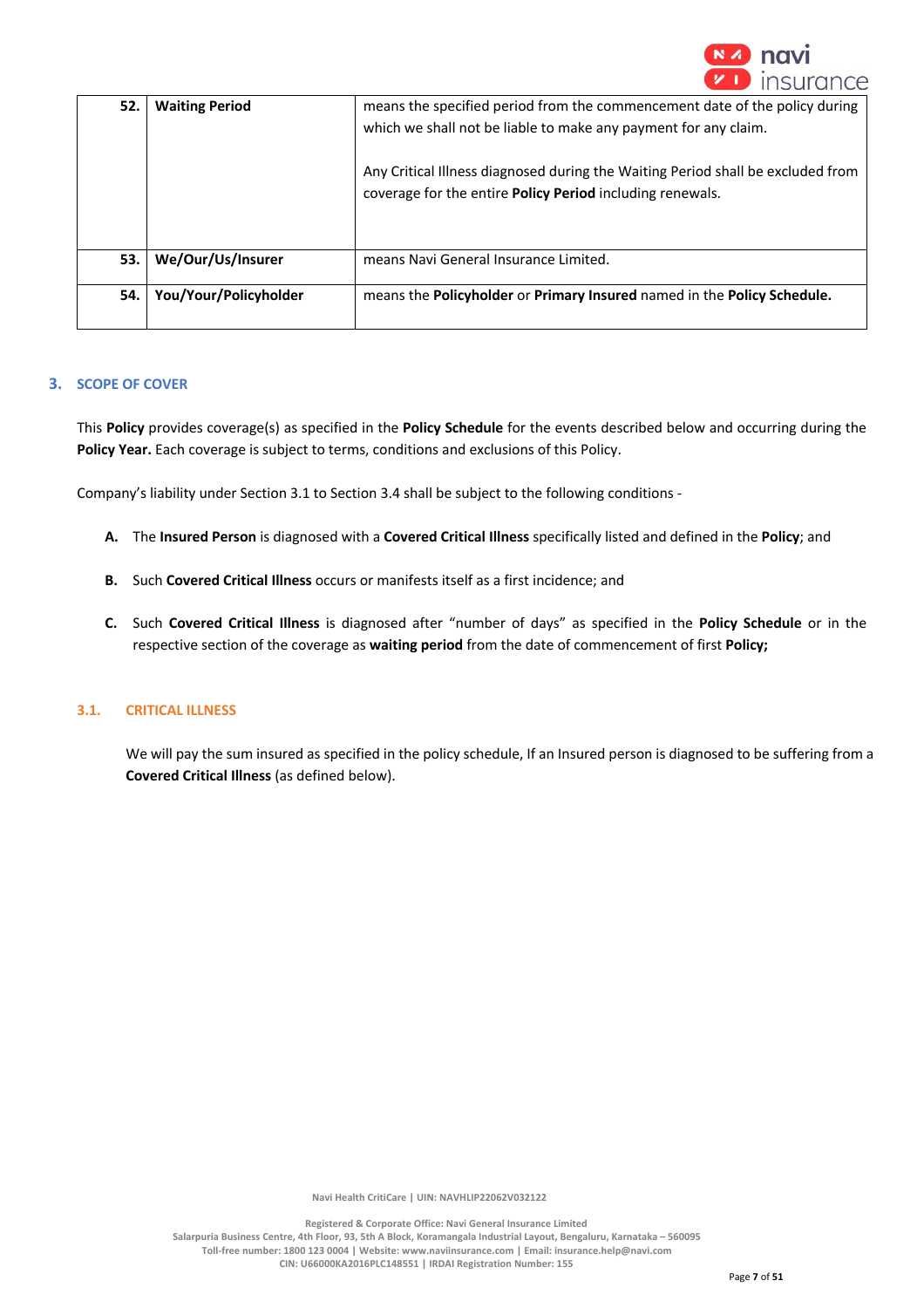

| 52. | <b>Waiting Period</b> | means the specified period from the commencement date of the policy during<br>which we shall not be liable to make any payment for any claim. |
|-----|-----------------------|-----------------------------------------------------------------------------------------------------------------------------------------------|
|     |                       | Any Critical Illness diagnosed during the Waiting Period shall be excluded from<br>coverage for the entire Policy Period including renewals.  |
| 53. | We/Our/Us/Insurer     | means Navi General Insurance Limited.                                                                                                         |
| 54. | You/Your/Policyholder | means the Policyholder or Primary Insured named in the Policy Schedule.                                                                       |

## **3. SCOPE OF COVER**

This **Policy** provides coverage(s) as specified in the **Policy Schedule** for the events described below and occurring during the Policy Year. Each coverage is subject to terms, conditions and exclusions of this Policy.

Company's liability under Section 3.1 to Section 3.4 shall be subject to the following conditions -

- **A.** The **Insured Person** is diagnosed with a **Covered Critical Illness** specifically listed and defined in the **Policy**; and
- **B.** Such **Covered Critical Illness** occurs or manifests itself as a first incidence; and
- **C.** Such **Covered Critical Illness** is diagnosed after "number of days" as specified in the **Policy Schedule** or in the respective section of the coverage as **waiting period** from the date of commencement of first **Policy;**

## **3.1. CRITICAL ILLNESS**

We will pay the sum insured as specified in the policy schedule, If an Insured person is diagnosed to be suffering from a **Covered Critical Illness** (as defined below).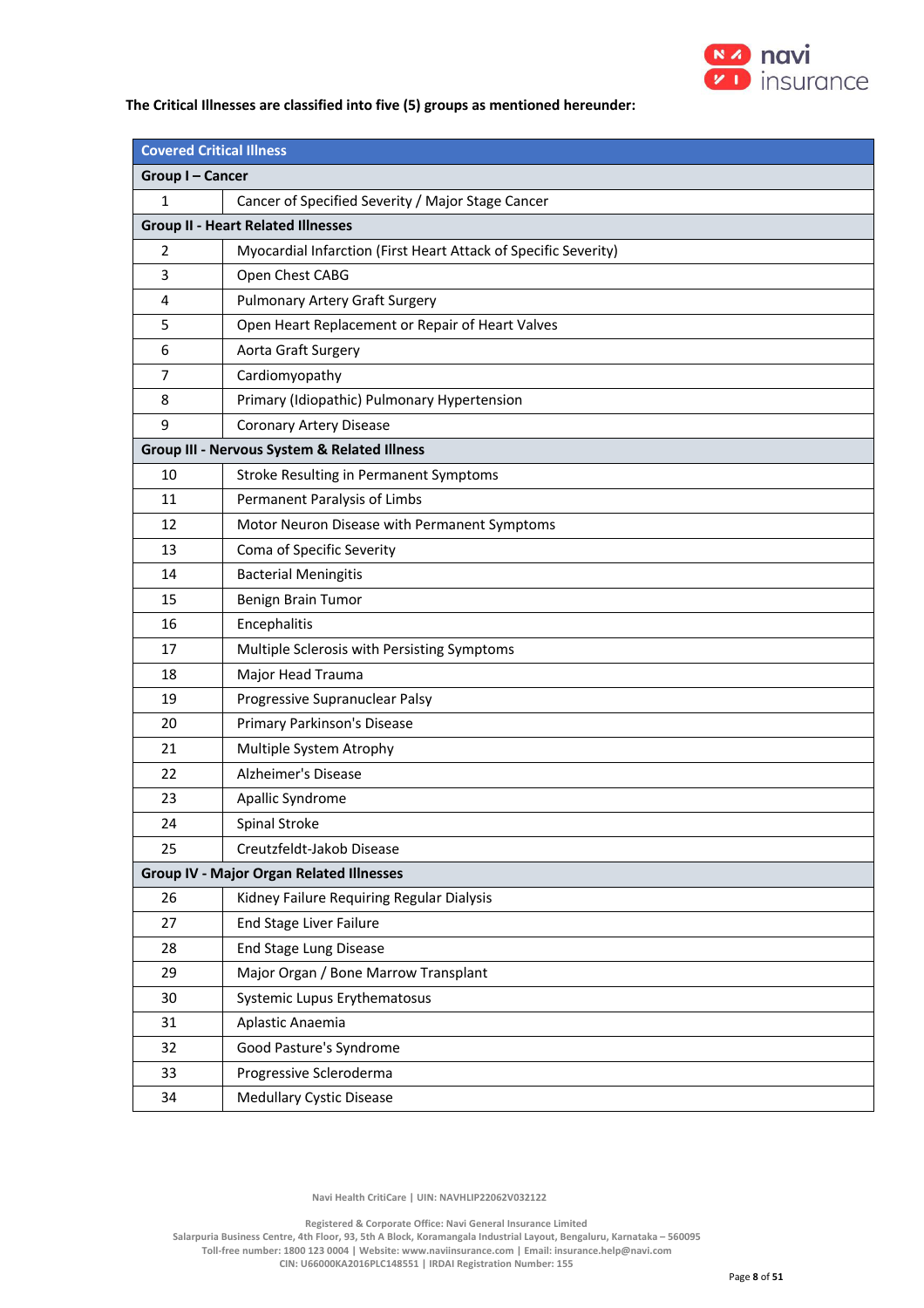

## **The Critical Illnesses are classified into five (5) groups as mentioned hereunder:**

| <b>Covered Critical Illness</b>                 |                                                                 |  |  |
|-------------------------------------------------|-----------------------------------------------------------------|--|--|
| Group I-Cancer                                  |                                                                 |  |  |
| $\mathbf{1}$                                    | Cancer of Specified Severity / Major Stage Cancer               |  |  |
|                                                 | <b>Group II - Heart Related Illnesses</b>                       |  |  |
| 2                                               | Myocardial Infarction (First Heart Attack of Specific Severity) |  |  |
| 3                                               | Open Chest CABG                                                 |  |  |
| 4                                               | <b>Pulmonary Artery Graft Surgery</b>                           |  |  |
| 5                                               | Open Heart Replacement or Repair of Heart Valves                |  |  |
| 6                                               | Aorta Graft Surgery                                             |  |  |
| 7                                               | Cardiomyopathy                                                  |  |  |
| 8                                               | Primary (Idiopathic) Pulmonary Hypertension                     |  |  |
| 9                                               | <b>Coronary Artery Disease</b>                                  |  |  |
|                                                 | Group III - Nervous System & Related Illness                    |  |  |
| 10                                              | Stroke Resulting in Permanent Symptoms                          |  |  |
| 11                                              | Permanent Paralysis of Limbs                                    |  |  |
| 12                                              | Motor Neuron Disease with Permanent Symptoms                    |  |  |
| 13                                              | Coma of Specific Severity                                       |  |  |
| 14                                              | <b>Bacterial Meningitis</b>                                     |  |  |
| 15                                              | Benign Brain Tumor                                              |  |  |
| 16                                              | Encephalitis                                                    |  |  |
| 17                                              | Multiple Sclerosis with Persisting Symptoms                     |  |  |
| 18                                              | Major Head Trauma                                               |  |  |
| 19                                              | Progressive Supranuclear Palsy                                  |  |  |
| 20                                              | Primary Parkinson's Disease                                     |  |  |
| 21                                              | Multiple System Atrophy                                         |  |  |
| 22                                              | Alzheimer's Disease                                             |  |  |
| 23                                              | Apallic Syndrome                                                |  |  |
| 24                                              | Spinal Stroke                                                   |  |  |
| 25                                              | Creutzfeldt-Jakob Disease                                       |  |  |
| <b>Group IV - Major Organ Related Illnesses</b> |                                                                 |  |  |
| 26                                              | Kidney Failure Requiring Regular Dialysis                       |  |  |
| 27                                              | End Stage Liver Failure                                         |  |  |
| 28                                              | End Stage Lung Disease                                          |  |  |
| 29                                              | Major Organ / Bone Marrow Transplant                            |  |  |
| 30                                              | Systemic Lupus Erythematosus                                    |  |  |
| 31                                              | Aplastic Anaemia                                                |  |  |
| 32                                              | Good Pasture's Syndrome                                         |  |  |
| 33                                              | Progressive Scleroderma                                         |  |  |
| 34                                              | <b>Medullary Cystic Disease</b>                                 |  |  |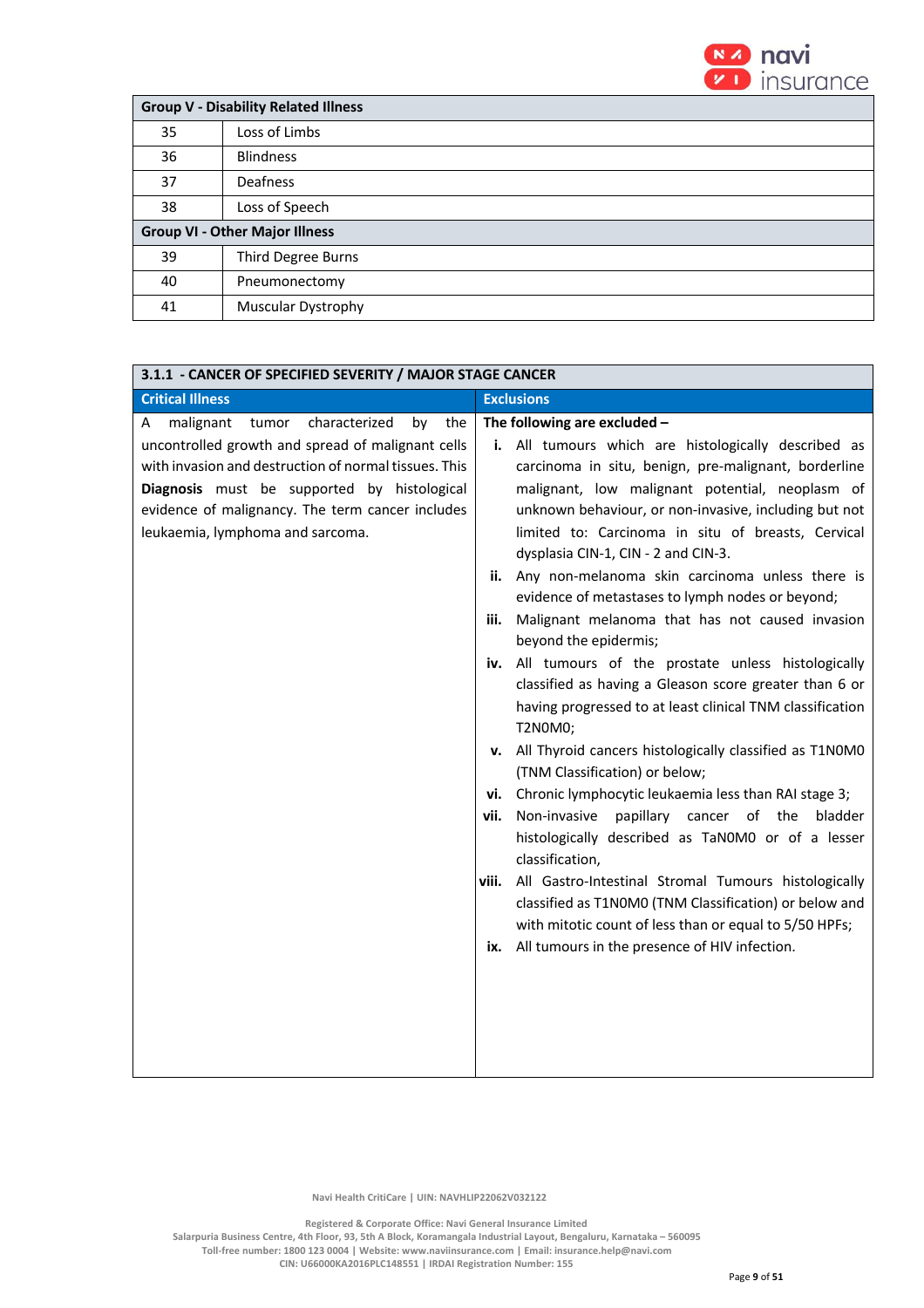

| <b>Group V - Disability Related Illness</b> |                           |  |
|---------------------------------------------|---------------------------|--|
| 35                                          | Loss of Limbs             |  |
| 36                                          | <b>Blindness</b>          |  |
| 37                                          | Deafness                  |  |
| 38                                          | Loss of Speech            |  |
| <b>Group VI - Other Major Illness</b>       |                           |  |
| 39                                          | <b>Third Degree Burns</b> |  |
| 40                                          | Pneumonectomy             |  |
| 41                                          | Muscular Dystrophy        |  |

| 3.1.1 - CANCER OF SPECIFIED SEVERITY / MAJOR STAGE CANCER                                                                                                                                                                                                                                                                                                                                                                                                                                                                                                                                                                                                                                                                                                                                                                                                                                                                                                                                                                                                                                                                                                                                                                                                                                            |
|------------------------------------------------------------------------------------------------------------------------------------------------------------------------------------------------------------------------------------------------------------------------------------------------------------------------------------------------------------------------------------------------------------------------------------------------------------------------------------------------------------------------------------------------------------------------------------------------------------------------------------------------------------------------------------------------------------------------------------------------------------------------------------------------------------------------------------------------------------------------------------------------------------------------------------------------------------------------------------------------------------------------------------------------------------------------------------------------------------------------------------------------------------------------------------------------------------------------------------------------------------------------------------------------------|
| <b>Exclusions</b>                                                                                                                                                                                                                                                                                                                                                                                                                                                                                                                                                                                                                                                                                                                                                                                                                                                                                                                                                                                                                                                                                                                                                                                                                                                                                    |
| The following are excluded -<br>All tumours which are histologically described as<br>carcinoma in situ, benign, pre-malignant, borderline<br>malignant, low malignant potential, neoplasm of<br>unknown behaviour, or non-invasive, including but not<br>limited to: Carcinoma in situ of breasts, Cervical<br>dysplasia CIN-1, CIN - 2 and CIN-3.<br>Any non-melanoma skin carcinoma unless there is<br>ii.<br>evidence of metastases to lymph nodes or beyond;<br>Malignant melanoma that has not caused invasion<br>iii.<br>beyond the epidermis;<br>All tumours of the prostate unless histologically<br>iv.<br>classified as having a Gleason score greater than 6 or<br>having progressed to at least clinical TNM classification<br>T2N0M0;<br>All Thyroid cancers histologically classified as T1N0M0<br>v.<br>(TNM Classification) or below;<br>Chronic lymphocytic leukaemia less than RAI stage 3;<br>vi.<br>Non-invasive papillary cancer of the<br>bladder<br>vii.<br>histologically described as TaN0M0 or of a lesser<br>classification,<br>All Gastro-Intestinal Stromal Tumours histologically<br>viii.<br>classified as T1N0M0 (TNM Classification) or below and<br>with mitotic count of less than or equal to 5/50 HPFs;<br>All tumours in the presence of HIV infection.<br>ix. |
|                                                                                                                                                                                                                                                                                                                                                                                                                                                                                                                                                                                                                                                                                                                                                                                                                                                                                                                                                                                                                                                                                                                                                                                                                                                                                                      |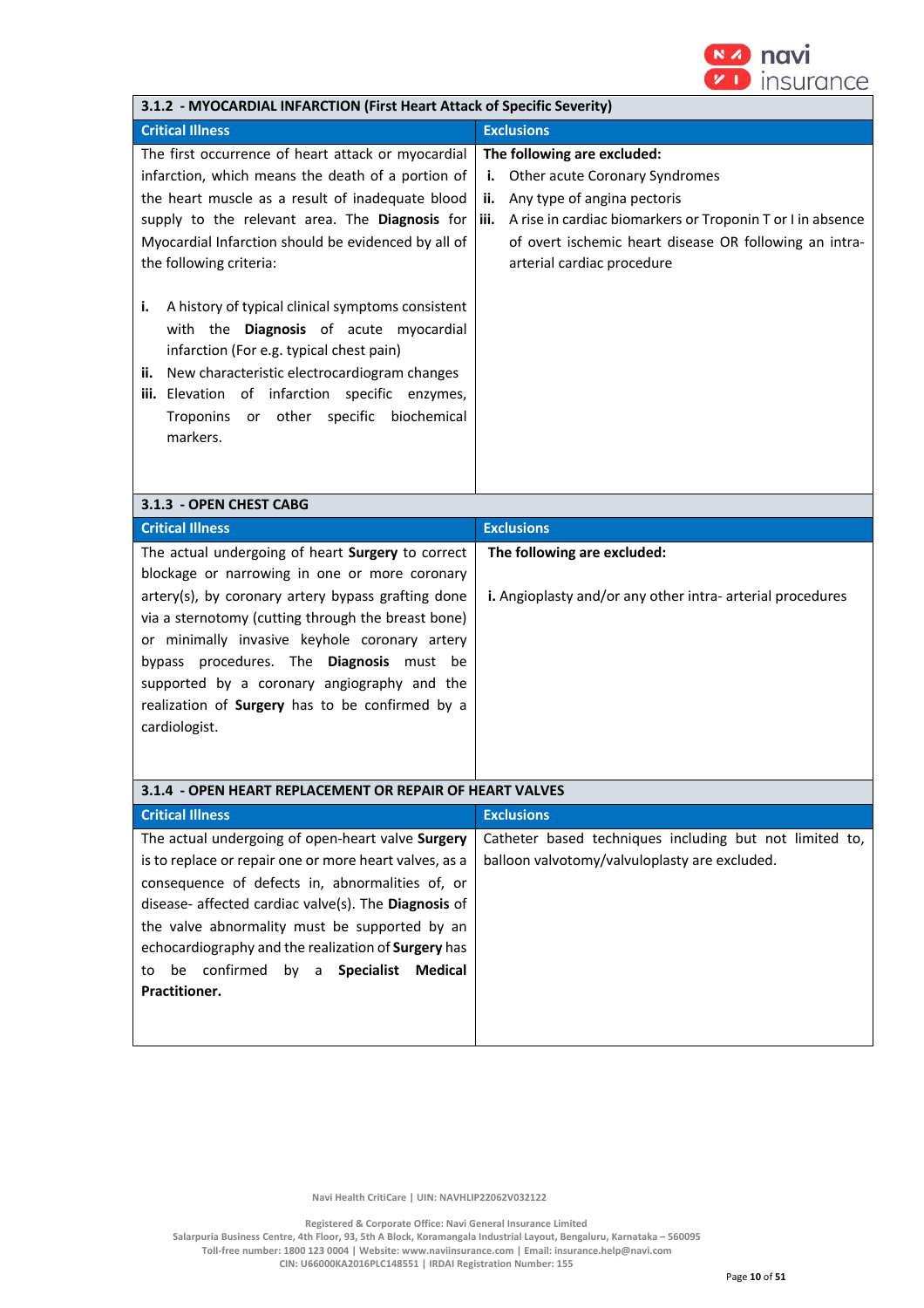

| 3.1.2 - MYOCARDIAL INFARCTION (First Heart Attack of Specific Severity)                                                                                                                                                                                                                                                                                                                                                                                                                                                                                                                                          |                                                                                                                                                                                                                                                                         |  |  |
|------------------------------------------------------------------------------------------------------------------------------------------------------------------------------------------------------------------------------------------------------------------------------------------------------------------------------------------------------------------------------------------------------------------------------------------------------------------------------------------------------------------------------------------------------------------------------------------------------------------|-------------------------------------------------------------------------------------------------------------------------------------------------------------------------------------------------------------------------------------------------------------------------|--|--|
| <b>Critical Illness</b>                                                                                                                                                                                                                                                                                                                                                                                                                                                                                                                                                                                          | <b>Exclusions</b>                                                                                                                                                                                                                                                       |  |  |
| The first occurrence of heart attack or myocardial<br>infarction, which means the death of a portion of<br>the heart muscle as a result of inadequate blood<br>supply to the relevant area. The Diagnosis for<br>Myocardial Infarction should be evidenced by all of<br>the following criteria:<br>i.<br>A history of typical clinical symptoms consistent<br>with the Diagnosis of acute myocardial<br>infarction (For e.g. typical chest pain)<br>New characteristic electrocardiogram changes<br>ii.<br>iii. Elevation of infarction specific enzymes,<br>Troponins or other specific biochemical<br>markers. | The following are excluded:<br>Other acute Coronary Syndromes<br>i.<br>Any type of angina pectoris<br>ii.<br>A rise in cardiac biomarkers or Troponin T or I in absence<br>iii.<br>of overt ischemic heart disease OR following an intra-<br>arterial cardiac procedure |  |  |
| 3.1.3 - OPEN CHEST CABG                                                                                                                                                                                                                                                                                                                                                                                                                                                                                                                                                                                          |                                                                                                                                                                                                                                                                         |  |  |
| <b>Critical Illness</b>                                                                                                                                                                                                                                                                                                                                                                                                                                                                                                                                                                                          | <b>Exclusions</b>                                                                                                                                                                                                                                                       |  |  |
| The actual undergoing of heart Surgery to correct                                                                                                                                                                                                                                                                                                                                                                                                                                                                                                                                                                | The following are excluded:                                                                                                                                                                                                                                             |  |  |
| blockage or narrowing in one or more coronary<br>artery(s), by coronary artery bypass grafting done<br>via a sternotomy (cutting through the breast bone)<br>or minimally invasive keyhole coronary artery<br>bypass procedures. The Diagnosis must be<br>supported by a coronary angiography and the<br>realization of Surgery has to be confirmed by a<br>cardiologist.                                                                                                                                                                                                                                        | i. Angioplasty and/or any other intra- arterial procedures                                                                                                                                                                                                              |  |  |
| 3.1.4 - OPEN HEART REPLACEMENT OR REPAIR OF HEART VALVES                                                                                                                                                                                                                                                                                                                                                                                                                                                                                                                                                         |                                                                                                                                                                                                                                                                         |  |  |
| <b>Critical Illness</b>                                                                                                                                                                                                                                                                                                                                                                                                                                                                                                                                                                                          | <b>Exclusions</b>                                                                                                                                                                                                                                                       |  |  |
| The actual undergoing of open-heart valve Surgery<br>is to replace or repair one or more heart valves, as a<br>consequence of defects in, abnormalities of, or<br>disease- affected cardiac valve(s). The Diagnosis of<br>the valve abnormality must be supported by an<br>echocardiography and the realization of Surgery has<br>be confirmed by a Specialist Medical<br>to<br>Practitioner.                                                                                                                                                                                                                    | Catheter based techniques including but not limited to,<br>balloon valvotomy/valvuloplasty are excluded.                                                                                                                                                                |  |  |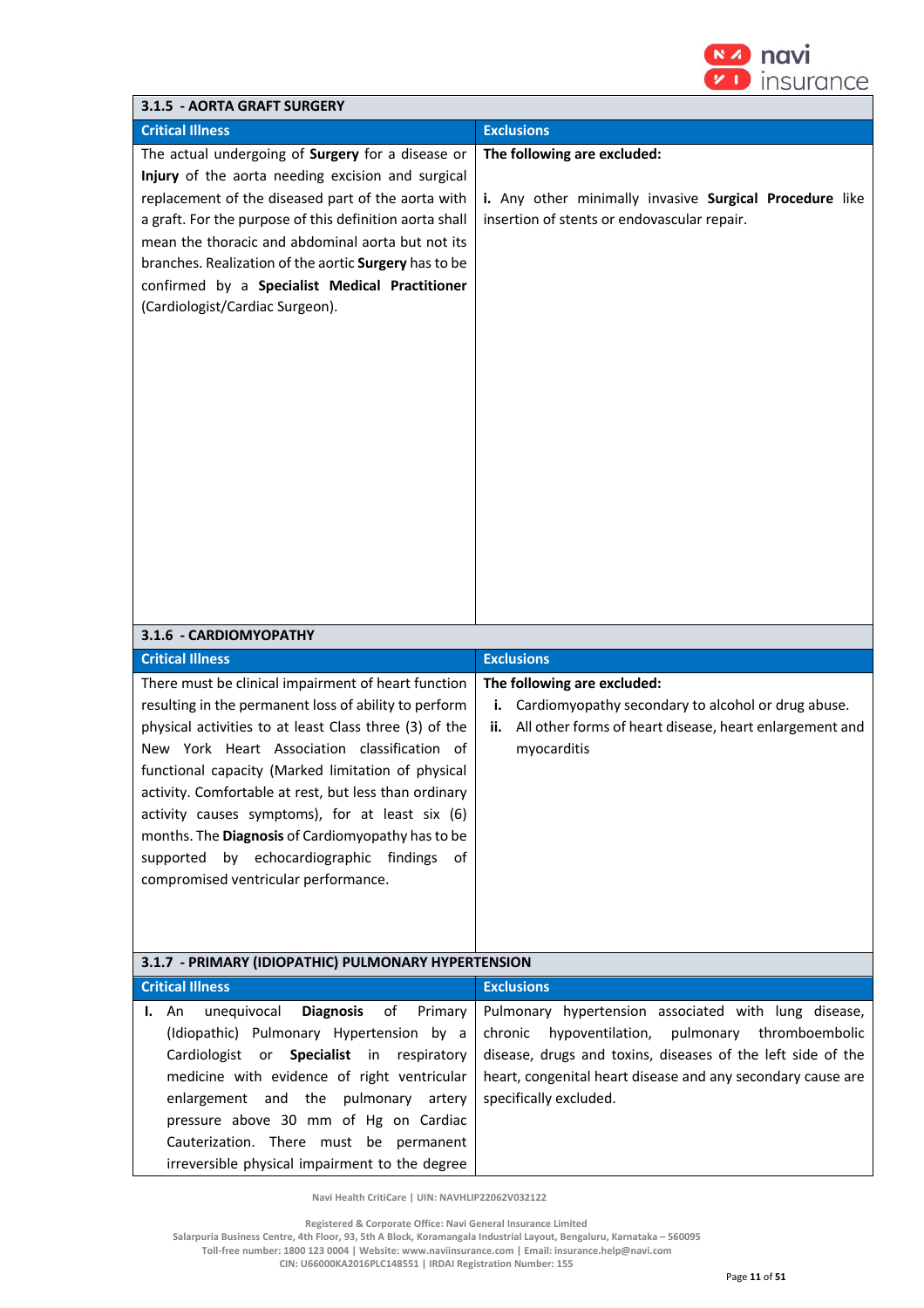

| 3.1.5 - AORTA GRAFT SURGERY                                                                                                                                                                                                                                                                                                                                                                                                                                                                                                                                                                                                                                                                                                                                                                                                                                                                                                                                                                                            |                                                                                                                                                                                                                                                                                                                                        |
|------------------------------------------------------------------------------------------------------------------------------------------------------------------------------------------------------------------------------------------------------------------------------------------------------------------------------------------------------------------------------------------------------------------------------------------------------------------------------------------------------------------------------------------------------------------------------------------------------------------------------------------------------------------------------------------------------------------------------------------------------------------------------------------------------------------------------------------------------------------------------------------------------------------------------------------------------------------------------------------------------------------------|----------------------------------------------------------------------------------------------------------------------------------------------------------------------------------------------------------------------------------------------------------------------------------------------------------------------------------------|
| <b>Critical Illness</b>                                                                                                                                                                                                                                                                                                                                                                                                                                                                                                                                                                                                                                                                                                                                                                                                                                                                                                                                                                                                | <b>Exclusions</b>                                                                                                                                                                                                                                                                                                                      |
| The actual undergoing of Surgery for a disease or<br>Injury of the aorta needing excision and surgical<br>replacement of the diseased part of the aorta with<br>a graft. For the purpose of this definition aorta shall<br>mean the thoracic and abdominal aorta but not its<br>branches. Realization of the aortic Surgery has to be<br>confirmed by a Specialist Medical Practitioner<br>(Cardiologist/Cardiac Surgeon).<br>3.1.6 - CARDIOMYOPATHY<br><b>Critical Illness</b><br>There must be clinical impairment of heart function<br>resulting in the permanent loss of ability to perform<br>physical activities to at least Class three (3) of the<br>New York Heart Association classification of<br>functional capacity (Marked limitation of physical<br>activity. Comfortable at rest, but less than ordinary<br>activity causes symptoms), for at least six (6)<br>months. The Diagnosis of Cardiomyopathy has to be<br>supported by echocardiographic findings of<br>compromised ventricular performance. | The following are excluded:<br>i. Any other minimally invasive Surgical Procedure like<br>insertion of stents or endovascular repair.<br><b>Exclusions</b><br>The following are excluded:<br>Cardiomyopathy secondary to alcohol or drug abuse.<br>i.<br>All other forms of heart disease, heart enlargement and<br>ii.<br>myocarditis |
| 3.1.7 - PRIMARY (IDIOPATHIC) PULMONARY HYPERTENSION                                                                                                                                                                                                                                                                                                                                                                                                                                                                                                                                                                                                                                                                                                                                                                                                                                                                                                                                                                    |                                                                                                                                                                                                                                                                                                                                        |
| <b>Critical Illness</b>                                                                                                                                                                                                                                                                                                                                                                                                                                                                                                                                                                                                                                                                                                                                                                                                                                                                                                                                                                                                | <b>Exclusions</b>                                                                                                                                                                                                                                                                                                                      |
| <b>Diagnosis</b><br>unequivocal<br>of<br>Primary<br>An<br>ı.<br>(Idiopathic) Pulmonary Hypertension by a<br>Cardiologist or Specialist in respiratory<br>medicine with evidence of right ventricular<br>enlargement and the pulmonary<br>artery<br>pressure above 30 mm of Hg on Cardiac<br>Cauterization. There must be permanent<br>irreversible physical impairment to the degree                                                                                                                                                                                                                                                                                                                                                                                                                                                                                                                                                                                                                                   | Pulmonary hypertension associated with lung disease,<br>hypoventilation,<br>pulmonary thromboembolic<br>chronic<br>disease, drugs and toxins, diseases of the left side of the<br>heart, congenital heart disease and any secondary cause are<br>specifically excluded.                                                                |

 **Registered & Corporate Office: Navi General Insurance Limited Salarpuria Business Centre, 4th Floor, 93, 5th A Block, Koramangala Industrial Layout, Bengaluru, Karnataka – 560095** 

**Toll-free number: 1800 123 0004 | Website: www.naviinsurance.com | Email: insurance.help@navi.com** 

**CIN: U66000KA2016PLC148551 | IRDAI Registration Number: 155**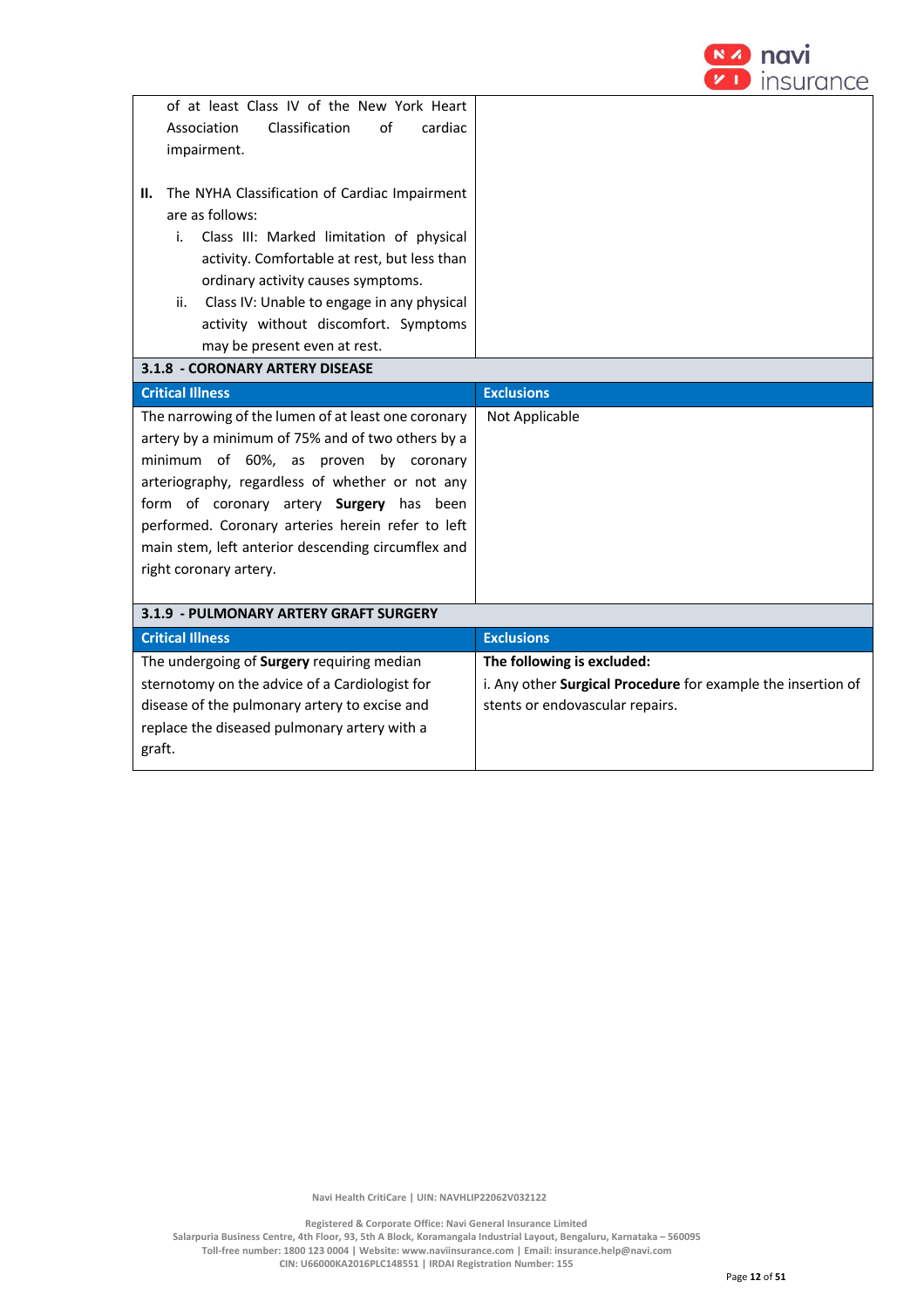

| of at least Class IV of the New York Heart<br>Classification<br>cardiac<br>Association<br>of<br>impairment.<br>The NYHA Classification of Cardiac Impairment<br>Н.<br>are as follows:<br>Class III: Marked limitation of physical<br>i.<br>activity. Comfortable at rest, but less than<br>ordinary activity causes symptoms.<br>Class IV: Unable to engage in any physical<br>ii.    |                                                              |
|---------------------------------------------------------------------------------------------------------------------------------------------------------------------------------------------------------------------------------------------------------------------------------------------------------------------------------------------------------------------------------------|--------------------------------------------------------------|
|                                                                                                                                                                                                                                                                                                                                                                                       |                                                              |
| activity without discomfort. Symptoms                                                                                                                                                                                                                                                                                                                                                 |                                                              |
| may be present even at rest.                                                                                                                                                                                                                                                                                                                                                          |                                                              |
| 3.1.8 - CORONARY ARTERY DISEASE                                                                                                                                                                                                                                                                                                                                                       |                                                              |
| <b>Critical Illness</b>                                                                                                                                                                                                                                                                                                                                                               | <b>Exclusions</b>                                            |
| The narrowing of the lumen of at least one coronary<br>artery by a minimum of 75% and of two others by a<br>minimum of 60%, as proven by coronary<br>arteriography, regardless of whether or not any<br>form of coronary artery Surgery has been<br>performed. Coronary arteries herein refer to left<br>main stem, left anterior descending circumflex and<br>right coronary artery. | Not Applicable                                               |
| 3.1.9 - PULMONARY ARTERY GRAFT SURGERY                                                                                                                                                                                                                                                                                                                                                |                                                              |
| <b>Critical Illness</b>                                                                                                                                                                                                                                                                                                                                                               | <b>Exclusions</b>                                            |
| The undergoing of Surgery requiring median                                                                                                                                                                                                                                                                                                                                            | The following is excluded:                                   |
| sternotomy on the advice of a Cardiologist for                                                                                                                                                                                                                                                                                                                                        | i. Any other Surgical Procedure for example the insertion of |
| disease of the pulmonary artery to excise and                                                                                                                                                                                                                                                                                                                                         | stents or endovascular repairs.                              |
| replace the diseased pulmonary artery with a<br>graft.                                                                                                                                                                                                                                                                                                                                |                                                              |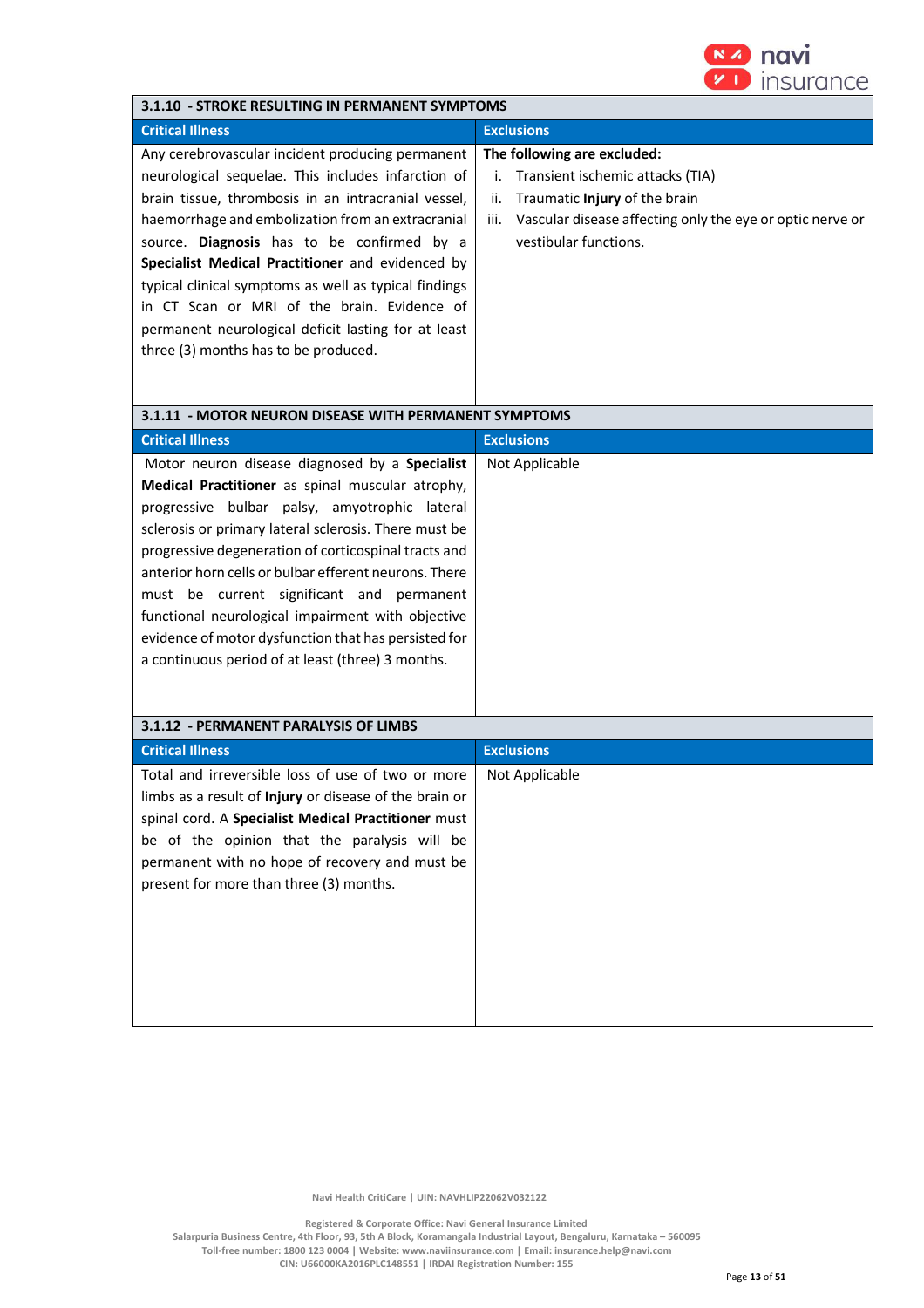

| 3.1.10 - STROKE RESULTING IN PERMANENT SYMPTOMS                                                                                                                                                                                                                                                                                                                                                                                                                                                                                              |                                                                                                                                                                                                             |  |
|----------------------------------------------------------------------------------------------------------------------------------------------------------------------------------------------------------------------------------------------------------------------------------------------------------------------------------------------------------------------------------------------------------------------------------------------------------------------------------------------------------------------------------------------|-------------------------------------------------------------------------------------------------------------------------------------------------------------------------------------------------------------|--|
| <b>Critical Illness</b>                                                                                                                                                                                                                                                                                                                                                                                                                                                                                                                      | <b>Exclusions</b>                                                                                                                                                                                           |  |
| Any cerebrovascular incident producing permanent<br>neurological sequelae. This includes infarction of<br>brain tissue, thrombosis in an intracranial vessel,<br>haemorrhage and embolization from an extracranial<br>source. Diagnosis has to be confirmed by a<br>Specialist Medical Practitioner and evidenced by<br>typical clinical symptoms as well as typical findings<br>in CT Scan or MRI of the brain. Evidence of<br>permanent neurological deficit lasting for at least<br>three (3) months has to be produced.                  | The following are excluded:<br>Transient ischemic attacks (TIA)<br>i.<br>Traumatic Injury of the brain<br>ii.<br>Vascular disease affecting only the eye or optic nerve or<br>iii.<br>vestibular functions. |  |
| 3.1.11 - MOTOR NEURON DISEASE WITH PERMANENT SYMPTOMS                                                                                                                                                                                                                                                                                                                                                                                                                                                                                        |                                                                                                                                                                                                             |  |
| <b>Critical Illness</b>                                                                                                                                                                                                                                                                                                                                                                                                                                                                                                                      | <b>Exclusions</b>                                                                                                                                                                                           |  |
| Motor neuron disease diagnosed by a Specialist<br>Medical Practitioner as spinal muscular atrophy,<br>progressive bulbar palsy, amyotrophic lateral<br>sclerosis or primary lateral sclerosis. There must be<br>progressive degeneration of corticospinal tracts and<br>anterior horn cells or bulbar efferent neurons. There<br>must be current significant and permanent<br>functional neurological impairment with objective<br>evidence of motor dysfunction that has persisted for<br>a continuous period of at least (three) 3 months. | Not Applicable                                                                                                                                                                                              |  |
| 3.1.12 - PERMANENT PARALYSIS OF LIMBS                                                                                                                                                                                                                                                                                                                                                                                                                                                                                                        |                                                                                                                                                                                                             |  |
| <b>Critical Illness</b>                                                                                                                                                                                                                                                                                                                                                                                                                                                                                                                      | <b>Exclusions</b>                                                                                                                                                                                           |  |
| Total and irreversible loss of use of two or more<br>limbs as a result of Injury or disease of the brain or<br>spinal cord. A Specialist Medical Practitioner must<br>be of the opinion that the paralysis will be<br>permanent with no hope of recovery and must be<br>present for more than three (3) months.                                                                                                                                                                                                                              | Not Applicable                                                                                                                                                                                              |  |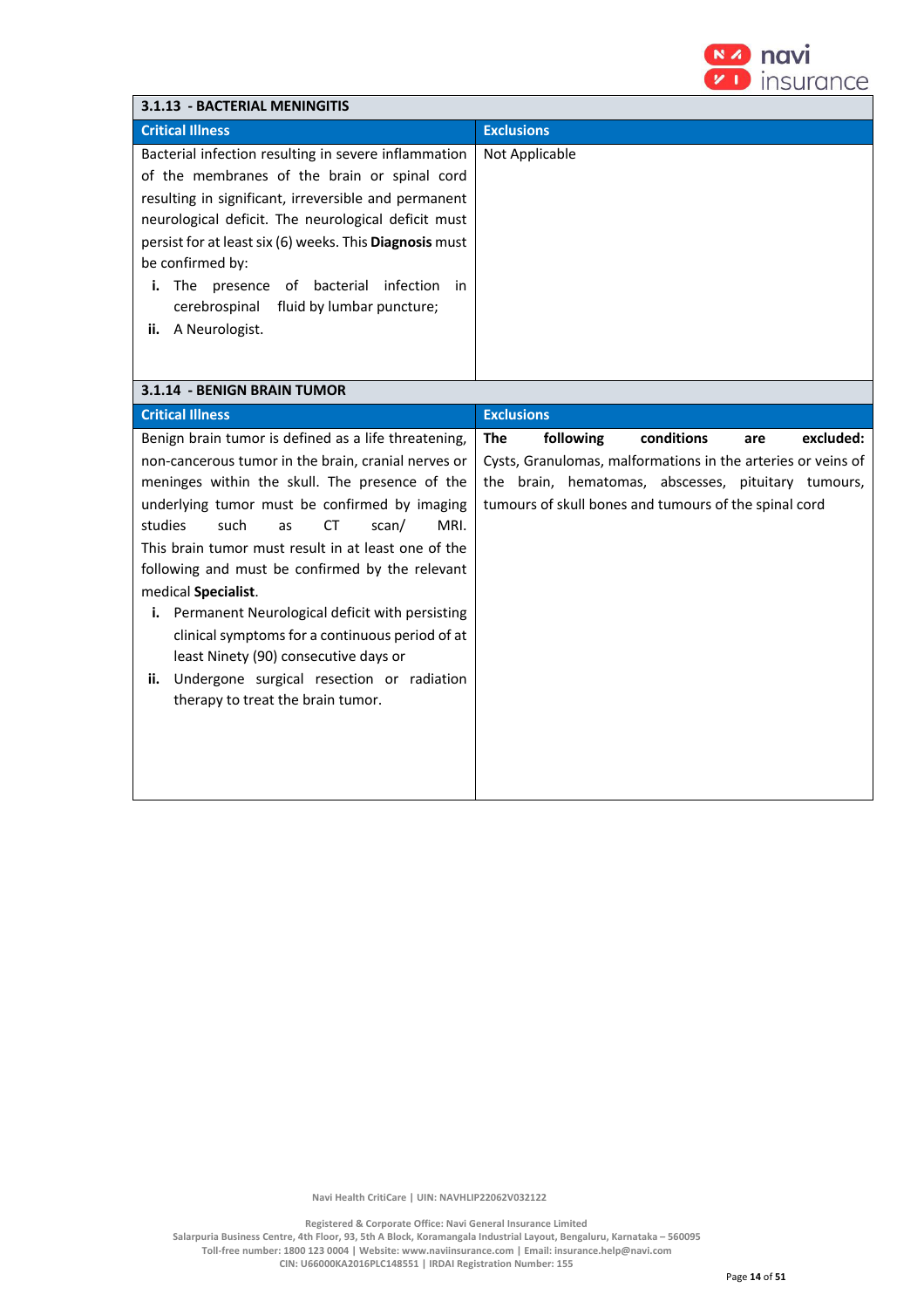

| 3.1.13 - BACTERIAL MENINGITIS                                                                                                                                                                                                                                                                                                                                                                                                                                                                                                                                                                                                             |                                                                                                                                                                                                                                           |  |
|-------------------------------------------------------------------------------------------------------------------------------------------------------------------------------------------------------------------------------------------------------------------------------------------------------------------------------------------------------------------------------------------------------------------------------------------------------------------------------------------------------------------------------------------------------------------------------------------------------------------------------------------|-------------------------------------------------------------------------------------------------------------------------------------------------------------------------------------------------------------------------------------------|--|
| <b>Critical Illness</b>                                                                                                                                                                                                                                                                                                                                                                                                                                                                                                                                                                                                                   | <b>Exclusions</b>                                                                                                                                                                                                                         |  |
| Bacterial infection resulting in severe inflammation<br>of the membranes of the brain or spinal cord<br>resulting in significant, irreversible and permanent<br>neurological deficit. The neurological deficit must<br>persist for at least six (6) weeks. This Diagnosis must<br>be confirmed by:<br>i. The presence of bacterial infection<br>in<br>cerebrospinal<br>fluid by lumbar puncture;<br>ii. A Neurologist.                                                                                                                                                                                                                    | Not Applicable                                                                                                                                                                                                                            |  |
| 3.1.14 - BENIGN BRAIN TUMOR                                                                                                                                                                                                                                                                                                                                                                                                                                                                                                                                                                                                               |                                                                                                                                                                                                                                           |  |
| <b>Critical Illness</b>                                                                                                                                                                                                                                                                                                                                                                                                                                                                                                                                                                                                                   | <b>Exclusions</b>                                                                                                                                                                                                                         |  |
| Benign brain tumor is defined as a life threatening,<br>non-cancerous tumor in the brain, cranial nerves or<br>meninges within the skull. The presence of the<br>underlying tumor must be confirmed by imaging<br>studies<br>MRI.<br>such<br>scan/<br>as<br>СT<br>This brain tumor must result in at least one of the<br>following and must be confirmed by the relevant<br>medical Specialist.<br>i. Permanent Neurological deficit with persisting<br>clinical symptoms for a continuous period of at<br>least Ninety (90) consecutive days or<br>Undergone surgical resection or radiation<br>ii.<br>therapy to treat the brain tumor. | conditions<br>excluded:<br><b>The</b><br>following<br>are<br>Cysts, Granulomas, malformations in the arteries or veins of<br>the brain, hematomas, abscesses, pituitary tumours,<br>tumours of skull bones and tumours of the spinal cord |  |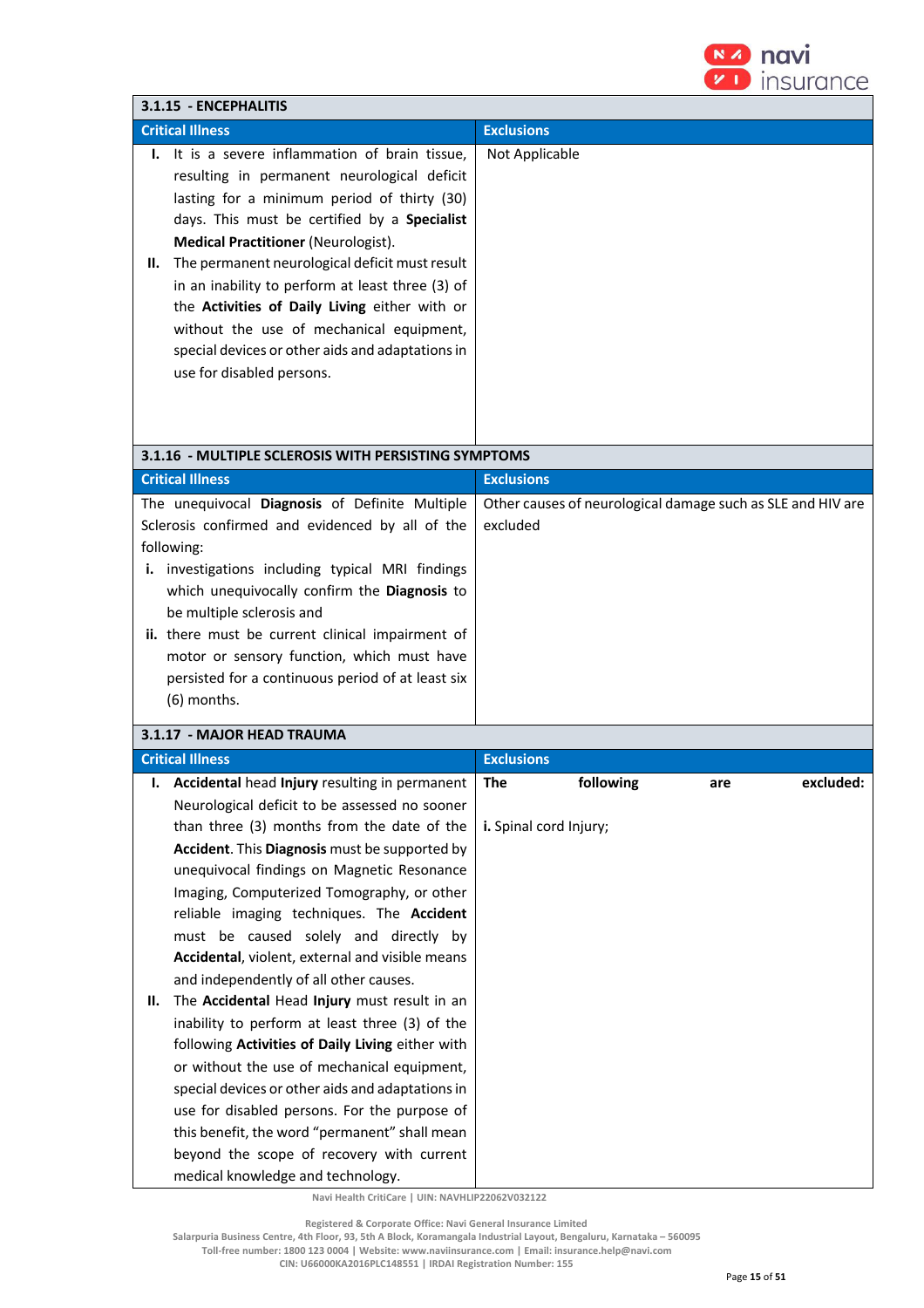

|                                                                                                                                                                                                                                                                                                                                                                                                                                                                                                                                                                                                                                                                                                                                                                                                                                                                               | $\mathbf{v}$ in $\mathbf{v}$<br><i><b>Insurance</b></i>                 |
|-------------------------------------------------------------------------------------------------------------------------------------------------------------------------------------------------------------------------------------------------------------------------------------------------------------------------------------------------------------------------------------------------------------------------------------------------------------------------------------------------------------------------------------------------------------------------------------------------------------------------------------------------------------------------------------------------------------------------------------------------------------------------------------------------------------------------------------------------------------------------------|-------------------------------------------------------------------------|
| 3.1.15 - ENCEPHALITIS                                                                                                                                                                                                                                                                                                                                                                                                                                                                                                                                                                                                                                                                                                                                                                                                                                                         |                                                                         |
| <b>Critical Illness</b>                                                                                                                                                                                                                                                                                                                                                                                                                                                                                                                                                                                                                                                                                                                                                                                                                                                       | <b>Exclusions</b>                                                       |
| I. It is a severe inflammation of brain tissue,<br>resulting in permanent neurological deficit<br>lasting for a minimum period of thirty (30)<br>days. This must be certified by a Specialist<br><b>Medical Practitioner (Neurologist).</b><br>The permanent neurological deficit must result<br>Н.<br>in an inability to perform at least three (3) of<br>the Activities of Daily Living either with or<br>without the use of mechanical equipment,<br>special devices or other aids and adaptations in<br>use for disabled persons.                                                                                                                                                                                                                                                                                                                                         | Not Applicable                                                          |
| 3.1.16 - MULTIPLE SCLEROSIS WITH PERSISTING SYMPTOMS                                                                                                                                                                                                                                                                                                                                                                                                                                                                                                                                                                                                                                                                                                                                                                                                                          |                                                                         |
| <b>Critical Illness</b>                                                                                                                                                                                                                                                                                                                                                                                                                                                                                                                                                                                                                                                                                                                                                                                                                                                       | <b>Exclusions</b>                                                       |
| The unequivocal Diagnosis of Definite Multiple<br>Sclerosis confirmed and evidenced by all of the<br>following:<br>i. investigations including typical MRI findings<br>which unequivocally confirm the Diagnosis to<br>be multiple sclerosis and<br>ii. there must be current clinical impairment of<br>motor or sensory function, which must have<br>persisted for a continuous period of at least six<br>(6) months.                                                                                                                                                                                                                                                                                                                                                                                                                                                        | Other causes of neurological damage such as SLE and HIV are<br>excluded |
| 3.1.17 - MAJOR HEAD TRAUMA                                                                                                                                                                                                                                                                                                                                                                                                                                                                                                                                                                                                                                                                                                                                                                                                                                                    |                                                                         |
| <b>Critical Illness</b>                                                                                                                                                                                                                                                                                                                                                                                                                                                                                                                                                                                                                                                                                                                                                                                                                                                       | <b>Exclusions</b>                                                       |
| Accidental head Injury resulting in permanent<br>ı.                                                                                                                                                                                                                                                                                                                                                                                                                                                                                                                                                                                                                                                                                                                                                                                                                           | following<br>excluded:<br><b>The</b>                                    |
| Neurological deficit to be assessed no sooner<br>than three (3) months from the date of the<br>Accident. This Diagnosis must be supported by<br>unequivocal findings on Magnetic Resonance<br>Imaging, Computerized Tomography, or other<br>reliable imaging techniques. The Accident<br>must be caused solely and directly by<br>Accidental, violent, external and visible means<br>and independently of all other causes.<br>The Accidental Head Injury must result in an<br>Н.<br>inability to perform at least three (3) of the<br>following Activities of Daily Living either with<br>or without the use of mechanical equipment,<br>special devices or other aids and adaptations in<br>use for disabled persons. For the purpose of<br>this benefit, the word "permanent" shall mean<br>beyond the scope of recovery with current<br>medical knowledge and technology. | are<br>i. Spinal cord Injury;                                           |

 **Registered & Corporate Office: Navi General Insurance Limited**

**Salarpuria Business Centre, 4th Floor, 93, 5th A Block, Koramangala Industrial Layout, Bengaluru, Karnataka – 560095** 

**Toll-free number: 1800 123 0004 | Website: www.naviinsurance.com | Email: insurance.help@navi.com** 

**CIN: U66000KA2016PLC148551 | IRDAI Registration Number: 155**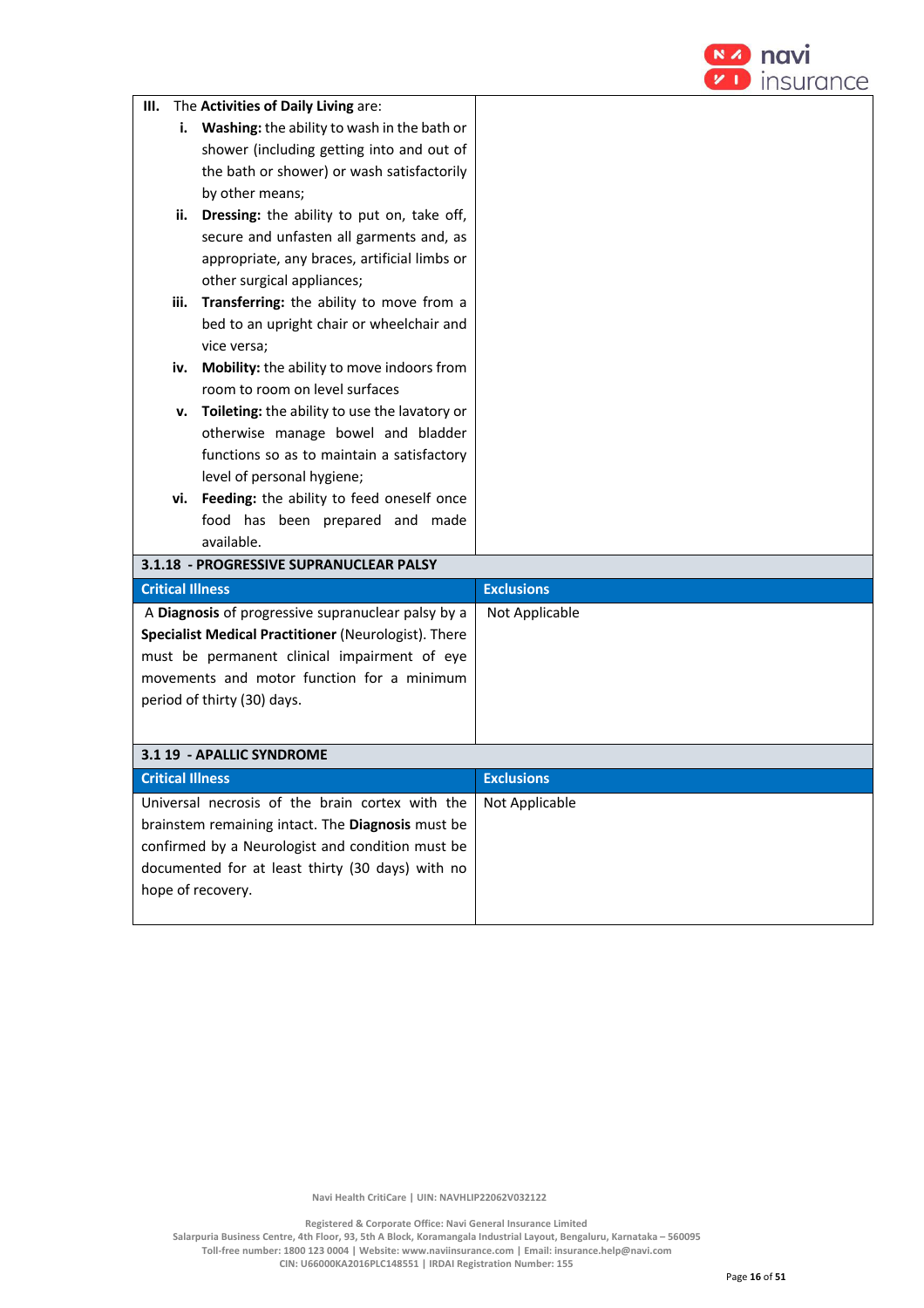

| III.                    | The Activities of Daily Living are:                  |                   |
|-------------------------|------------------------------------------------------|-------------------|
|                         | i. Washing: the ability to wash in the bath or       |                   |
|                         | shower (including getting into and out of            |                   |
|                         | the bath or shower) or wash satisfactorily           |                   |
|                         | by other means;                                      |                   |
| ii.                     | Dressing: the ability to put on, take off,           |                   |
|                         | secure and unfasten all garments and, as             |                   |
|                         | appropriate, any braces, artificial limbs or         |                   |
|                         | other surgical appliances;                           |                   |
| iii.                    | Transferring: the ability to move from a             |                   |
|                         | bed to an upright chair or wheelchair and            |                   |
|                         | vice versa;                                          |                   |
|                         | iv. Mobility: the ability to move indoors from       |                   |
|                         | room to room on level surfaces                       |                   |
| v.                      | Toileting: the ability to use the lavatory or        |                   |
|                         | otherwise manage bowel and bladder                   |                   |
|                         | functions so as to maintain a satisfactory           |                   |
|                         | level of personal hygiene;                           |                   |
|                         | vi. Feeding: the ability to feed oneself once        |                   |
|                         | food has been prepared and made                      |                   |
|                         | available.                                           |                   |
|                         | 3.1.18 - PROGRESSIVE SUPRANUCLEAR PALSY              |                   |
| <b>Critical Illness</b> |                                                      | <b>Exclusions</b> |
|                         | A Diagnosis of progressive supranuclear palsy by a   | Not Applicable    |
|                         | Specialist Medical Practitioner (Neurologist). There |                   |
|                         | must be permanent clinical impairment of eye         |                   |
|                         | movements and motor function for a minimum           |                   |
|                         | period of thirty (30) days.                          |                   |
|                         |                                                      |                   |
|                         | 3.1 19 - APALLIC SYNDROME                            |                   |
| <b>Critical Illness</b> |                                                      | <b>Exclusions</b> |
|                         | Universal necrosis of the brain cortex with the      | Not Applicable    |
|                         | brainstem remaining intact. The Diagnosis must be    |                   |
|                         | confirmed by a Neurologist and condition must be     |                   |
|                         | documented for at least thirty (30 days) with no     |                   |
|                         | hope of recovery.                                    |                   |
|                         |                                                      |                   |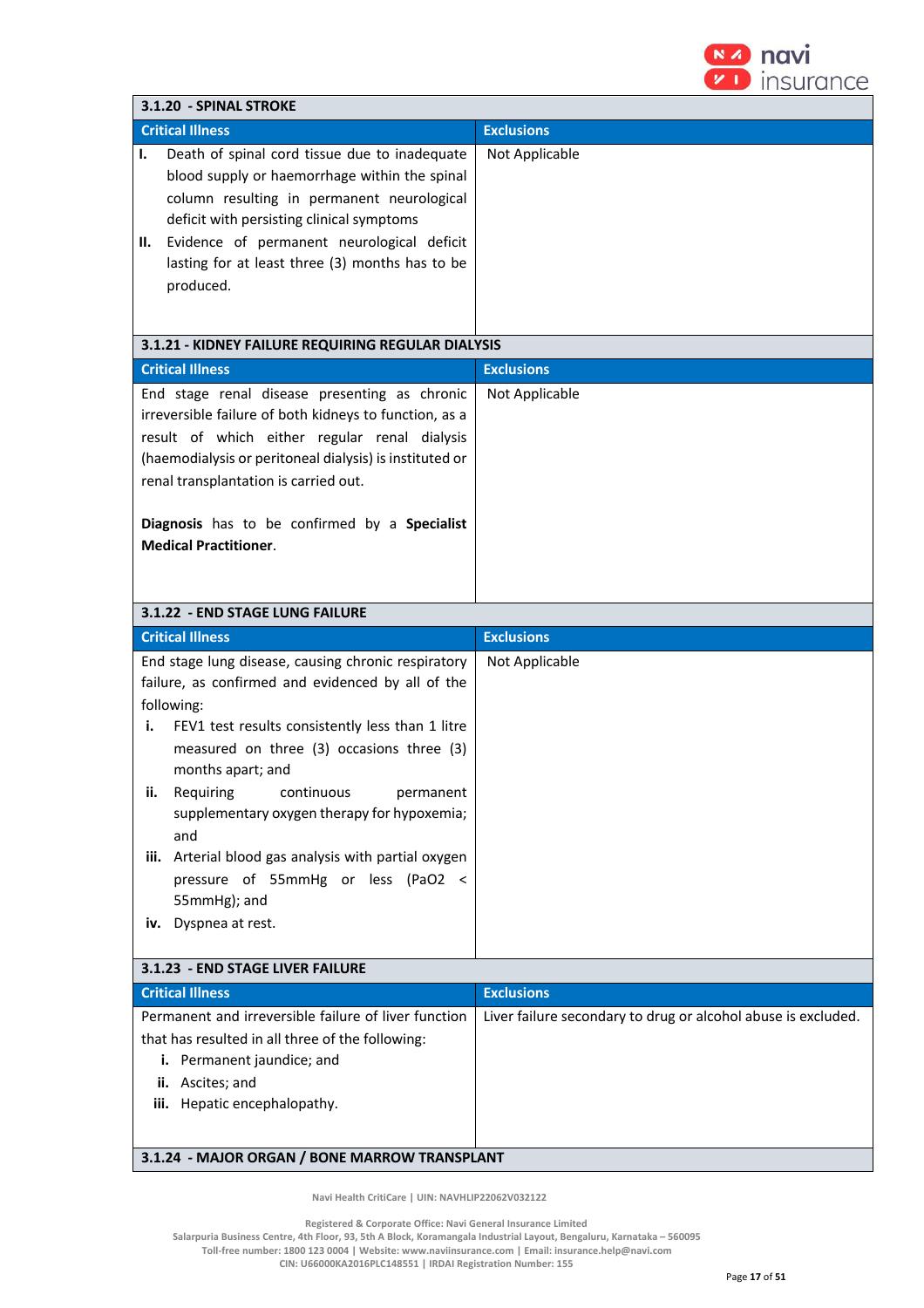

| 3.1.20 - SPINAL STROKE                                                                                                                                                                                                                                                                                                                                                                                                                                                                           |                                                               |  |
|--------------------------------------------------------------------------------------------------------------------------------------------------------------------------------------------------------------------------------------------------------------------------------------------------------------------------------------------------------------------------------------------------------------------------------------------------------------------------------------------------|---------------------------------------------------------------|--|
| <b>Critical Illness</b>                                                                                                                                                                                                                                                                                                                                                                                                                                                                          | <b>Exclusions</b>                                             |  |
| Death of spinal cord tissue due to inadequate<br>ı.<br>blood supply or haemorrhage within the spinal<br>column resulting in permanent neurological<br>deficit with persisting clinical symptoms<br>Evidence of permanent neurological deficit<br>н.<br>lasting for at least three (3) months has to be<br>produced.                                                                                                                                                                              | Not Applicable                                                |  |
| 3.1.21 - KIDNEY FAILURE REQUIRING REGULAR DIALYSIS                                                                                                                                                                                                                                                                                                                                                                                                                                               |                                                               |  |
| <b>Critical Illness</b>                                                                                                                                                                                                                                                                                                                                                                                                                                                                          | <b>Exclusions</b>                                             |  |
| End stage renal disease presenting as chronic<br>irreversible failure of both kidneys to function, as a<br>result of which either regular renal dialysis<br>(haemodialysis or peritoneal dialysis) is instituted or<br>renal transplantation is carried out.                                                                                                                                                                                                                                     | Not Applicable                                                |  |
| Diagnosis has to be confirmed by a Specialist<br><b>Medical Practitioner.</b>                                                                                                                                                                                                                                                                                                                                                                                                                    |                                                               |  |
| 3.1.22 - END STAGE LUNG FAILURE                                                                                                                                                                                                                                                                                                                                                                                                                                                                  |                                                               |  |
| <b>Critical Illness</b>                                                                                                                                                                                                                                                                                                                                                                                                                                                                          | <b>Exclusions</b>                                             |  |
| End stage lung disease, causing chronic respiratory<br>failure, as confirmed and evidenced by all of the<br>following:<br>FEV1 test results consistently less than 1 litre<br>i.<br>measured on three (3) occasions three (3)<br>months apart; and<br>Requiring<br>continuous<br>ii.<br>permanent<br>supplementary oxygen therapy for hypoxemia;<br>and<br>iii. Arterial blood gas analysis with partial oxygen<br>pressure of 55mmHg or less (PaO2 <<br>55mmHg); and<br>Dyspnea at rest.<br>iv. | Not Applicable                                                |  |
| 3.1.23 - END STAGE LIVER FAILURE                                                                                                                                                                                                                                                                                                                                                                                                                                                                 |                                                               |  |
| <b>Critical Illness</b>                                                                                                                                                                                                                                                                                                                                                                                                                                                                          | <b>Exclusions</b>                                             |  |
| Permanent and irreversible failure of liver function<br>that has resulted in all three of the following:<br>i. Permanent jaundice; and<br>ii. Ascites; and<br>iii. Hepatic encephalopathy.<br>3.1.24 - MAJOR ORGAN / BONE MARROW TRANSPLANT                                                                                                                                                                                                                                                      | Liver failure secondary to drug or alcohol abuse is excluded. |  |
|                                                                                                                                                                                                                                                                                                                                                                                                                                                                                                  |                                                               |  |

 **Registered & Corporate Office: Navi General Insurance Limited**

**Salarpuria Business Centre, 4th Floor, 93, 5th A Block, Koramangala Industrial Layout, Bengaluru, Karnataka – 560095** 

**Toll-free number: 1800 123 0004 | Website: www.naviinsurance.com | Email: insurance.help@navi.com CIN: U66000KA2016PLC148551 | IRDAI Registration Number: 155**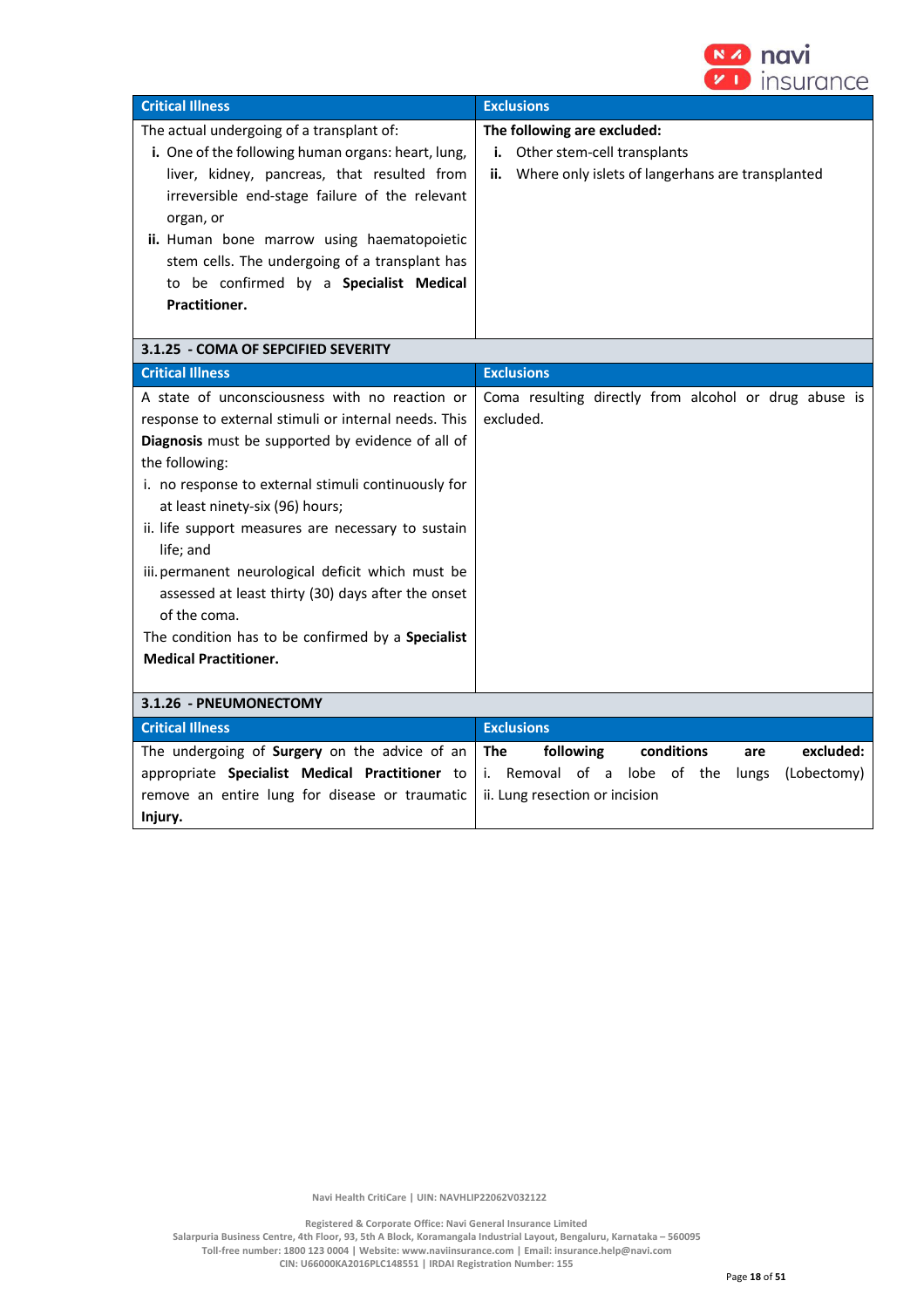

| <b>Critical Illness</b>                                   | <b>Exclusions</b>                                       |
|-----------------------------------------------------------|---------------------------------------------------------|
| The actual undergoing of a transplant of:                 | The following are excluded:                             |
| <b>i.</b> One of the following human organs: heart, lung, | Other stem-cell transplants<br>i.                       |
| liver, kidney, pancreas, that resulted from               | Where only islets of langerhans are transplanted<br>ii. |
| irreversible end-stage failure of the relevant            |                                                         |
| organ, or                                                 |                                                         |
| <b>ii.</b> Human bone marrow using haematopoietic         |                                                         |
| stem cells. The undergoing of a transplant has            |                                                         |
| to be confirmed by a Specialist Medical                   |                                                         |
| Practitioner.                                             |                                                         |
|                                                           |                                                         |
| 3.1.25 - COMA OF SEPCIFIED SEVERITY                       |                                                         |
| <b>Critical Illness</b>                                   | <b>Exclusions</b>                                       |
| A state of unconsciousness with no reaction or            | Coma resulting directly from alcohol or drug abuse is   |
| response to external stimuli or internal needs. This      | excluded.                                               |

| i esponse to externai stimuii or internai neeus. This    | CACIUUCU.                                           |
|----------------------------------------------------------|-----------------------------------------------------|
| <b>Diagnosis</b> must be supported by evidence of all of |                                                     |
| the following:                                           |                                                     |
| i. no response to external stimuli continuously for      |                                                     |
| at least ninety-six (96) hours;                          |                                                     |
| ii. life support measures are necessary to sustain       |                                                     |
| life; and                                                |                                                     |
| iii. permanent neurological deficit which must be        |                                                     |
| assessed at least thirty (30) days after the onset       |                                                     |
| of the coma.                                             |                                                     |
| The condition has to be confirmed by a <b>Specialist</b> |                                                     |
| <b>Medical Practitioner.</b>                             |                                                     |
|                                                          |                                                     |
| 3.1.26 - PNEUMONECTOMY                                   |                                                     |
| <b>Critical Illness</b>                                  | <b>Exclusions</b>                                   |
| The undergoing of Surgery on the advice of an            | following<br>excluded:<br>The<br>conditions<br>are  |
| appropriate Specialist Medical Practitioner to           | i. Removal of a lobe of the<br>lungs<br>(Lobectomy) |
| remove an entire lung for disease or traumatic           | ii. Lung resection or incision                      |
| Injury.                                                  |                                                     |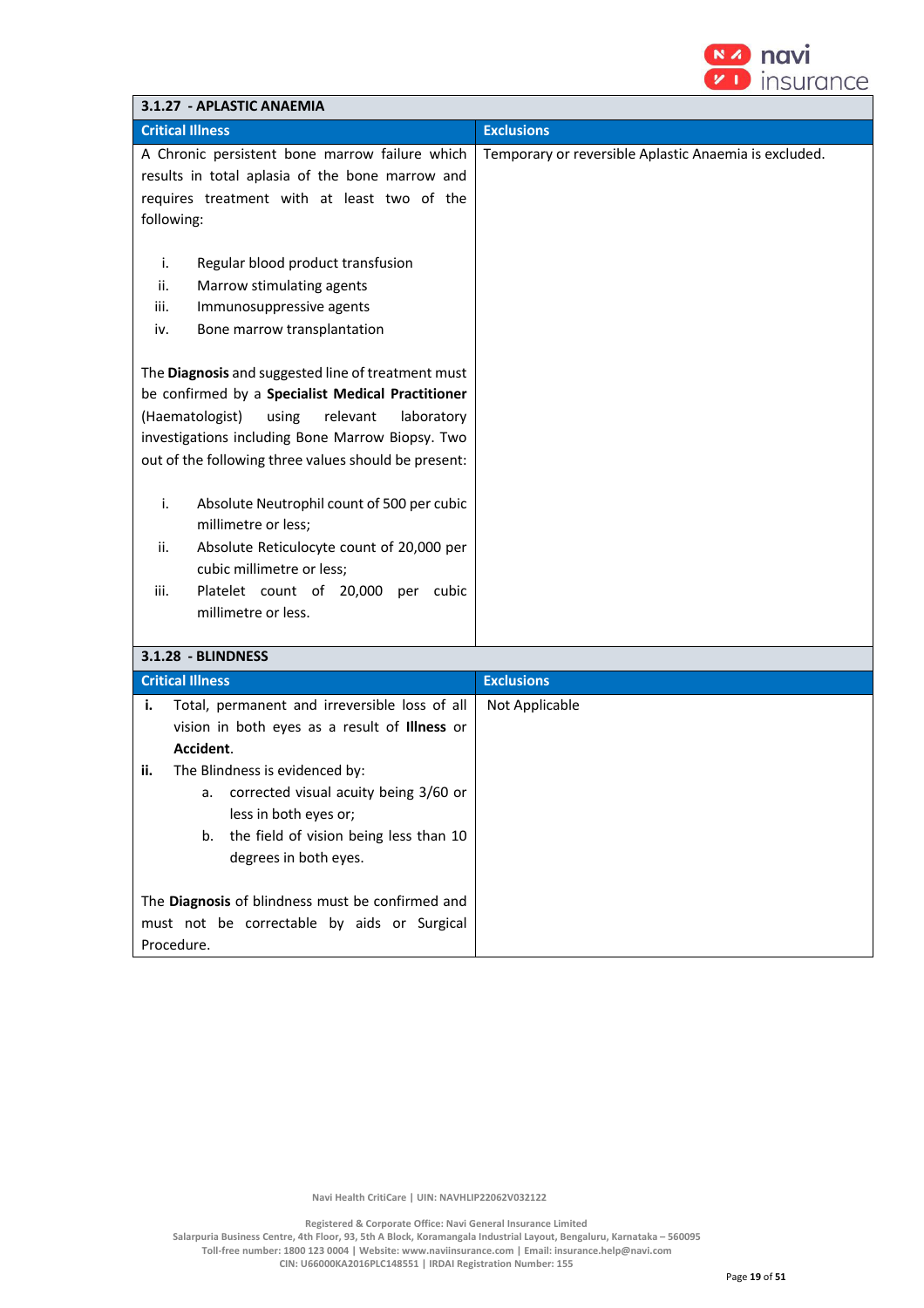

| 3.1.27 - APLASTIC ANAEMIA                                                                                                                                                                                                                                                 |                                                       |  |
|---------------------------------------------------------------------------------------------------------------------------------------------------------------------------------------------------------------------------------------------------------------------------|-------------------------------------------------------|--|
| <b>Critical Illness</b>                                                                                                                                                                                                                                                   | <b>Exclusions</b>                                     |  |
| A Chronic persistent bone marrow failure which<br>results in total aplasia of the bone marrow and<br>requires treatment with at least two of the<br>following:                                                                                                            | Temporary or reversible Aplastic Anaemia is excluded. |  |
| i.<br>Regular blood product transfusion<br>ii.<br>Marrow stimulating agents<br>iii.<br>Immunosuppressive agents<br>Bone marrow transplantation<br>iv.                                                                                                                     |                                                       |  |
| The Diagnosis and suggested line of treatment must<br>be confirmed by a Specialist Medical Practitioner<br>(Haematologist)<br>using<br>relevant<br>laboratory<br>investigations including Bone Marrow Biopsy. Two<br>out of the following three values should be present: |                                                       |  |
| i.<br>Absolute Neutrophil count of 500 per cubic<br>millimetre or less;<br>Absolute Reticulocyte count of 20,000 per<br>ii.<br>cubic millimetre or less;<br>Platelet count of 20,000 per cubic<br>iii.<br>millimetre or less.                                             |                                                       |  |
| 3.1.28 - BLINDNESS                                                                                                                                                                                                                                                        |                                                       |  |
| <b>Critical Illness</b>                                                                                                                                                                                                                                                   | <b>Exclusions</b>                                     |  |
| Total, permanent and irreversible loss of all<br>i.<br>vision in both eyes as a result of Illness or<br>Accident.<br>The Blindness is evidenced by:<br>ii.                                                                                                                | Not Applicable                                        |  |
| corrected visual acuity being 3/60 or<br>a.<br>less in both eyes or;<br>the field of vision being less than 10<br>b.<br>degrees in both eyes.                                                                                                                             |                                                       |  |
| The Diagnosis of blindness must be confirmed and<br>must not be correctable by aids or Surgical<br>Procedure.                                                                                                                                                             |                                                       |  |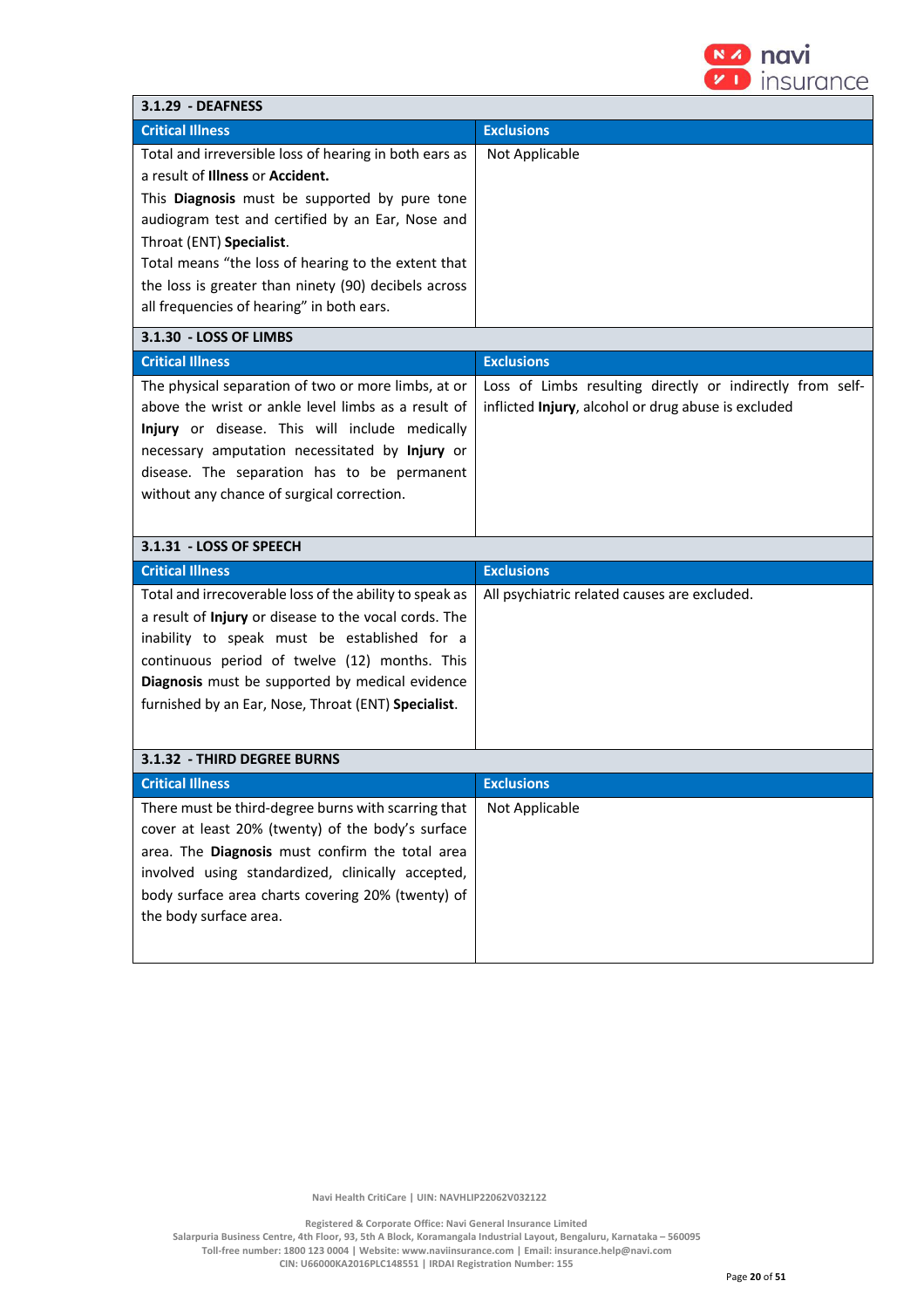

| 3.1.29 - DEAFNESS                                                                                                                                                                                                                                                                                                                                                                       |                                                                                                                  |
|-----------------------------------------------------------------------------------------------------------------------------------------------------------------------------------------------------------------------------------------------------------------------------------------------------------------------------------------------------------------------------------------|------------------------------------------------------------------------------------------------------------------|
| <b>Critical Illness</b>                                                                                                                                                                                                                                                                                                                                                                 | <b>Exclusions</b>                                                                                                |
| Total and irreversible loss of hearing in both ears as<br>a result of Illness or Accident.<br>This Diagnosis must be supported by pure tone<br>audiogram test and certified by an Ear, Nose and<br>Throat (ENT) Specialist.<br>Total means "the loss of hearing to the extent that<br>the loss is greater than ninety (90) decibels across<br>all frequencies of hearing" in both ears. | Not Applicable                                                                                                   |
| 3.1.30 - LOSS OF LIMBS                                                                                                                                                                                                                                                                                                                                                                  |                                                                                                                  |
| <b>Critical Illness</b>                                                                                                                                                                                                                                                                                                                                                                 | <b>Exclusions</b>                                                                                                |
| The physical separation of two or more limbs, at or<br>above the wrist or ankle level limbs as a result of<br>Injury or disease. This will include medically<br>necessary amputation necessitated by Injury or<br>disease. The separation has to be permanent<br>without any chance of surgical correction.                                                                             | Loss of Limbs resulting directly or indirectly from self-<br>inflicted Injury, alcohol or drug abuse is excluded |
| 3.1.31 - LOSS OF SPEECH                                                                                                                                                                                                                                                                                                                                                                 |                                                                                                                  |
| <b>Critical Illness</b>                                                                                                                                                                                                                                                                                                                                                                 | <b>Exclusions</b>                                                                                                |
| Total and irrecoverable loss of the ability to speak as<br>a result of Injury or disease to the vocal cords. The<br>inability to speak must be established for a<br>continuous period of twelve (12) months. This<br>Diagnosis must be supported by medical evidence<br>furnished by an Ear, Nose, Throat (ENT) Specialist.                                                             | All psychiatric related causes are excluded.                                                                     |
| 3.1.32 - THIRD DEGREE BURNS                                                                                                                                                                                                                                                                                                                                                             |                                                                                                                  |
| <b>Critical Illness</b>                                                                                                                                                                                                                                                                                                                                                                 | <b>Exclusions</b>                                                                                                |
| There must be third-degree burns with scarring that<br>cover at least 20% (twenty) of the body's surface<br>area. The Diagnosis must confirm the total area<br>involved using standardized, clinically accepted,<br>body surface area charts covering 20% (twenty) of<br>the body surface area.                                                                                         | Not Applicable                                                                                                   |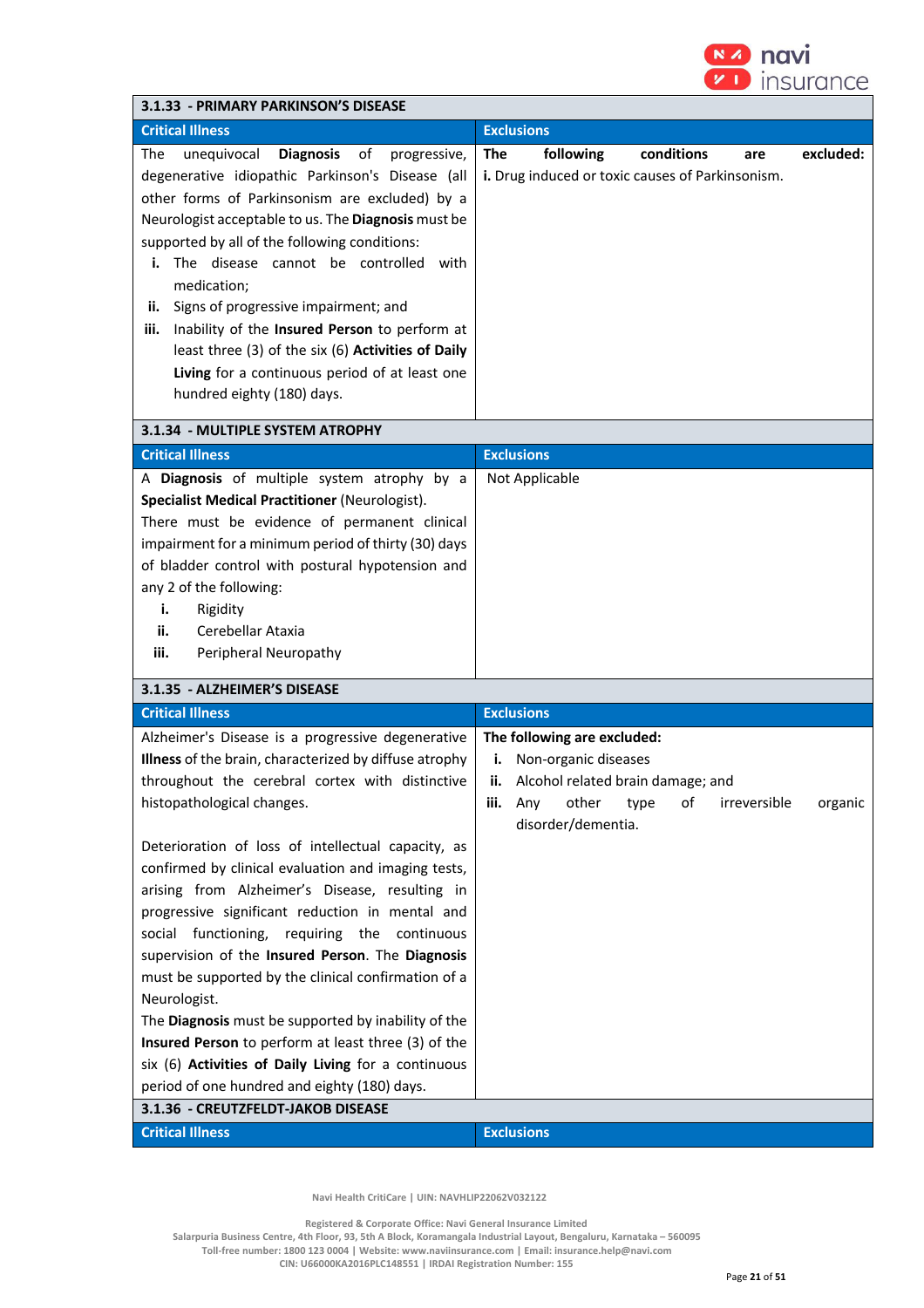

| 3.1.33 - PRIMARY PARKINSON'S DISEASE                                                                                                                                                                                                                                                                                                                                                                                                                                                                                                                                                                                                                                                                                                                                                                                                                    |                                                                                                                                                                                              |
|---------------------------------------------------------------------------------------------------------------------------------------------------------------------------------------------------------------------------------------------------------------------------------------------------------------------------------------------------------------------------------------------------------------------------------------------------------------------------------------------------------------------------------------------------------------------------------------------------------------------------------------------------------------------------------------------------------------------------------------------------------------------------------------------------------------------------------------------------------|----------------------------------------------------------------------------------------------------------------------------------------------------------------------------------------------|
| <b>Critical Illness</b>                                                                                                                                                                                                                                                                                                                                                                                                                                                                                                                                                                                                                                                                                                                                                                                                                                 | <b>Exclusions</b>                                                                                                                                                                            |
| <b>Diagnosis</b><br>οf<br>The<br>unequivocal<br>progressive,<br>degenerative idiopathic Parkinson's Disease (all<br>other forms of Parkinsonism are excluded) by a<br>Neurologist acceptable to us. The Diagnosis must be<br>supported by all of the following conditions:<br>The disease cannot be controlled<br>with<br>i.<br>medication;<br>Signs of progressive impairment; and<br>ii.<br>Inability of the Insured Person to perform at<br>iii.<br>least three (3) of the six (6) Activities of Daily<br>Living for a continuous period of at least one<br>hundred eighty (180) days.                                                                                                                                                                                                                                                               | conditions<br><b>The</b><br>following<br>excluded:<br>are<br>i. Drug induced or toxic causes of Parkinsonism.                                                                                |
| 3.1.34 - MULTIPLE SYSTEM ATROPHY                                                                                                                                                                                                                                                                                                                                                                                                                                                                                                                                                                                                                                                                                                                                                                                                                        |                                                                                                                                                                                              |
| <b>Critical Illness</b>                                                                                                                                                                                                                                                                                                                                                                                                                                                                                                                                                                                                                                                                                                                                                                                                                                 | <b>Exclusions</b>                                                                                                                                                                            |
| A Diagnosis of multiple system atrophy by a<br><b>Specialist Medical Practitioner (Neurologist).</b><br>There must be evidence of permanent clinical<br>impairment for a minimum period of thirty (30) days<br>of bladder control with postural hypotension and<br>any 2 of the following:<br>Rigidity<br>i.<br>ii.<br>Cerebellar Ataxia<br>iii.<br>Peripheral Neuropathy                                                                                                                                                                                                                                                                                                                                                                                                                                                                               | Not Applicable                                                                                                                                                                               |
| 3.1.35 - ALZHEIMER'S DISEASE                                                                                                                                                                                                                                                                                                                                                                                                                                                                                                                                                                                                                                                                                                                                                                                                                            |                                                                                                                                                                                              |
| <b>Critical Illness</b>                                                                                                                                                                                                                                                                                                                                                                                                                                                                                                                                                                                                                                                                                                                                                                                                                                 | <b>Exclusions</b>                                                                                                                                                                            |
| Alzheimer's Disease is a progressive degenerative<br>Illness of the brain, characterized by diffuse atrophy<br>throughout the cerebral cortex with distinctive<br>histopathological changes.<br>Deterioration of loss of intellectual capacity, as<br>confirmed by clinical evaluation and imaging tests,<br>arising from Alzheimer's Disease, resulting in<br>progressive significant reduction in mental and<br>social functioning,<br>requiring the continuous<br>supervision of the Insured Person. The Diagnosis<br>must be supported by the clinical confirmation of a<br>Neurologist.<br>The Diagnosis must be supported by inability of the<br>Insured Person to perform at least three (3) of the<br>six (6) Activities of Daily Living for a continuous<br>period of one hundred and eighty (180) days.<br>3.1.36 - CREUTZFELDT-JAKOB DISEASE | The following are excluded:<br>Non-organic diseases<br>i.<br>Alcohol related brain damage; and<br>ii.<br>irreversible<br>iii.<br>Any<br>other<br>of<br>organic<br>type<br>disorder/dementia. |
| <b>Critical Illness</b>                                                                                                                                                                                                                                                                                                                                                                                                                                                                                                                                                                                                                                                                                                                                                                                                                                 | <b>Exclusions</b>                                                                                                                                                                            |

 **Registered & Corporate Office: Navi General Insurance Limited Salarpuria Business Centre, 4th Floor, 93, 5th A Block, Koramangala Industrial Layout, Bengaluru, Karnataka – 560095 Toll-free number: 1800 123 0004 | Website: www.naviinsurance.com | Email: insurance.help@navi.com** 

**CIN: U66000KA2016PLC148551 | IRDAI Registration Number: 155**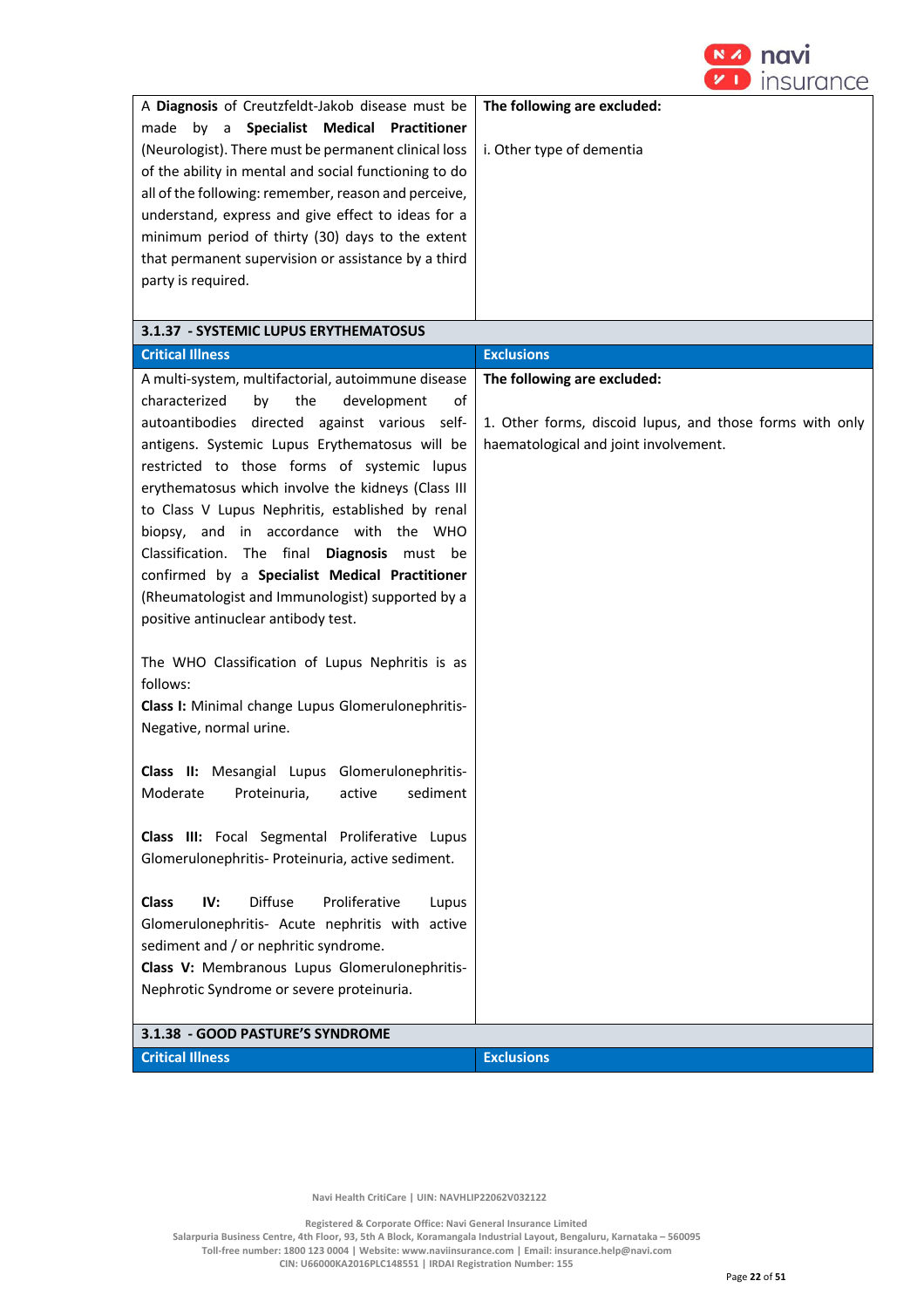

| 3.1.37 - SYSTEMIC LUPUS ERYTHEMATOSUS<br><b>Critical Illness</b><br><b>Exclusions</b><br>A multi-system, multifactorial, autoimmune disease<br>The following are excluded:<br>characterized<br>the<br>development<br>by<br>of<br>autoantibodies directed against various self-<br>1. Other forms, discoid lupus, and those forms with only<br>antigens. Systemic Lupus Erythematosus will be<br>haematological and joint involvement.<br>restricted to those forms of systemic lupus<br>erythematosus which involve the kidneys (Class III<br>to Class V Lupus Nephritis, established by renal<br>biopsy, and in accordance with the WHO<br>Classification. The final Diagnosis must be<br>confirmed by a Specialist Medical Practitioner<br>(Rheumatologist and Immunologist) supported by a<br>positive antinuclear antibody test.<br>The WHO Classification of Lupus Nephritis is as<br>follows:<br>Class I: Minimal change Lupus Glomerulonephritis-<br>Negative, normal urine.<br>Class II: Mesangial Lupus Glomerulonephritis-<br>Moderate<br>Proteinuria,<br>sediment<br>active<br>Class III: Focal Segmental Proliferative Lupus<br>Glomerulonephritis- Proteinuria, active sediment.<br><b>Diffuse</b><br>Proliferative<br>IV:<br><b>Class</b><br>Lupus<br>Glomerulonephritis- Acute nephritis with active<br>sediment and / or nephritic syndrome.<br>Class V: Membranous Lupus Glomerulonephritis-<br>Nephrotic Syndrome or severe proteinuria.<br>3.1.38 - GOOD PASTURE'S SYNDROME | A Diagnosis of Creutzfeldt-Jakob disease must be<br>by a Specialist Medical Practitioner<br>made<br>(Neurologist). There must be permanent clinical loss<br>of the ability in mental and social functioning to do<br>all of the following: remember, reason and perceive,<br>understand, express and give effect to ideas for a<br>minimum period of thirty (30) days to the extent<br>that permanent supervision or assistance by a third<br>party is required. | The following are excluded:<br>i. Other type of dementia |
|------------------------------------------------------------------------------------------------------------------------------------------------------------------------------------------------------------------------------------------------------------------------------------------------------------------------------------------------------------------------------------------------------------------------------------------------------------------------------------------------------------------------------------------------------------------------------------------------------------------------------------------------------------------------------------------------------------------------------------------------------------------------------------------------------------------------------------------------------------------------------------------------------------------------------------------------------------------------------------------------------------------------------------------------------------------------------------------------------------------------------------------------------------------------------------------------------------------------------------------------------------------------------------------------------------------------------------------------------------------------------------------------------------------------------------------------------------------------------------------------|------------------------------------------------------------------------------------------------------------------------------------------------------------------------------------------------------------------------------------------------------------------------------------------------------------------------------------------------------------------------------------------------------------------------------------------------------------------|----------------------------------------------------------|
|                                                                                                                                                                                                                                                                                                                                                                                                                                                                                                                                                                                                                                                                                                                                                                                                                                                                                                                                                                                                                                                                                                                                                                                                                                                                                                                                                                                                                                                                                                |                                                                                                                                                                                                                                                                                                                                                                                                                                                                  |                                                          |
|                                                                                                                                                                                                                                                                                                                                                                                                                                                                                                                                                                                                                                                                                                                                                                                                                                                                                                                                                                                                                                                                                                                                                                                                                                                                                                                                                                                                                                                                                                |                                                                                                                                                                                                                                                                                                                                                                                                                                                                  |                                                          |
|                                                                                                                                                                                                                                                                                                                                                                                                                                                                                                                                                                                                                                                                                                                                                                                                                                                                                                                                                                                                                                                                                                                                                                                                                                                                                                                                                                                                                                                                                                |                                                                                                                                                                                                                                                                                                                                                                                                                                                                  |                                                          |
|                                                                                                                                                                                                                                                                                                                                                                                                                                                                                                                                                                                                                                                                                                                                                                                                                                                                                                                                                                                                                                                                                                                                                                                                                                                                                                                                                                                                                                                                                                |                                                                                                                                                                                                                                                                                                                                                                                                                                                                  |                                                          |
|                                                                                                                                                                                                                                                                                                                                                                                                                                                                                                                                                                                                                                                                                                                                                                                                                                                                                                                                                                                                                                                                                                                                                                                                                                                                                                                                                                                                                                                                                                |                                                                                                                                                                                                                                                                                                                                                                                                                                                                  |                                                          |
|                                                                                                                                                                                                                                                                                                                                                                                                                                                                                                                                                                                                                                                                                                                                                                                                                                                                                                                                                                                                                                                                                                                                                                                                                                                                                                                                                                                                                                                                                                | <b>Critical Illness</b>                                                                                                                                                                                                                                                                                                                                                                                                                                          | <b>Exclusions</b>                                        |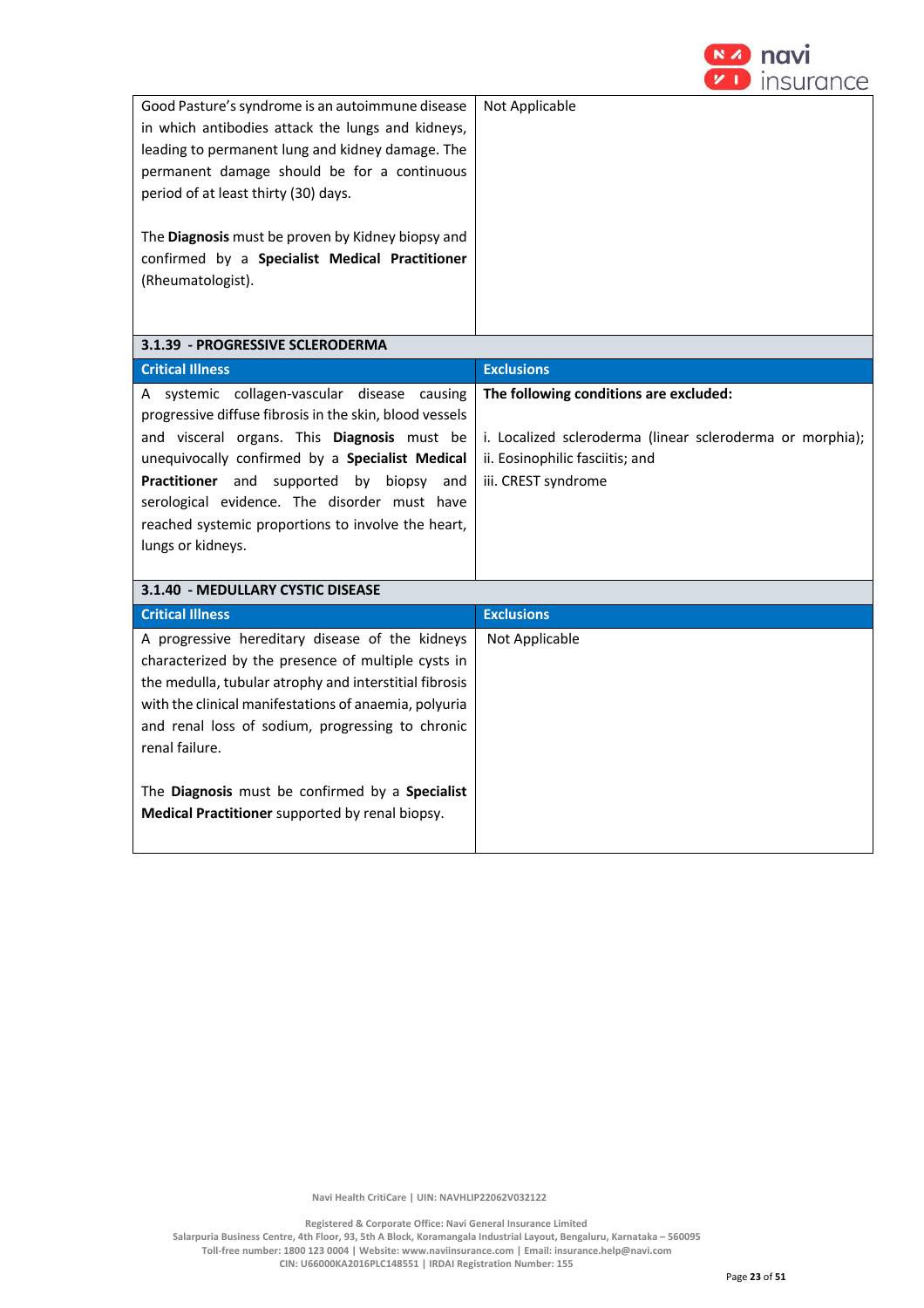

| Good Pasture's syndrome is an autoimmune disease<br>in which antibodies attack the lungs and kidneys,<br>leading to permanent lung and kidney damage. The<br>permanent damage should be for a continuous<br>period of at least thirty (30) days.<br>The Diagnosis must be proven by Kidney biopsy and<br>confirmed by a Specialist Medical Practitioner<br>(Rheumatologist).                         | Not Applicable                                                                                                      |
|------------------------------------------------------------------------------------------------------------------------------------------------------------------------------------------------------------------------------------------------------------------------------------------------------------------------------------------------------------------------------------------------------|---------------------------------------------------------------------------------------------------------------------|
| 3.1.39 - PROGRESSIVE SCLERODERMA                                                                                                                                                                                                                                                                                                                                                                     |                                                                                                                     |
| <b>Critical Illness</b>                                                                                                                                                                                                                                                                                                                                                                              | <b>Exclusions</b>                                                                                                   |
| A systemic collagen-vascular disease causing<br>progressive diffuse fibrosis in the skin, blood vessels                                                                                                                                                                                                                                                                                              | The following conditions are excluded:                                                                              |
| and visceral organs. This Diagnosis must be<br>unequivocally confirmed by a Specialist Medical<br>Practitioner and supported by biopsy and<br>serological evidence. The disorder must have<br>reached systemic proportions to involve the heart,<br>lungs or kidneys.                                                                                                                                | i. Localized scleroderma (linear scleroderma or morphia);<br>ii. Eosinophilic fasciitis; and<br>iii. CREST syndrome |
| 3.1.40 - MEDULLARY CYSTIC DISEASE                                                                                                                                                                                                                                                                                                                                                                    |                                                                                                                     |
| <b>Critical Illness</b>                                                                                                                                                                                                                                                                                                                                                                              | <b>Exclusions</b>                                                                                                   |
| A progressive hereditary disease of the kidneys<br>characterized by the presence of multiple cysts in<br>the medulla, tubular atrophy and interstitial fibrosis<br>with the clinical manifestations of anaemia, polyuria<br>and renal loss of sodium, progressing to chronic<br>renal failure.<br>The Diagnosis must be confirmed by a Specialist<br>Medical Practitioner supported by renal biopsy. | Not Applicable                                                                                                      |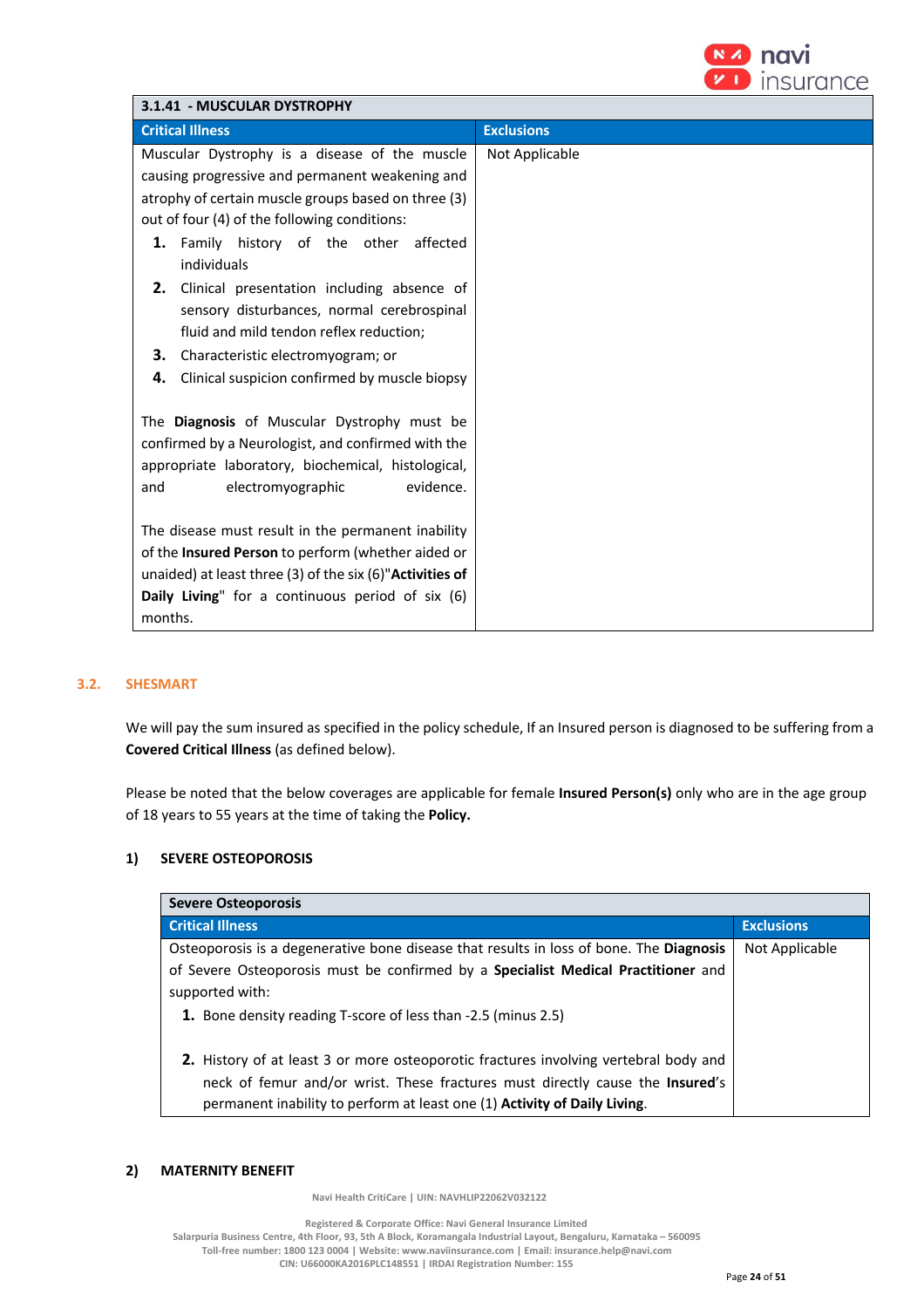

| 3.1.41 - MUSCULAR DYSTROPHY                                   |                   |  |  |  |
|---------------------------------------------------------------|-------------------|--|--|--|
| <b>Critical Illness</b>                                       | <b>Exclusions</b> |  |  |  |
| Muscular Dystrophy is a disease of the muscle                 | Not Applicable    |  |  |  |
| causing progressive and permanent weakening and               |                   |  |  |  |
| atrophy of certain muscle groups based on three (3)           |                   |  |  |  |
| out of four (4) of the following conditions:                  |                   |  |  |  |
| 1. Family history of the other affected                       |                   |  |  |  |
| individuals                                                   |                   |  |  |  |
| 2. Clinical presentation including absence of                 |                   |  |  |  |
| sensory disturbances, normal cerebrospinal                    |                   |  |  |  |
| fluid and mild tendon reflex reduction;                       |                   |  |  |  |
| 3. Characteristic electromyogram; or                          |                   |  |  |  |
| Clinical suspicion confirmed by muscle biopsy<br>4.           |                   |  |  |  |
|                                                               |                   |  |  |  |
| The Diagnosis of Muscular Dystrophy must be                   |                   |  |  |  |
| confirmed by a Neurologist, and confirmed with the            |                   |  |  |  |
| appropriate laboratory, biochemical, histological,            |                   |  |  |  |
| evidence.<br>and<br>electromyographic                         |                   |  |  |  |
|                                                               |                   |  |  |  |
| The disease must result in the permanent inability            |                   |  |  |  |
| of the Insured Person to perform (whether aided or            |                   |  |  |  |
| unaided) at least three $(3)$ of the six $(6)$ "Activities of |                   |  |  |  |
| Daily Living" for a continuous period of six (6)              |                   |  |  |  |
| months.                                                       |                   |  |  |  |

## **3.2. SHESMART**

We will pay the sum insured as specified in the policy schedule, If an Insured person is diagnosed to be suffering from a **Covered Critical Illness** (as defined below).

Please be noted that the below coverages are applicable for female **Insured Person(s)** only who are in the age group of 18 years to 55 years at the time of taking the **Policy.**

## **1) SEVERE OSTEOPOROSIS**

| <b>Severe Osteoporosis</b>                                                                                                                                                                                                                                |                   |  |  |
|-----------------------------------------------------------------------------------------------------------------------------------------------------------------------------------------------------------------------------------------------------------|-------------------|--|--|
| <b>Critical Illness</b>                                                                                                                                                                                                                                   | <b>Exclusions</b> |  |  |
| Osteoporosis is a degenerative bone disease that results in loss of bone. The Diagnosis                                                                                                                                                                   | Not Applicable    |  |  |
| of Severe Osteoporosis must be confirmed by a Specialist Medical Practitioner and                                                                                                                                                                         |                   |  |  |
| supported with:                                                                                                                                                                                                                                           |                   |  |  |
| 1. Bone density reading T-score of less than -2.5 (minus 2.5)                                                                                                                                                                                             |                   |  |  |
| 2. History of at least 3 or more osteoporotic fractures involving vertebral body and<br>neck of femur and/or wrist. These fractures must directly cause the <b>Insured's</b><br>permanent inability to perform at least one (1) Activity of Daily Living. |                   |  |  |

## **2) MATERNITY BENEFIT**

 **Navi Health CritiCare | UIN: NAVHLIP22062V032122**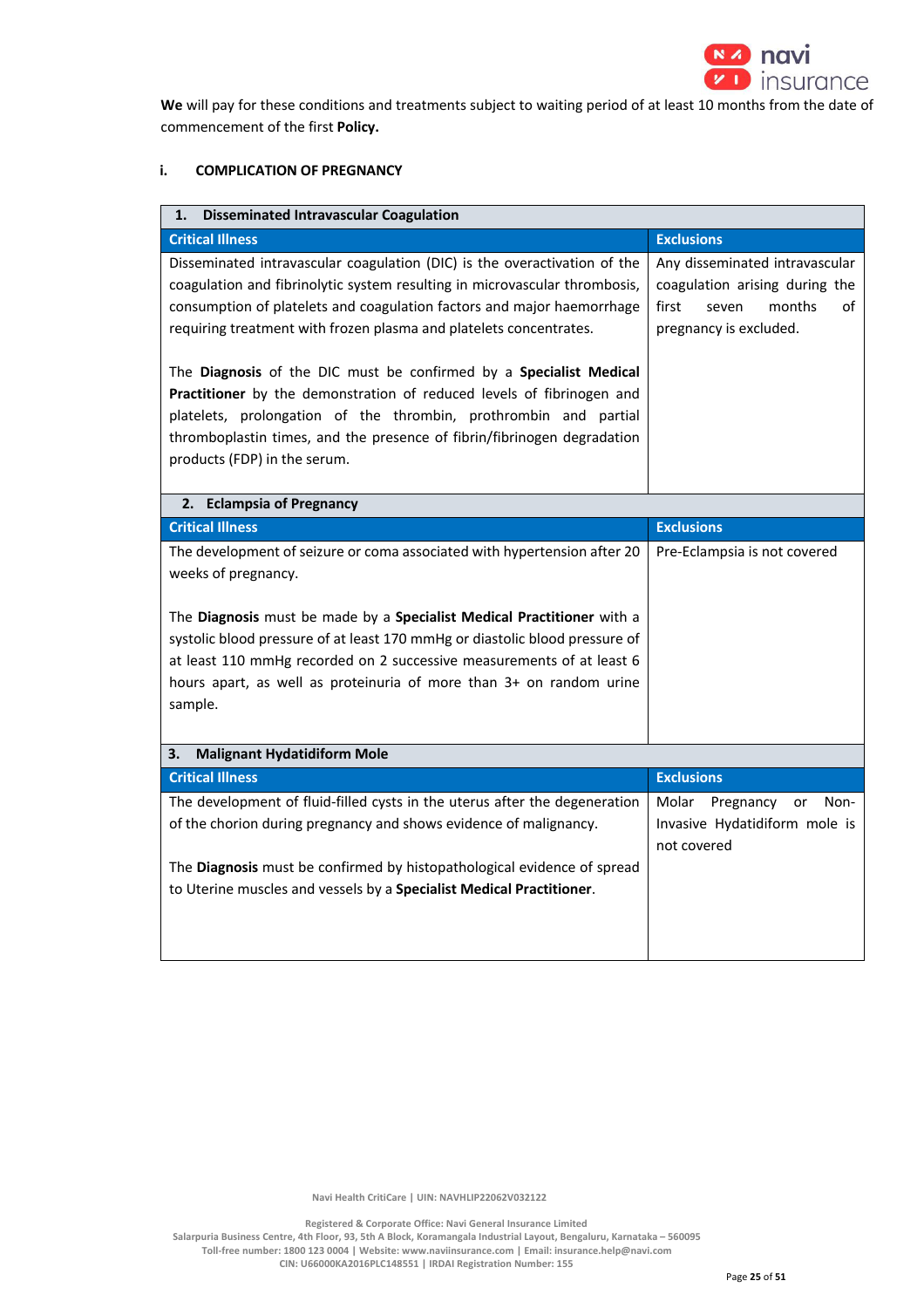

**We** will pay for these conditions and treatments subject to waiting period of at least 10 months from the date of commencement of the first **Policy.** 

# **i. COMPLICATION OF PREGNANCY**

| <b>Disseminated Intravascular Coagulation</b><br>1.                                                                                       |                                |
|-------------------------------------------------------------------------------------------------------------------------------------------|--------------------------------|
| <b>Critical Illness</b>                                                                                                                   | <b>Exclusions</b>              |
| Disseminated intravascular coagulation (DIC) is the overactivation of the                                                                 | Any disseminated intravascular |
| coagulation and fibrinolytic system resulting in microvascular thrombosis,                                                                | coagulation arising during the |
| consumption of platelets and coagulation factors and major haemorrhage                                                                    | first<br>months<br>οf<br>seven |
| requiring treatment with frozen plasma and platelets concentrates.                                                                        | pregnancy is excluded.         |
|                                                                                                                                           |                                |
| The Diagnosis of the DIC must be confirmed by a Specialist Medical                                                                        |                                |
| Practitioner by the demonstration of reduced levels of fibrinogen and<br>platelets, prolongation of the thrombin, prothrombin and partial |                                |
| thromboplastin times, and the presence of fibrin/fibrinogen degradation                                                                   |                                |
| products (FDP) in the serum.                                                                                                              |                                |
|                                                                                                                                           |                                |
| 2. Eclampsia of Pregnancy                                                                                                                 |                                |
| <b>Critical Illness</b>                                                                                                                   | <b>Exclusions</b>              |
| The development of seizure or coma associated with hypertension after 20                                                                  | Pre-Eclampsia is not covered   |
| weeks of pregnancy.                                                                                                                       |                                |
|                                                                                                                                           |                                |
| The Diagnosis must be made by a Specialist Medical Practitioner with a                                                                    |                                |
| systolic blood pressure of at least 170 mmHg or diastolic blood pressure of                                                               |                                |
| at least 110 mmHg recorded on 2 successive measurements of at least 6                                                                     |                                |
| hours apart, as well as proteinuria of more than 3+ on random urine                                                                       |                                |
| sample.                                                                                                                                   |                                |
|                                                                                                                                           |                                |
| <b>Malignant Hydatidiform Mole</b><br>3.                                                                                                  |                                |
|                                                                                                                                           |                                |
| <b>Critical Illness</b>                                                                                                                   | <b>Exclusions</b>              |
| The development of fluid-filled cysts in the uterus after the degeneration                                                                | Molar Pregnancy<br>Non-<br>or  |
| of the chorion during pregnancy and shows evidence of malignancy.                                                                         | Invasive Hydatidiform mole is  |
|                                                                                                                                           | not covered                    |
| The Diagnosis must be confirmed by histopathological evidence of spread                                                                   |                                |
| to Uterine muscles and vessels by a Specialist Medical Practitioner.                                                                      |                                |
|                                                                                                                                           |                                |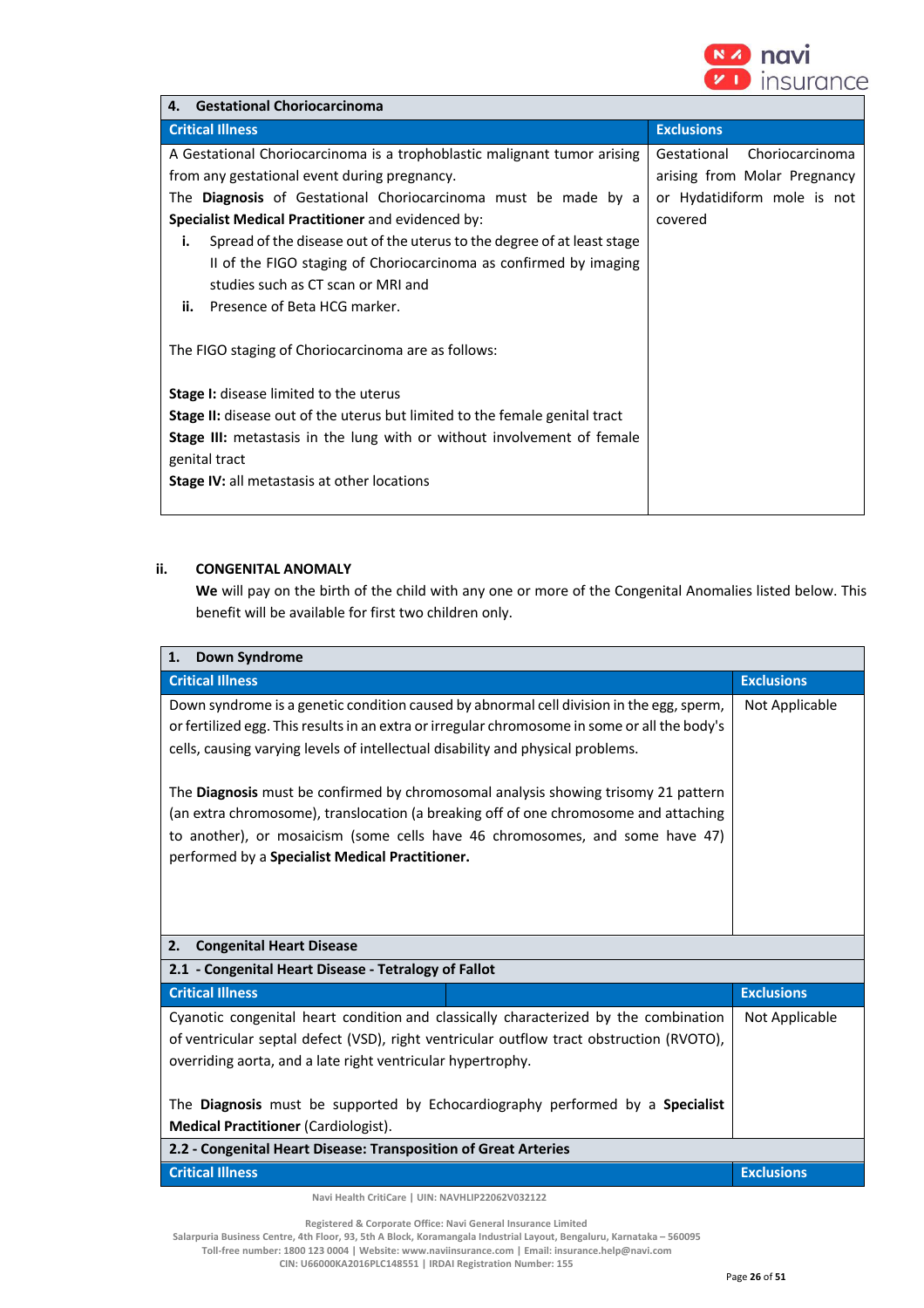

| <b>Gestational Choriocarcinoma</b><br>4.                                           |                                |  |  |  |  |
|------------------------------------------------------------------------------------|--------------------------------|--|--|--|--|
| <b>Critical Illness</b>                                                            | <b>Exclusions</b>              |  |  |  |  |
| A Gestational Choriocarcinoma is a trophoblastic malignant tumor arising           | Gestational<br>Choriocarcinoma |  |  |  |  |
| from any gestational event during pregnancy.                                       | arising from Molar Pregnancy   |  |  |  |  |
| The <b>Diagnosis</b> of Gestational Choriocarcinoma must be made by a              | or Hydatidiform mole is not    |  |  |  |  |
| Specialist Medical Practitioner and evidenced by:                                  | covered                        |  |  |  |  |
| Spread of the disease out of the uterus to the degree of at least stage<br>i.      |                                |  |  |  |  |
| II of the FIGO staging of Choriocarcinoma as confirmed by imaging                  |                                |  |  |  |  |
| studies such as CT scan or MRI and                                                 |                                |  |  |  |  |
| Presence of Beta HCG marker.<br>ii.                                                |                                |  |  |  |  |
| The FIGO staging of Choriocarcinoma are as follows:                                |                                |  |  |  |  |
| <b>Stage I:</b> disease limited to the uterus                                      |                                |  |  |  |  |
| <b>Stage II:</b> disease out of the uterus but limited to the female genital tract |                                |  |  |  |  |
| <b>Stage III:</b> metastasis in the lung with or without involvement of female     |                                |  |  |  |  |
| genital tract                                                                      |                                |  |  |  |  |
| <b>Stage IV:</b> all metastasis at other locations                                 |                                |  |  |  |  |
|                                                                                    |                                |  |  |  |  |

# **ii. CONGENITAL ANOMALY**

**We** will pay on the birth of the child with any one or more of the Congenital Anomalies listed below. This benefit will be available for first two children only.

| <b>Critical Illness</b><br>Down syndrome is a genetic condition caused by abnormal cell division in the egg, sperm,<br>or fertilized egg. This results in an extra or irregular chromosome in some or all the body's<br>cells, causing varying levels of intellectual disability and physical problems.       | <b>Exclusions</b> |
|---------------------------------------------------------------------------------------------------------------------------------------------------------------------------------------------------------------------------------------------------------------------------------------------------------------|-------------------|
|                                                                                                                                                                                                                                                                                                               |                   |
| The Diagnosis must be confirmed by chromosomal analysis showing trisomy 21 pattern<br>(an extra chromosome), translocation (a breaking off of one chromosome and attaching<br>to another), or mosaicism (some cells have 46 chromosomes, and some have 47)<br>performed by a Specialist Medical Practitioner. | Not Applicable    |
|                                                                                                                                                                                                                                                                                                               |                   |
| <b>Congenital Heart Disease</b><br>2.                                                                                                                                                                                                                                                                         |                   |
| 2.1 - Congenital Heart Disease - Tetralogy of Fallot                                                                                                                                                                                                                                                          |                   |
|                                                                                                                                                                                                                                                                                                               | <b>Exclusions</b> |
|                                                                                                                                                                                                                                                                                                               |                   |
| <b>Critical Illness</b><br>Cyanotic congenital heart condition and classically characterized by the combination<br>of ventricular septal defect (VSD), right ventricular outflow tract obstruction (RVOTO),<br>overriding aorta, and a late right ventricular hypertrophy.                                    | Not Applicable    |
| The Diagnosis must be supported by Echocardiography performed by a Specialist<br><b>Medical Practitioner (Cardiologist).</b>                                                                                                                                                                                  |                   |
| 2.2 - Congenital Heart Disease: Transposition of Great Arteries                                                                                                                                                                                                                                               |                   |
| <b>Critical Illness</b>                                                                                                                                                                                                                                                                                       | <b>Exclusions</b> |

 **Registered & Corporate Office: Navi General Insurance Limited**

**Salarpuria Business Centre, 4th Floor, 93, 5th A Block, Koramangala Industrial Layout, Bengaluru, Karnataka – 560095 Toll-free number: 1800 123 0004 | Website: www.naviinsurance.com | Email: insurance.help@navi.com** 

**CIN: U66000KA2016PLC148551 | IRDAI Registration Number: 155**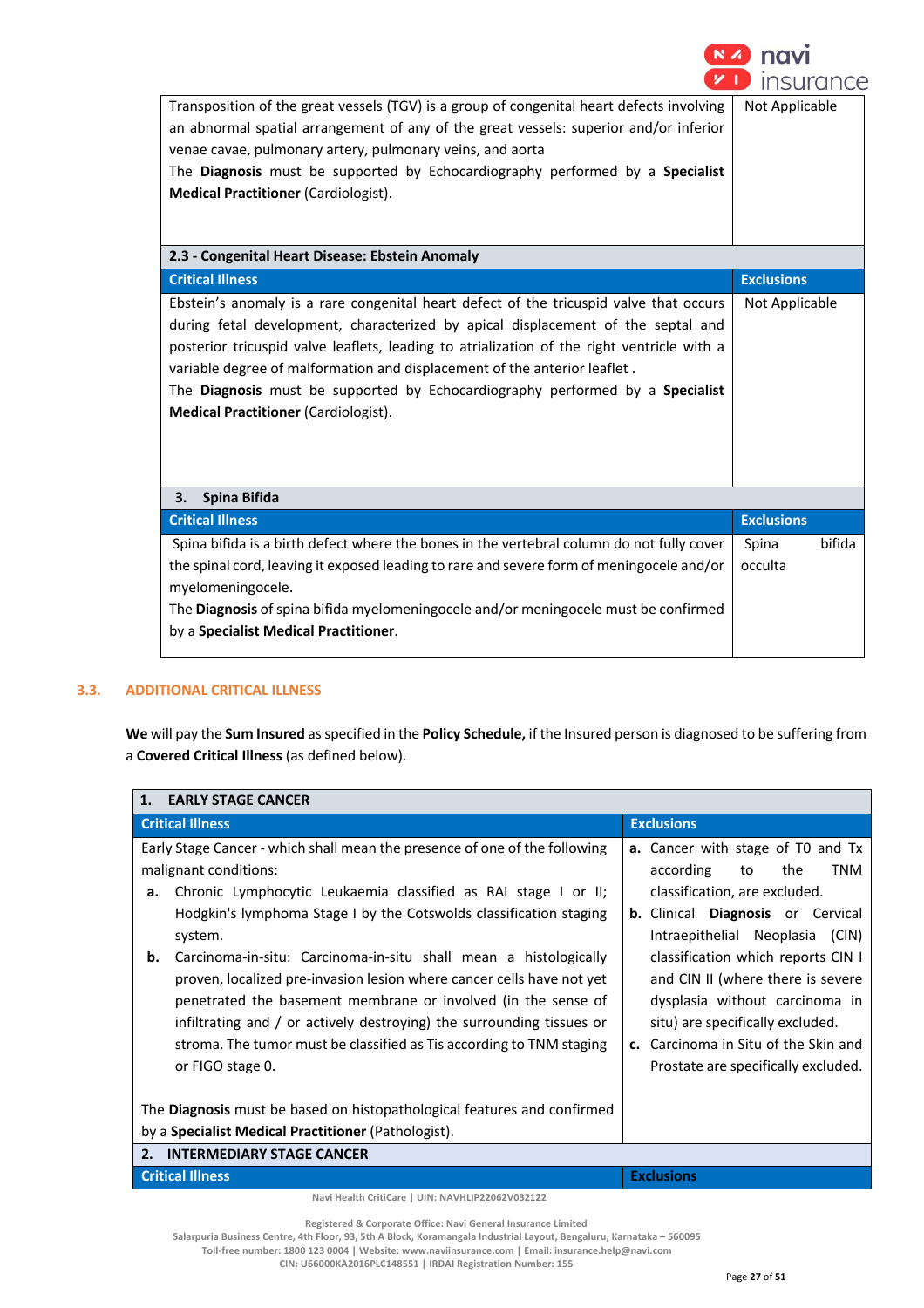

| Transposition of the great vessels (TGV) is a group of congenital heart defects involving  | Not Applicable    |        |
|--------------------------------------------------------------------------------------------|-------------------|--------|
| an abnormal spatial arrangement of any of the great vessels: superior and/or inferior      |                   |        |
| venae cavae, pulmonary artery, pulmonary veins, and aorta                                  |                   |        |
| The Diagnosis must be supported by Echocardiography performed by a Specialist              |                   |        |
| <b>Medical Practitioner (Cardiologist).</b>                                                |                   |        |
|                                                                                            |                   |        |
|                                                                                            |                   |        |
| 2.3 - Congenital Heart Disease: Ebstein Anomaly                                            |                   |        |
| <b>Critical Illness</b>                                                                    | <b>Exclusions</b> |        |
| Ebstein's anomaly is a rare congenital heart defect of the tricuspid valve that occurs     | Not Applicable    |        |
| during fetal development, characterized by apical displacement of the septal and           |                   |        |
| posterior tricuspid valve leaflets, leading to atrialization of the right ventricle with a |                   |        |
| variable degree of malformation and displacement of the anterior leaflet.                  |                   |        |
| The Diagnosis must be supported by Echocardiography performed by a Specialist              |                   |        |
| <b>Medical Practitioner (Cardiologist).</b>                                                |                   |        |
|                                                                                            |                   |        |
|                                                                                            |                   |        |
|                                                                                            |                   |        |
| Spina Bifida<br>3.                                                                         |                   |        |
| <b>Critical Illness</b>                                                                    | <b>Exclusions</b> |        |
| Spina bifida is a birth defect where the bones in the vertebral column do not fully cover  | Spina             | bifida |
| the spinal cord, leaving it exposed leading to rare and severe form of meningocele and/or  | occulta           |        |
| myelomeningocele.                                                                          |                   |        |
| The Diagnosis of spina bifida myelomeningocele and/or meningocele must be confirmed        |                   |        |
| by a Specialist Medical Practitioner.                                                      |                   |        |
|                                                                                            |                   |        |

## **3.3. ADDITIONAL CRITICAL ILLNESS**

**We** will pay the **Sum Insured** as specified in the **Policy Schedule,** if the Insured person is diagnosed to be suffering from a **Covered Critical Illness** (as defined below).

|          | 1. EARLY STAGE CANCER                                                                                                                                                                                                                                                                                                                                                                                                                                                                                                                                                                                                                                                                                                |                                                                                                                                                                                                                                                                                                                                                                                                                           |
|----------|----------------------------------------------------------------------------------------------------------------------------------------------------------------------------------------------------------------------------------------------------------------------------------------------------------------------------------------------------------------------------------------------------------------------------------------------------------------------------------------------------------------------------------------------------------------------------------------------------------------------------------------------------------------------------------------------------------------------|---------------------------------------------------------------------------------------------------------------------------------------------------------------------------------------------------------------------------------------------------------------------------------------------------------------------------------------------------------------------------------------------------------------------------|
|          | <b>Critical Illness</b>                                                                                                                                                                                                                                                                                                                                                                                                                                                                                                                                                                                                                                                                                              | <b>Exclusions</b>                                                                                                                                                                                                                                                                                                                                                                                                         |
| а.<br>b. | Early Stage Cancer - which shall mean the presence of one of the following<br>malignant conditions:<br>Chronic Lymphocytic Leukaemia classified as RAI stage I or II;<br>Hodgkin's lymphoma Stage I by the Cotswolds classification staging<br>system.<br>Carcinoma-in-situ: Carcinoma-in-situ shall mean a histologically<br>proven, localized pre-invasion lesion where cancer cells have not yet<br>penetrated the basement membrane or involved (in the sense of<br>infiltrating and / or actively destroying) the surrounding tissues or<br>stroma. The tumor must be classified as Tis according to TNM staging<br>or FIGO stage 0.<br>The Diagnosis must be based on histopathological features and confirmed | a. Cancer with stage of T0 and Tx<br>according<br><b>TNM</b><br>to<br>the<br>classification, are excluded.<br><b>b.</b> Clinical Diagnosis or Cervical<br>Intraepithelial Neoplasia (CIN)<br>classification which reports CIN I<br>and CIN II (where there is severe<br>dysplasia without carcinoma in<br>situ) are specifically excluded.<br>c. Carcinoma in Situ of the Skin and<br>Prostate are specifically excluded. |
|          | by a Specialist Medical Practitioner (Pathologist).                                                                                                                                                                                                                                                                                                                                                                                                                                                                                                                                                                                                                                                                  |                                                                                                                                                                                                                                                                                                                                                                                                                           |
|          | 2. INTERMEDIARY STAGE CANCER                                                                                                                                                                                                                                                                                                                                                                                                                                                                                                                                                                                                                                                                                         |                                                                                                                                                                                                                                                                                                                                                                                                                           |
|          | <b>Critical Illness</b>                                                                                                                                                                                                                                                                                                                                                                                                                                                                                                                                                                                                                                                                                              | <b>Exclusions</b>                                                                                                                                                                                                                                                                                                                                                                                                         |
|          | Navi Health CritiCare   UIN: NAVHLIP22062V032122                                                                                                                                                                                                                                                                                                                                                                                                                                                                                                                                                                                                                                                                     |                                                                                                                                                                                                                                                                                                                                                                                                                           |

**Salarpuria Business Centre, 4th Floor, 93, 5th A Block, Koramangala Industrial Layout, Bengaluru, Karnataka – 560095** 

**Toll-free number: 1800 123 0004 | Website: www.naviinsurance.com | Email: insurance.help@navi.com CIN: U66000KA2016PLC148551 | IRDAI Registration Number: 155**

**Registered & Corporate Office: Navi General Insurance Limited**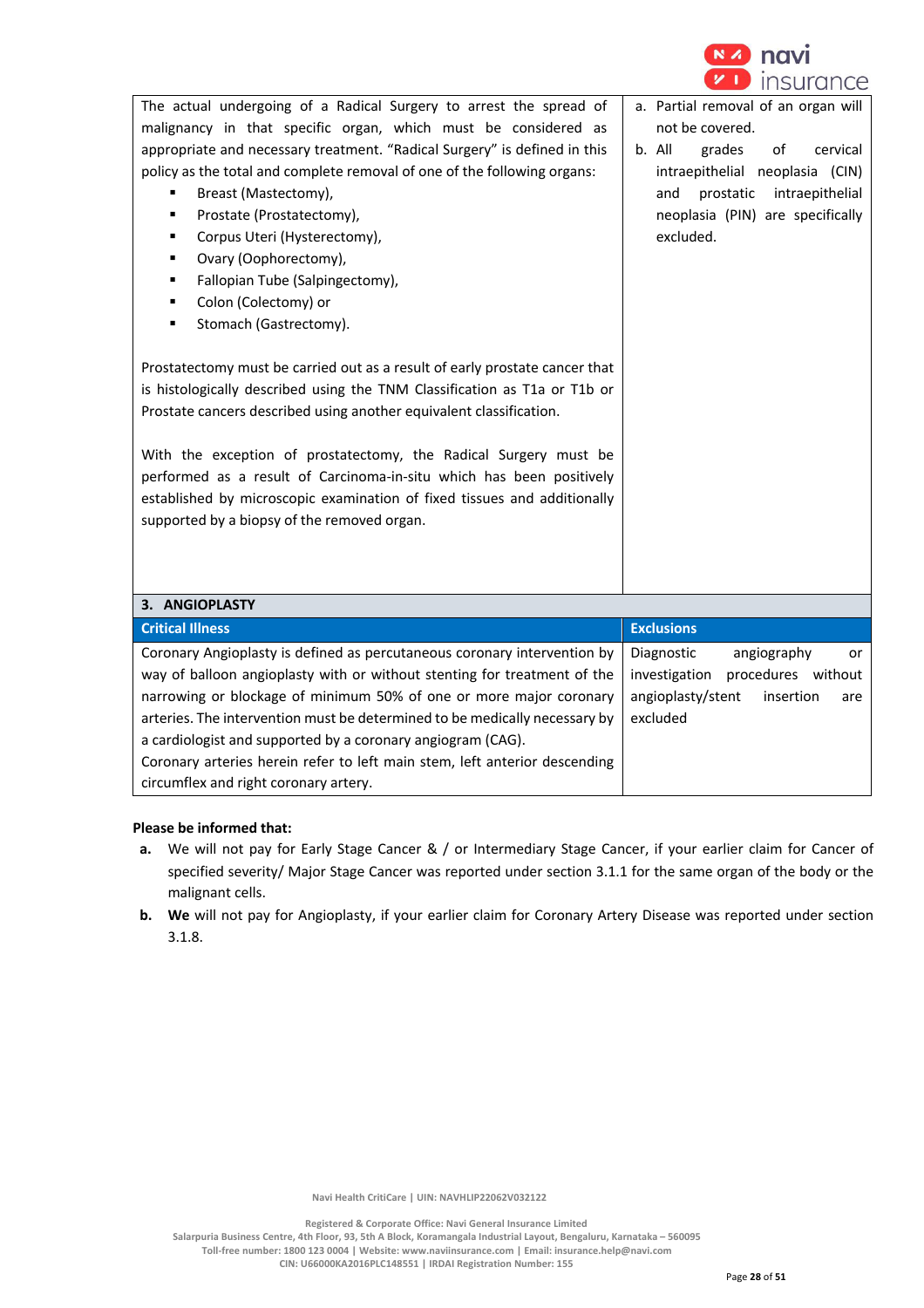

| The actual undergoing of a Radical Surgery to arrest the spread of<br>malignancy in that specific organ, which must be considered as<br>appropriate and necessary treatment. "Radical Surgery" is defined in this<br>policy as the total and complete removal of one of the following organs:<br>Breast (Mastectomy),<br>Prostate (Prostatectomy),<br>Corpus Uteri (Hysterectomy),<br>Ovary (Oophorectomy),<br>٠<br>Fallopian Tube (Salpingectomy),<br>٠<br>Colon (Colectomy) or<br>٠<br>Stomach (Gastrectomy).<br>٠<br>Prostatectomy must be carried out as a result of early prostate cancer that<br>is histologically described using the TNM Classification as T1a or T1b or<br>Prostate cancers described using another equivalent classification.<br>With the exception of prostatectomy, the Radical Surgery must be<br>performed as a result of Carcinoma-in-situ which has been positively<br>established by microscopic examination of fixed tissues and additionally<br>supported by a biopsy of the removed organ. | a. Partial removal of an organ will<br>not be covered.<br>b. All<br>grades<br>of<br>cervical<br>intraepithelial neoplasia (CIN)<br>intraepithelial<br>prostatic<br>and<br>neoplasia (PIN) are specifically<br>excluded. |
|--------------------------------------------------------------------------------------------------------------------------------------------------------------------------------------------------------------------------------------------------------------------------------------------------------------------------------------------------------------------------------------------------------------------------------------------------------------------------------------------------------------------------------------------------------------------------------------------------------------------------------------------------------------------------------------------------------------------------------------------------------------------------------------------------------------------------------------------------------------------------------------------------------------------------------------------------------------------------------------------------------------------------------|-------------------------------------------------------------------------------------------------------------------------------------------------------------------------------------------------------------------------|
| 3. ANGIOPLASTY                                                                                                                                                                                                                                                                                                                                                                                                                                                                                                                                                                                                                                                                                                                                                                                                                                                                                                                                                                                                                 |                                                                                                                                                                                                                         |
| <b>Critical Illness</b>                                                                                                                                                                                                                                                                                                                                                                                                                                                                                                                                                                                                                                                                                                                                                                                                                                                                                                                                                                                                        | <b>Exclusions</b>                                                                                                                                                                                                       |
| Coronary Angioplasty is defined as percutaneous coronary intervention by<br>way of balloon angioplasty with or without stenting for treatment of the<br>narrowing or blockage of minimum 50% of one or more major coronary<br>arteries. The intervention must be determined to be medically necessary by<br>a cardiologist and supported by a coronary angiogram (CAG).<br>Coronary arteries herein refer to left main stem, left anterior descending<br>circumflex and right coronary artery.                                                                                                                                                                                                                                                                                                                                                                                                                                                                                                                                 | Diagnostic<br>angiography<br>or<br>investigation procedures without<br>angioplasty/stent<br>insertion<br>are<br>excluded                                                                                                |

### **Please be informed that:**

- **a.** We will not pay for Early Stage Cancer & / or Intermediary Stage Cancer, if your earlier claim for Cancer of specified severity/ Major Stage Cancer was reported under section 3.1.1 for the same organ of the body or the malignant cells.
- **b. We** will not pay for Angioplasty, if your earlier claim for Coronary Artery Disease was reported under section 3.1.8.

 **Navi Health CritiCare | UIN: NAVHLIP22062V032122**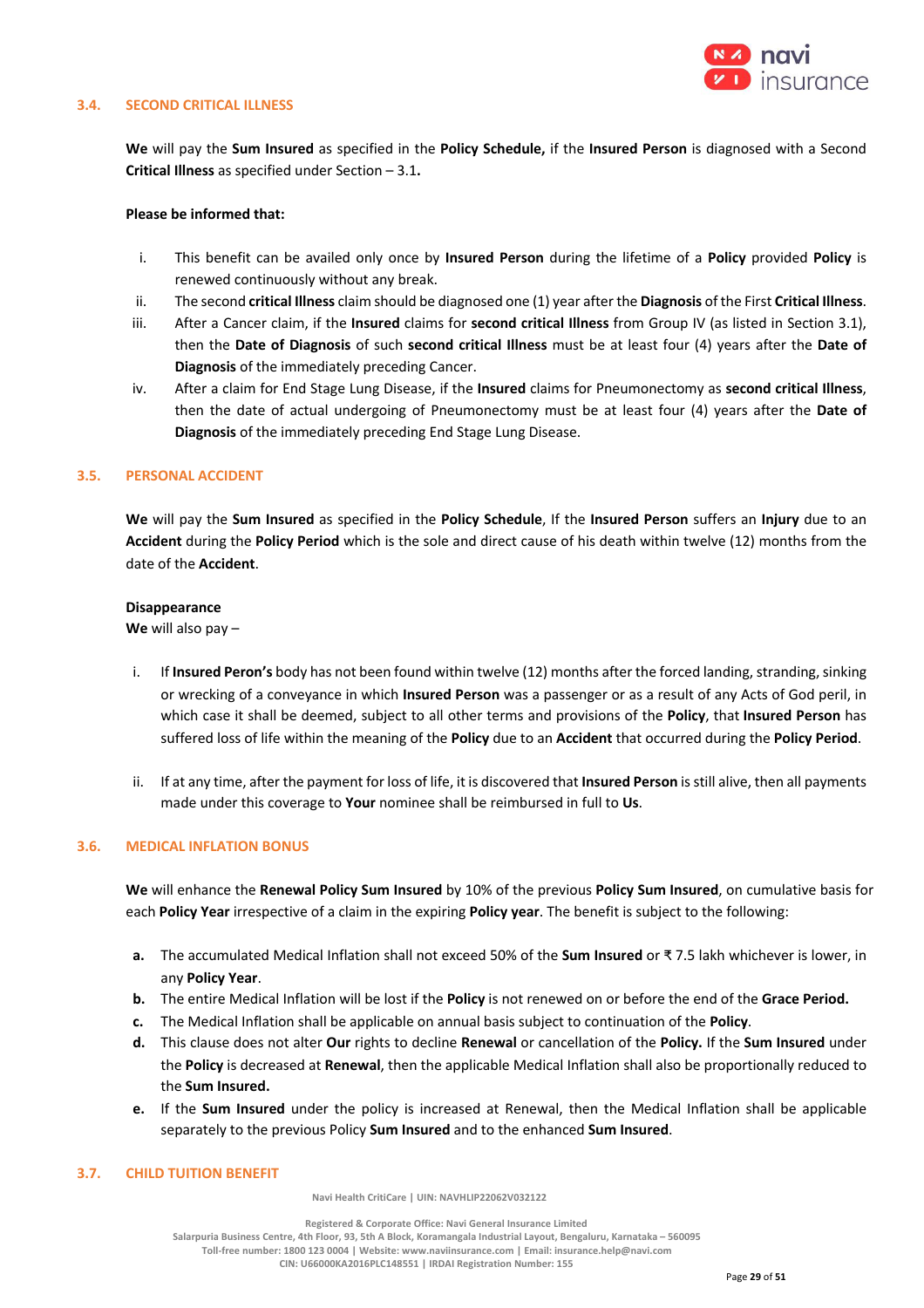

#### **3.4. SECOND CRITICAL ILLNESS**

**We** will pay the **Sum Insured** as specified in the **Policy Schedule,** if the **Insured Person** is diagnosed with a Second **Critical Illness** as specified under Section – 3.1**.** 

### **Please be informed that:**

- i. This benefit can be availed only once by **Insured Person** during the lifetime of a **Policy** provided **Policy** is renewed continuously without any break.
- ii. The second **critical Illness** claim should be diagnosed one (1) year after the **Diagnosis** of the First **Critical Illness**.
- iii. After a Cancer claim, if the **Insured** claims for **second critical Illness** from Group IV (as listed in Section 3.1), then the **Date of Diagnosis** of such **second critical Illness** must be at least four (4) years after the **Date of Diagnosis** of the immediately preceding Cancer.
- iv. After a claim for End Stage Lung Disease, if the **Insured** claims for Pneumonectomy as **second critical Illness**, then the date of actual undergoing of Pneumonectomy must be at least four (4) years after the **Date of Diagnosis** of the immediately preceding End Stage Lung Disease.

#### **3.5. PERSONAL ACCIDENT**

**We** will pay the **Sum Insured** as specified in the **Policy Schedule**, If the **Insured Person** suffers an **Injury** due to an **Accident** during the **Policy Period** which is the sole and direct cause of his death within twelve (12) months from the date of the **Accident**.

#### **Disappearance**

**We** will also pay –

- i. If **Insured Peron's** body has not been found within twelve (12) months after the forced landing, stranding, sinking or wrecking of a conveyance in which **Insured Person** was a passenger or as a result of any Acts of God peril, in which case it shall be deemed, subject to all other terms and provisions of the **Policy**, that **Insured Person** has suffered loss of life within the meaning of the **Policy** due to an **Accident** that occurred during the **Policy Period**.
- ii. If at any time, after the payment for loss of life, it is discovered that **Insured Person** is still alive, then all payments made under this coverage to **Your** nominee shall be reimbursed in full to **Us**.

#### **3.6. MEDICAL INFLATION BONUS**

**We** will enhance the **Renewal Policy Sum Insured** by 10% of the previous **Policy Sum Insured**, on cumulative basis for each **Policy Year** irrespective of a claim in the expiring **Policy year**. The benefit is subject to the following:

- **a.** The accumulated Medical Inflation shall not exceed 50% of the **Sum Insured** or ₹ 7.5 lakh whichever is lower, in any **Policy Year**.
- **b.** The entire Medical Inflation will be lost if the **Policy** is not renewed on or before the end of the **Grace Period.**
- **c.** The Medical Inflation shall be applicable on annual basis subject to continuation of the **Policy**.
- **d.** This clause does not alter **Our** rights to decline **Renewal** or cancellation of the **Policy.** If the **Sum Insured** under the **Policy** is decreased at **Renewal**, then the applicable Medical Inflation shall also be proportionally reduced to the **Sum Insured.**
- **e.** If the **Sum Insured** under the policy is increased at Renewal, then the Medical Inflation shall be applicable separately to the previous Policy **Sum Insured** and to the enhanced **Sum Insured**.

#### **3.7. CHILD TUITION BENEFIT**

 **Navi Health CritiCare | UIN: NAVHLIP22062V032122**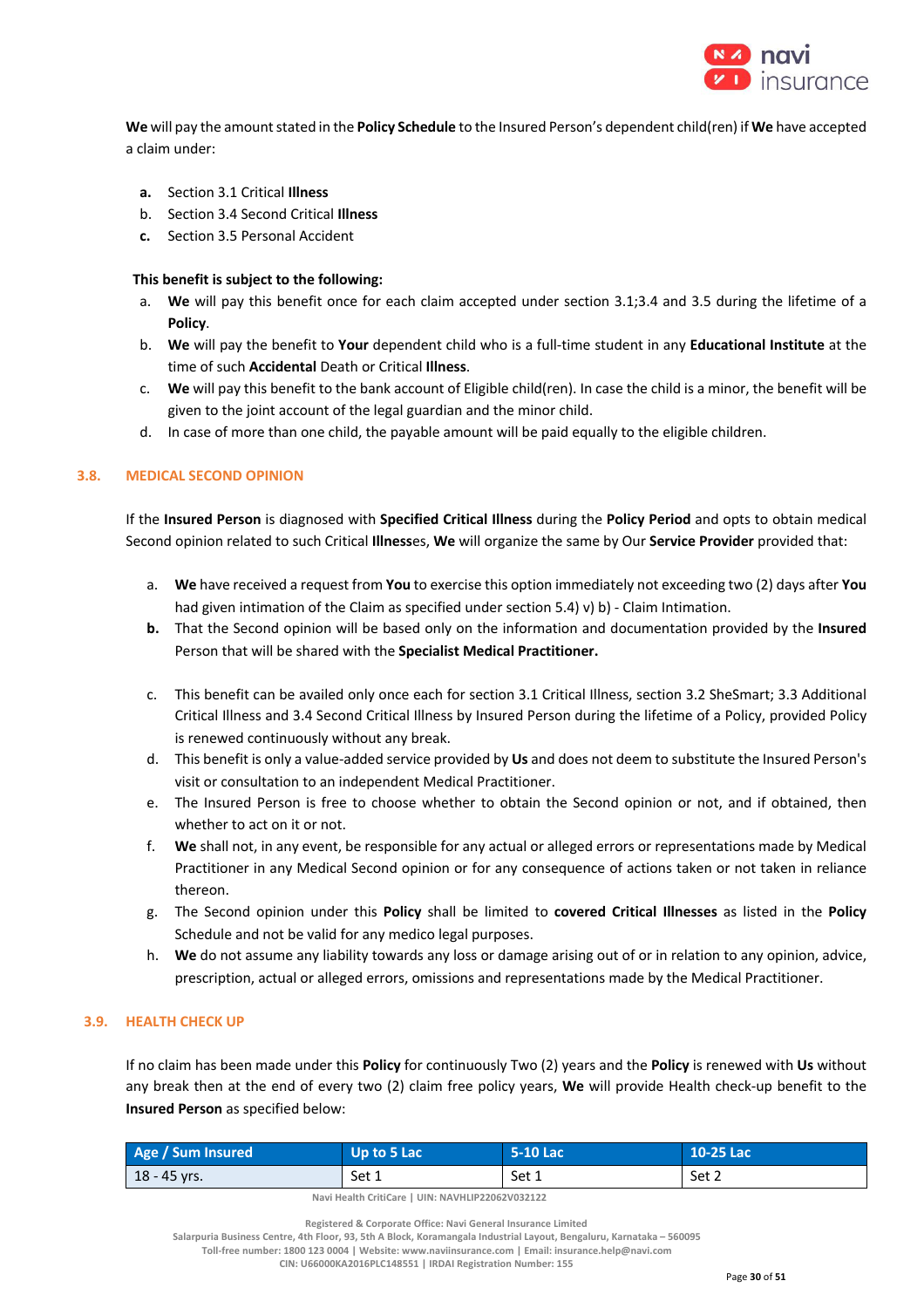

**We** will pay the amount stated in the **Policy Schedule** to the Insured Person's dependent child(ren) if **We** have accepted a claim under:

- **a.** Section 3.1 Critical **Illness**
- b. Section 3.4 Second Critical **Illness**
- **c.** Section 3.5 Personal Accident

## **This benefit is subject to the following:**

- a. **We** will pay this benefit once for each claim accepted under section 3.1;3.4 and 3.5 during the lifetime of a **Policy**.
- b. **We** will pay the benefit to **Your** dependent child who is a full-time student in any **Educational Institute** at the time of such **Accidental** Death or Critical **Illness**.
- c. **We** will pay this benefit to the bank account of Eligible child(ren). In case the child is a minor, the benefit will be given to the joint account of the legal guardian and the minor child.
- d. In case of more than one child, the payable amount will be paid equally to the eligible children.

## **3.8. MEDICAL SECOND OPINION**

If the **Insured Person** is diagnosed with **Specified Critical Illness** during the **Policy Period** and opts to obtain medical Second opinion related to such Critical **Illness**es, **We** will organize the same by Our **Service Provider** provided that:

- a. **We** have received a request from **You** to exercise this option immediately not exceeding two (2) days after **You**  had given intimation of the Claim as specified under section 5.4) v) b) - Claim Intimation.
- **b.** That the Second opinion will be based only on the information and documentation provided by the **Insured** Person that will be shared with the **Specialist Medical Practitioner.**
- c. This benefit can be availed only once each for section 3.1 Critical Illness, section 3.2 SheSmart; 3.3 Additional Critical Illness and 3.4 Second Critical Illness by Insured Person during the lifetime of a Policy, provided Policy is renewed continuously without any break.
- d. This benefit is only a value-added service provided by **Us** and does not deem to substitute the Insured Person's visit or consultation to an independent Medical Practitioner.
- e. The Insured Person is free to choose whether to obtain the Second opinion or not, and if obtained, then whether to act on it or not.
- f. **We** shall not, in any event, be responsible for any actual or alleged errors or representations made by Medical Practitioner in any Medical Second opinion or for any consequence of actions taken or not taken in reliance thereon.
- g. The Second opinion under this **Policy** shall be limited to **covered Critical Illnesses** as listed in the **Policy** Schedule and not be valid for any medico legal purposes.
- h. **We** do not assume any liability towards any loss or damage arising out of or in relation to any opinion, advice, prescription, actual or alleged errors, omissions and representations made by the Medical Practitioner.

## **3.9. HEALTH CHECK UP**

If no claim has been made under this **Policy** for continuously Two (2) years and the **Policy** is renewed with **Us** without any break then at the end of every two (2) claim free policy years, **We** will provide Health check-up benefit to the **Insured Person** as specified below:

| Age / Sum Insured | $\blacksquare$ Up to 5 Lac | 5-10 Lac | 10-25 Lac |
|-------------------|----------------------------|----------|-----------|
| 18 - 45 yrs.      | Set 1                      | Set 1    | Set 2     |

 **Navi Health CritiCare | UIN: NAVHLIP22062V032122**

 **Registered & Corporate Office: Navi General Insurance Limited**

**Salarpuria Business Centre, 4th Floor, 93, 5th A Block, Koramangala Industrial Layout, Bengaluru, Karnataka – 560095 Toll-free number: 1800 123 0004 | Website: www.naviinsurance.com | Email: insurance.help@navi.com** 

**CIN: U66000KA2016PLC148551 | IRDAI Registration Number: 155**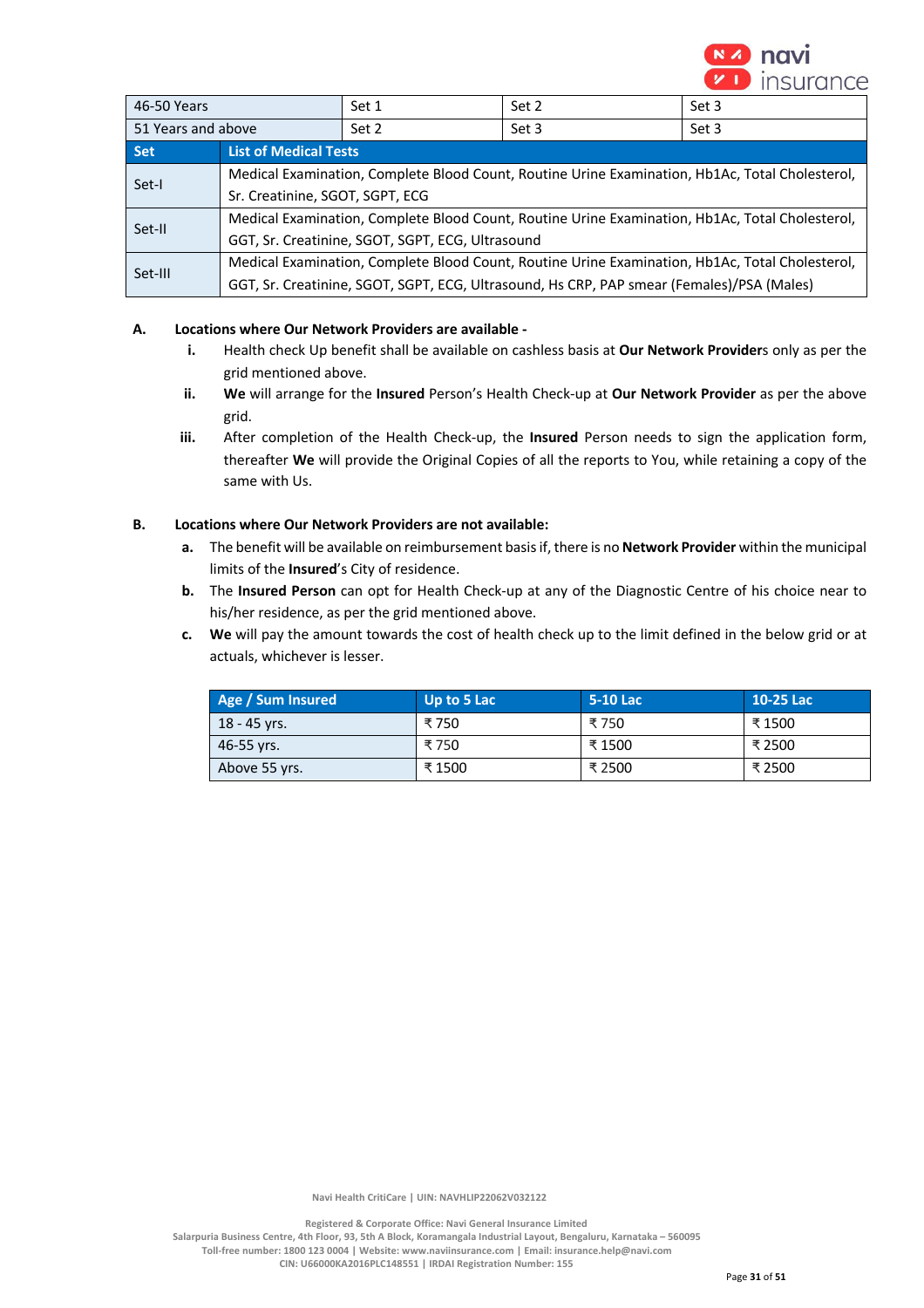

| 46-50 Years                                   | Set 2<br>Set 3<br>Set 1                                                                         |  |                                                                                           |  |
|-----------------------------------------------|-------------------------------------------------------------------------------------------------|--|-------------------------------------------------------------------------------------------|--|
| 51 Years and above<br>Set 2<br>Set 3<br>Set 3 |                                                                                                 |  |                                                                                           |  |
| <b>Set</b>                                    | <b>List of Medical Tests</b>                                                                    |  |                                                                                           |  |
| Set-I                                         | Medical Examination, Complete Blood Count, Routine Urine Examination, Hb1Ac, Total Cholesterol, |  |                                                                                           |  |
|                                               | Sr. Creatinine, SGOT, SGPT, ECG                                                                 |  |                                                                                           |  |
| Set-II                                        | Medical Examination, Complete Blood Count, Routine Urine Examination, Hb1Ac, Total Cholesterol, |  |                                                                                           |  |
|                                               | GGT, Sr. Creatinine, SGOT, SGPT, ECG, Ultrasound                                                |  |                                                                                           |  |
| Set-III                                       | Medical Examination, Complete Blood Count, Routine Urine Examination, Hb1Ac, Total Cholesterol, |  |                                                                                           |  |
|                                               |                                                                                                 |  | GGT, Sr. Creatinine, SGOT, SGPT, ECG, Ultrasound, Hs CRP, PAP smear (Females)/PSA (Males) |  |

## **A. Locations where Our Network Providers are available -**

- **i.** Health check Up benefit shall be available on cashless basis at **Our Network Provider**s only as per the grid mentioned above.
- **ii. We** will arrange for the **Insured** Person's Health Check-up at **Our Network Provider** as per the above grid.
- **iii.** After completion of the Health Check-up, the **Insured** Person needs to sign the application form, thereafter **We** will provide the Original Copies of all the reports to You, while retaining a copy of the same with Us.

## **B. Locations where Our Network Providers are not available:**

- **a.** The benefit will be available on reimbursement basis if, there is no **Network Provider** within the municipal limits of the **Insured**'s City of residence.
- **b.** The **Insured Person** can opt for Health Check-up at any of the Diagnostic Centre of his choice near to his/her residence, as per the grid mentioned above.
- **c. We** will pay the amount towards the cost of health check up to the limit defined in the below grid or at actuals, whichever is lesser.

| Age / Sum Insured | Up to 5 Lac | 5-10 Lac | 10-25 Lac |
|-------------------|-------------|----------|-----------|
| 18 - 45 vrs.      | ₹750        | ₹750     | ₹ 1500    |
| 46-55 vrs.        | ₹ 750       | ₹ 1500   | ₹ 2500    |
| Above 55 yrs.     | ₹ 1500      | ₹ 2500   | ₹ 2500    |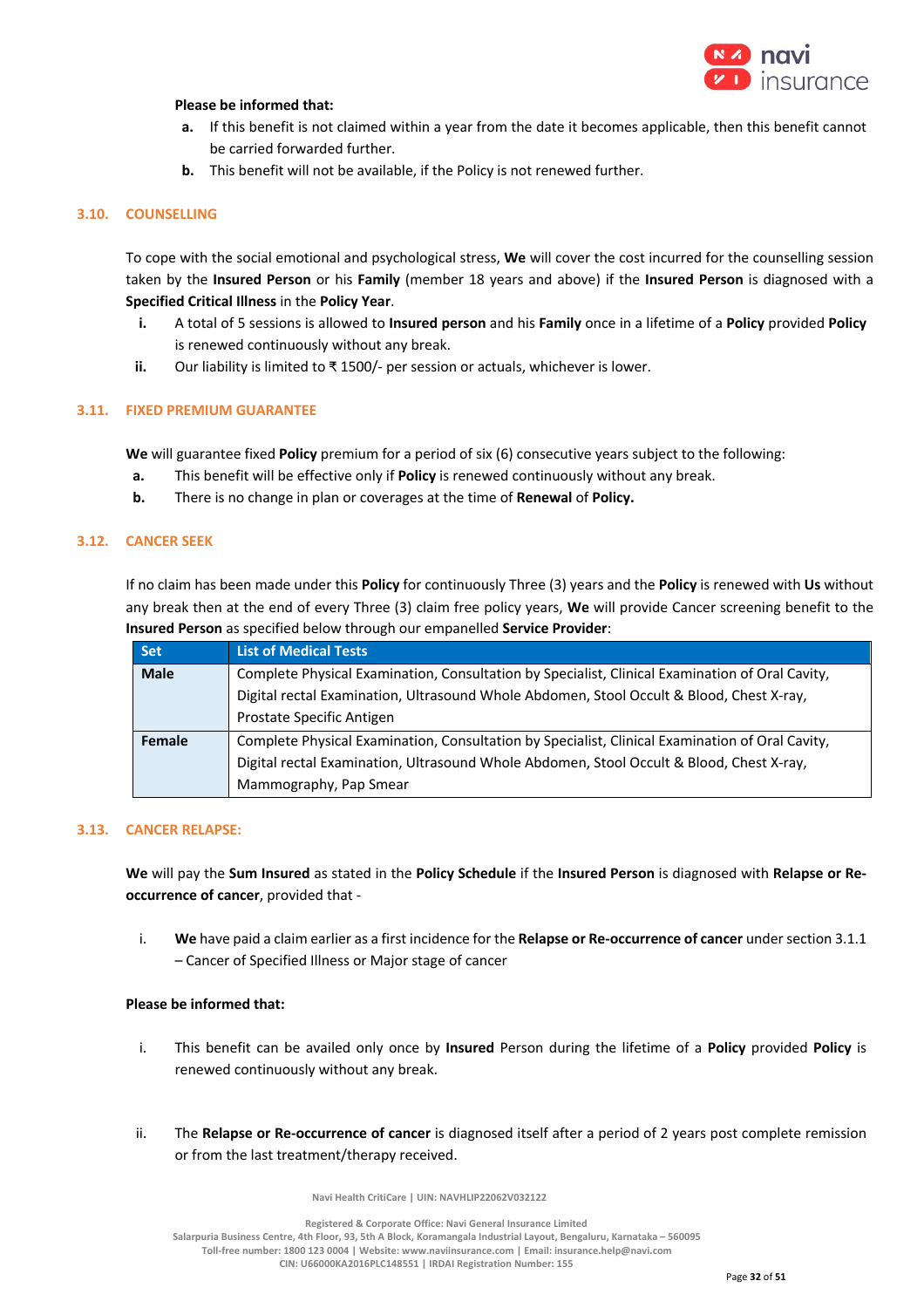

## **Please be informed that:**

- **a.** If this benefit is not claimed within a year from the date it becomes applicable, then this benefit cannot be carried forwarded further.
- **b.** This benefit will not be available, if the Policy is not renewed further.

## **3.10. COUNSELLING**

To cope with the social emotional and psychological stress, **We** will cover the cost incurred for the counselling session taken by the **Insured Person** or his **Family** (member 18 years and above) if the **Insured Person** is diagnosed with a **Specified Critical Illness** in the **Policy Year**.

- **i.** A total of 5 sessions is allowed to **Insured person** and his **Family** once in a lifetime of a **Policy** provided **Policy** is renewed continuously without any break.
- **ii.** Our liability is limited to ₹ 1500/- per session or actuals, whichever is lower.

### **3.11. FIXED PREMIUM GUARANTEE**

**We** will guarantee fixed **Policy** premium for a period of six (6) consecutive years subject to the following:

- **a.** This benefit will be effective only if **Policy** is renewed continuously without any break.
- **b.** There is no change in plan or coverages at the time of **Renewal** of **Policy.**

## **3.12. CANCER SEEK**

If no claim has been made under this **Policy** for continuously Three (3) years and the **Policy** is renewed with **Us** without any break then at the end of every Three (3) claim free policy years, **We** will provide Cancer screening benefit to the **Insured Person** as specified below through our empanelled **Service Provider**:

| <b>Set</b>  | <b>List of Medical Tests</b>                                                                    |
|-------------|-------------------------------------------------------------------------------------------------|
| <b>Male</b> | Complete Physical Examination, Consultation by Specialist, Clinical Examination of Oral Cavity, |
|             | Digital rectal Examination, Ultrasound Whole Abdomen, Stool Occult & Blood, Chest X-ray,        |
|             | Prostate Specific Antigen                                                                       |
| Female      | Complete Physical Examination, Consultation by Specialist, Clinical Examination of Oral Cavity, |
|             | Digital rectal Examination, Ultrasound Whole Abdomen, Stool Occult & Blood, Chest X-ray,        |
|             | Mammography, Pap Smear                                                                          |

#### **3.13. CANCER RELAPSE:**

**We** will pay the **Sum Insured** as stated in the **Policy Schedule** if the **Insured Person** is diagnosed with **Relapse or Reoccurrence of cancer**, provided that -

i. **We** have paid a claim earlier as a first incidence for the **Relapse or Re-occurrence of cancer** under section 3.1.1 – Cancer of Specified Illness or Major stage of cancer

### **Please be informed that:**

- i. This benefit can be availed only once by **Insured** Person during the lifetime of a **Policy** provided **Policy** is renewed continuously without any break.
- ii. The **Relapse or Re-occurrence of cancer** is diagnosed itself after a period of 2 years post complete remission or from the last treatment/therapy received.

 **Navi Health CritiCare | UIN: NAVHLIP22062V032122**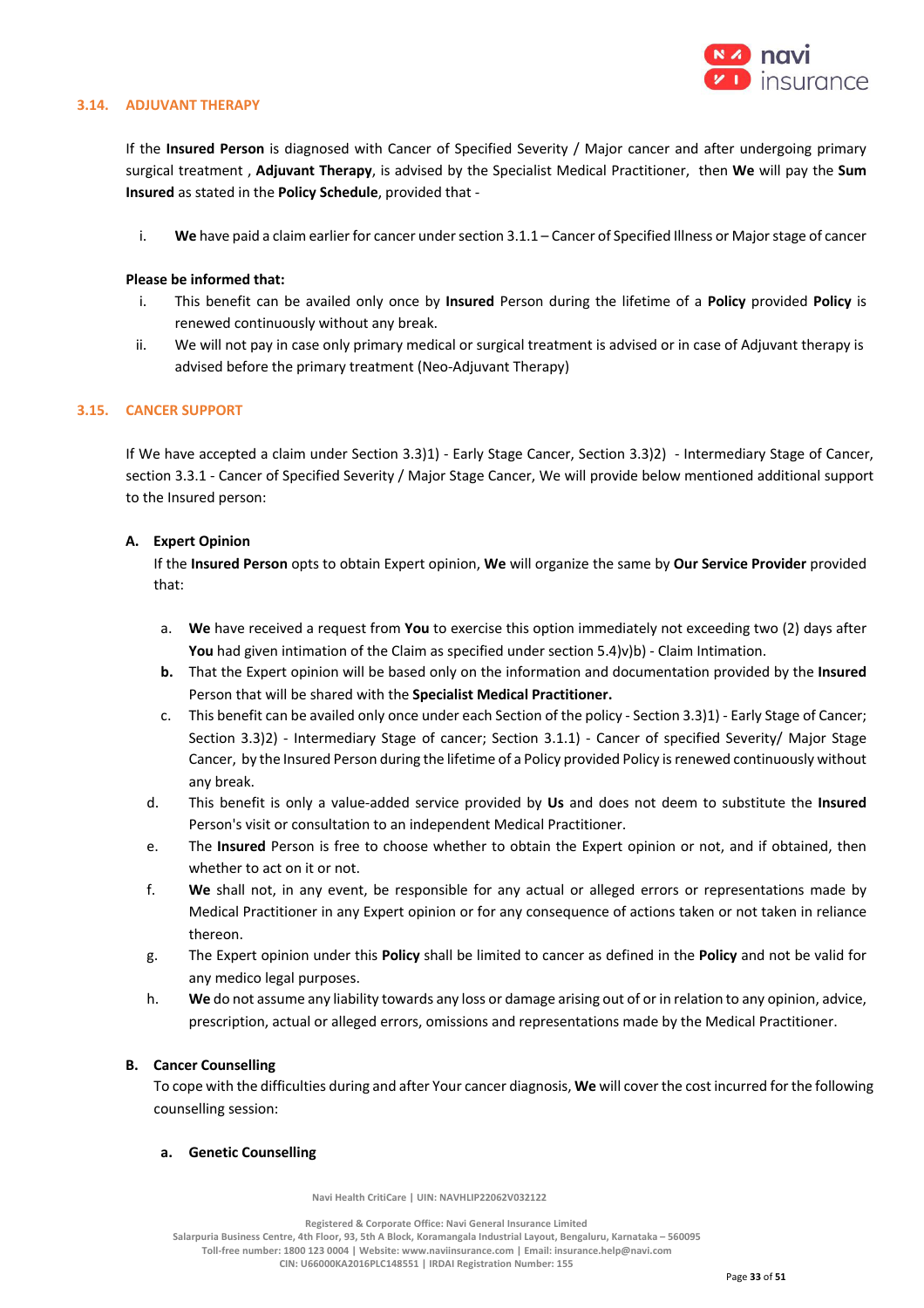

### **3.14. ADJUVANT THERAPY**

If the **Insured Person** is diagnosed with Cancer of Specified Severity / Major cancer and after undergoing primary surgical treatment , **Adjuvant Therapy**, is advised by the Specialist Medical Practitioner, then **We** will pay the **Sum Insured** as stated in the **Policy Schedule**, provided that -

i. **We** have paid a claim earlier for cancer under section 3.1.1 – Cancer of Specified Illness or Major stage of cancer

### **Please be informed that:**

- i. This benefit can be availed only once by **Insured** Person during the lifetime of a **Policy** provided **Policy** is renewed continuously without any break.
- ii. We will not pay in case only primary medical or surgical treatment is advised or in case of Adjuvant therapy is advised before the primary treatment (Neo-Adjuvant Therapy)

### **3.15. CANCER SUPPORT**

If We have accepted a claim under Section 3.3)1) - Early Stage Cancer, Section 3.3)2) - Intermediary Stage of Cancer, section 3.3.1 - Cancer of Specified Severity / Major Stage Cancer, We will provide below mentioned additional support to the Insured person:

### **A. Expert Opinion**

If the **Insured Person** opts to obtain Expert opinion, **We** will organize the same by **Our Service Provider** provided that:

- a. **We** have received a request from **You** to exercise this option immediately not exceeding two (2) days after You had given intimation of the Claim as specified under section 5.4)v)b) - Claim Intimation.
- **b.** That the Expert opinion will be based only on the information and documentation provided by the **Insured** Person that will be shared with the **Specialist Medical Practitioner.**
- c. This benefit can be availed only once under each Section of the policy Section 3.3)1) Early Stage of Cancer; Section 3.3)2) - Intermediary Stage of cancer; Section 3.1.1) - Cancer of specified Severity/ Major Stage Cancer, by the Insured Person during the lifetime of a Policy provided Policy is renewed continuously without any break.
- d. This benefit is only a value-added service provided by **Us** and does not deem to substitute the **Insured**  Person's visit or consultation to an independent Medical Practitioner.
- e. The **Insured** Person is free to choose whether to obtain the Expert opinion or not, and if obtained, then whether to act on it or not.
- f. **We** shall not, in any event, be responsible for any actual or alleged errors or representations made by Medical Practitioner in any Expert opinion or for any consequence of actions taken or not taken in reliance thereon.
- g. The Expert opinion under this **Policy** shall be limited to cancer as defined in the **Policy** and not be valid for any medico legal purposes.
- h. **We** do not assume any liability towards any loss or damage arising out of or in relation to any opinion, advice, prescription, actual or alleged errors, omissions and representations made by the Medical Practitioner.

#### **B. Cancer Counselling**

To cope with the difficulties during and after Your cancer diagnosis, **We** will cover the cost incurred for the following counselling session:

#### **a. Genetic Counselling**

 **Navi Health CritiCare | UIN: NAVHLIP22062V032122**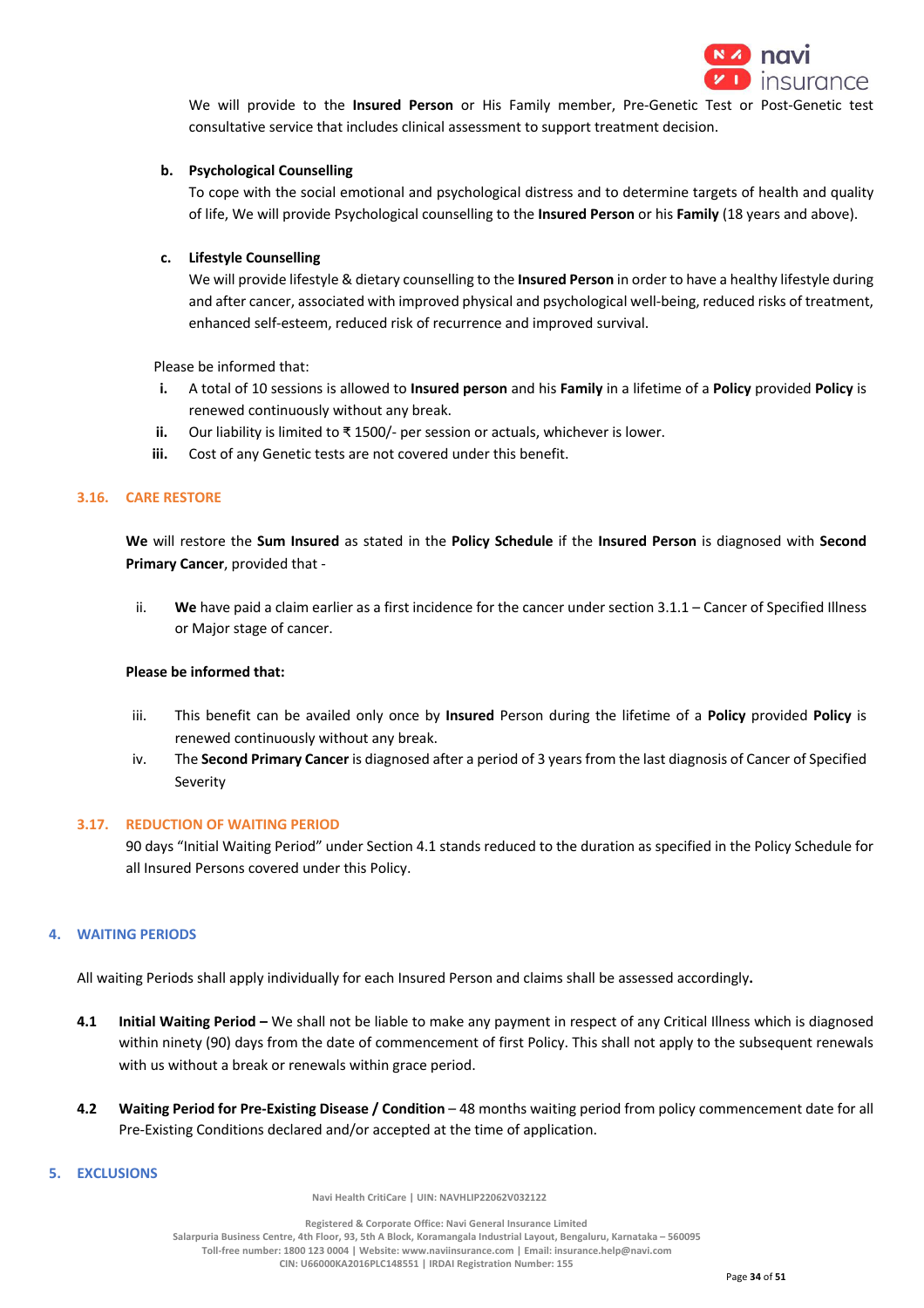

We will provide to the **Insured Person** or His Family member, Pre-Genetic Test or Post-Genetic test consultative service that includes clinical assessment to support treatment decision.

## **b. Psychological Counselling**

To cope with the social emotional and psychological distress and to determine targets of health and quality of life, We will provide Psychological counselling to the **Insured Person** or his **Family** (18 years and above).

### **c. Lifestyle Counselling**

We will provide lifestyle & dietary counselling to the **Insured Person** in order to have a healthy lifestyle during and after cancer, associated with improved physical and psychological well-being, reduced risks of treatment, enhanced self-esteem, reduced risk of recurrence and improved survival.

Please be informed that:

- **i.** A total of 10 sessions is allowed to **Insured person** and his **Family** in a lifetime of a **Policy** provided **Policy** is renewed continuously without any break.
- **ii.** Our liability is limited to ₹ 1500/- per session or actuals, whichever is lower.
- **iii.** Cost of any Genetic tests are not covered under this benefit.

#### **3.16. CARE RESTORE**

**We** will restore the **Sum Insured** as stated in the **Policy Schedule** if the **Insured Person** is diagnosed with **Second Primary Cancer**, provided that -

ii. **We** have paid a claim earlier as a first incidence for the cancer under section 3.1.1 – Cancer of Specified Illness or Major stage of cancer.

### **Please be informed that:**

- iii. This benefit can be availed only once by **Insured** Person during the lifetime of a **Policy** provided **Policy** is renewed continuously without any break.
- iv. The **Second Primary Cancer** is diagnosed after a period of 3 years from the last diagnosis of Cancer of Specified Severity

### **3.17. REDUCTION OF WAITING PERIOD**

90 days "Initial Waiting Period" under Section 4.1 stands reduced to the duration as specified in the Policy Schedule for all Insured Persons covered under this Policy.

### **4. WAITING PERIODS**

All waiting Periods shall apply individually for each Insured Person and claims shall be assessed accordingly**.**

- **4.1 Initial Waiting Period –** We shall not be liable to make any payment in respect of any Critical Illness which is diagnosed within ninety (90) days from the date of commencement of first Policy. This shall not apply to the subsequent renewals with us without a break or renewals within grace period.
- **4.2 Waiting Period for Pre-Existing Disease / Condition** 48 months waiting period from policy commencement date for all Pre-Existing Conditions declared and/or accepted at the time of application.

#### **5. EXCLUSIONS**

 **Navi Health CritiCare | UIN: NAVHLIP22062V032122**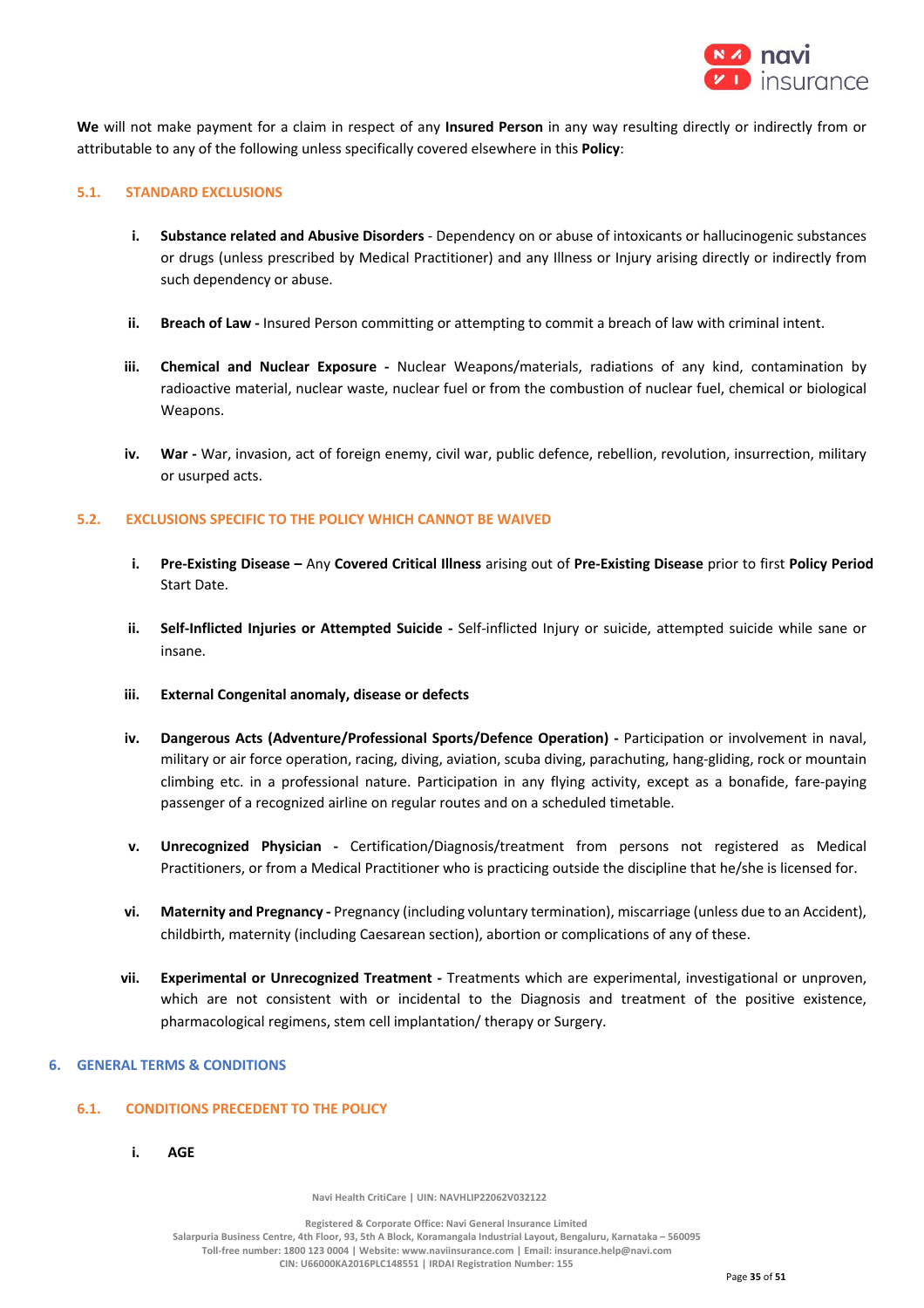

**We** will not make payment for a claim in respect of any **Insured Person** in any way resulting directly or indirectly from or attributable to any of the following unless specifically covered elsewhere in this **Policy**:

### **5.1. STANDARD EXCLUSIONS**

- **i. Substance related and Abusive Disorders** Dependency on or abuse of intoxicants or hallucinogenic substances or drugs (unless prescribed by Medical Practitioner) and any Illness or Injury arising directly or indirectly from such dependency or abuse.
- **ii. Breach of Law -** Insured Person committing or attempting to commit a breach of law with criminal intent.
- **iii. Chemical and Nuclear Exposure -** Nuclear Weapons/materials, radiations of any kind, contamination by radioactive material, nuclear waste, nuclear fuel or from the combustion of nuclear fuel, chemical or biological Weapons.
- **iv. War -** War, invasion, act of foreign enemy, civil war, public defence, rebellion, revolution, insurrection, military or usurped acts.

### **5.2. EXCLUSIONS SPECIFIC TO THE POLICY WHICH CANNOT BE WAIVED**

- **i. Pre-Existing Disease –** Any **Covered Critical Illness** arising out of **Pre-Existing Disease** prior to first **Policy Period**  Start Date.
- **ii. Self-Inflicted Injuries or Attempted Suicide -** Self-inflicted Injury or suicide, attempted suicide while sane or insane.
- **iii. External Congenital anomaly, disease or defects**
- **iv. Dangerous Acts (Adventure/Professional Sports/Defence Operation) -** Participation or involvement in naval, military or air force operation, racing, diving, aviation, scuba diving, parachuting, hang-gliding, rock or mountain climbing etc. in a professional nature. Participation in any flying activity, except as a bonafide, fare-paying passenger of a recognized airline on regular routes and on a scheduled timetable.
- **v. Unrecognized Physician -** Certification/Diagnosis/treatment from persons not registered as Medical Practitioners, or from a Medical Practitioner who is practicing outside the discipline that he/she is licensed for.
- **vi. Maternity and Pregnancy -** Pregnancy (including voluntary termination), miscarriage (unless due to an Accident), childbirth, maternity (including Caesarean section), abortion or complications of any of these.
- **vii. Experimental or Unrecognized Treatment -** Treatments which are experimental, investigational or unproven, which are not consistent with or incidental to the Diagnosis and treatment of the positive existence, pharmacological regimens, stem cell implantation/ therapy or Surgery.

### **6. GENERAL TERMS & CONDITIONS**

## **6.1. CONDITIONS PRECEDENT TO THE POLICY**

**i. AGE**

 **Navi Health CritiCare | UIN: NAVHLIP22062V032122**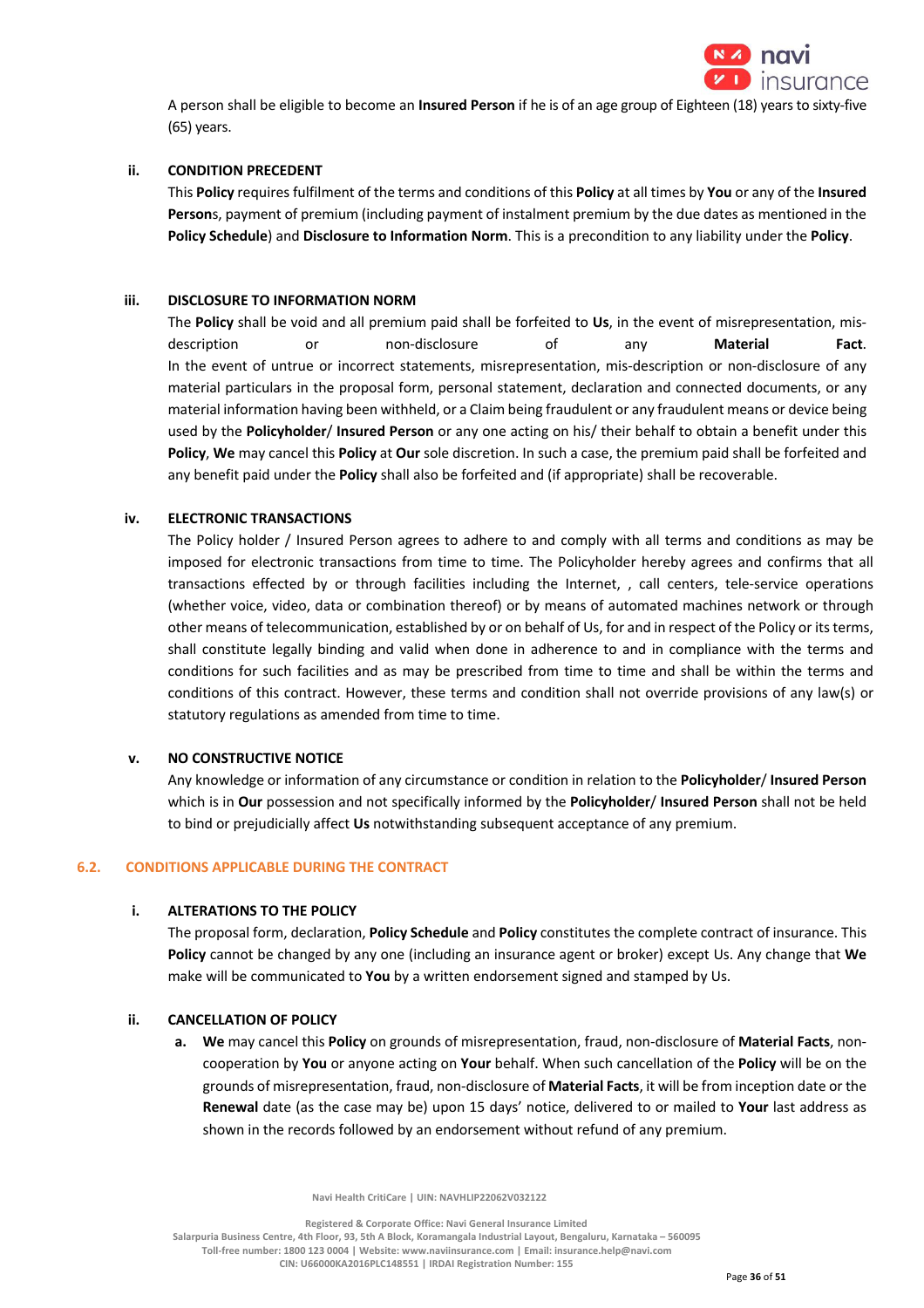

A person shall be eligible to become an **Insured Person** if he is of an age group of Eighteen (18) years to sixty-five (65) years.

## **ii. CONDITION PRECEDENT**

This **Policy** requires fulfilment of the terms and conditions of this **Policy** at all times by **You** or any of the **Insured Person**s, payment of premium (including payment of instalment premium by the due dates as mentioned in the **Policy Schedule**) and **Disclosure to Information Norm**. This is a precondition to any liability under the **Policy**.

## **iii. DISCLOSURE TO INFORMATION NORM**

The **Policy** shall be void and all premium paid shall be forfeited to **Us**, in the event of misrepresentation, misdescription or non-disclosure of any **Material Fact**. In the event of untrue or incorrect statements, misrepresentation, mis-description or non-disclosure of any material particulars in the proposal form, personal statement, declaration and connected documents, or any material information having been withheld, or a Claim being fraudulent or any fraudulent means or device being used by the **Policyholder**/ **Insured Person** or any one acting on his/ their behalf to obtain a benefit under this **Policy**, **We** may cancel this **Policy** at **Our** sole discretion. In such a case, the premium paid shall be forfeited and any benefit paid under the **Policy** shall also be forfeited and (if appropriate) shall be recoverable.

## **iv. ELECTRONIC TRANSACTIONS**

The Policy holder / Insured Person agrees to adhere to and comply with all terms and conditions as may be imposed for electronic transactions from time to time. The Policyholder hereby agrees and confirms that all transactions effected by or through facilities including the Internet, , call centers, tele-service operations (whether voice, video, data or combination thereof) or by means of automated machines network or through other means of telecommunication, established by or on behalf of Us, for and in respect of the Policy or its terms, shall constitute legally binding and valid when done in adherence to and in compliance with the terms and conditions for such facilities and as may be prescribed from time to time and shall be within the terms and conditions of this contract. However, these terms and condition shall not override provisions of any law(s) or statutory regulations as amended from time to time.

## **v. NO CONSTRUCTIVE NOTICE**

Any knowledge or information of any circumstance or condition in relation to the **Policyholder**/ **Insured Person** which is in **Our** possession and not specifically informed by the **Policyholder**/ **Insured Person** shall not be held to bind or prejudicially affect **Us** notwithstanding subsequent acceptance of any premium.

## **6.2. CONDITIONS APPLICABLE DURING THE CONTRACT**

## **i. ALTERATIONS TO THE POLICY**

The proposal form, declaration, **Policy Schedule** and **Policy** constitutes the complete contract of insurance. This **Policy** cannot be changed by any one (including an insurance agent or broker) except Us. Any change that **We**  make will be communicated to **You** by a written endorsement signed and stamped by Us.

## **ii. CANCELLATION OF POLICY**

**a. We** may cancel this **Policy** on grounds of misrepresentation, fraud, non-disclosure of **Material Facts**, noncooperation by **You** or anyone acting on **Your** behalf. When such cancellation of the **Policy** will be on the grounds of misrepresentation, fraud, non-disclosure of **Material Facts**, it will be from inception date or the **Renewal** date (as the case may be) upon 15 days' notice, delivered to or mailed to **Your** last address as shown in the records followed by an endorsement without refund of any premium.

 **Navi Health CritiCare | UIN: NAVHLIP22062V032122**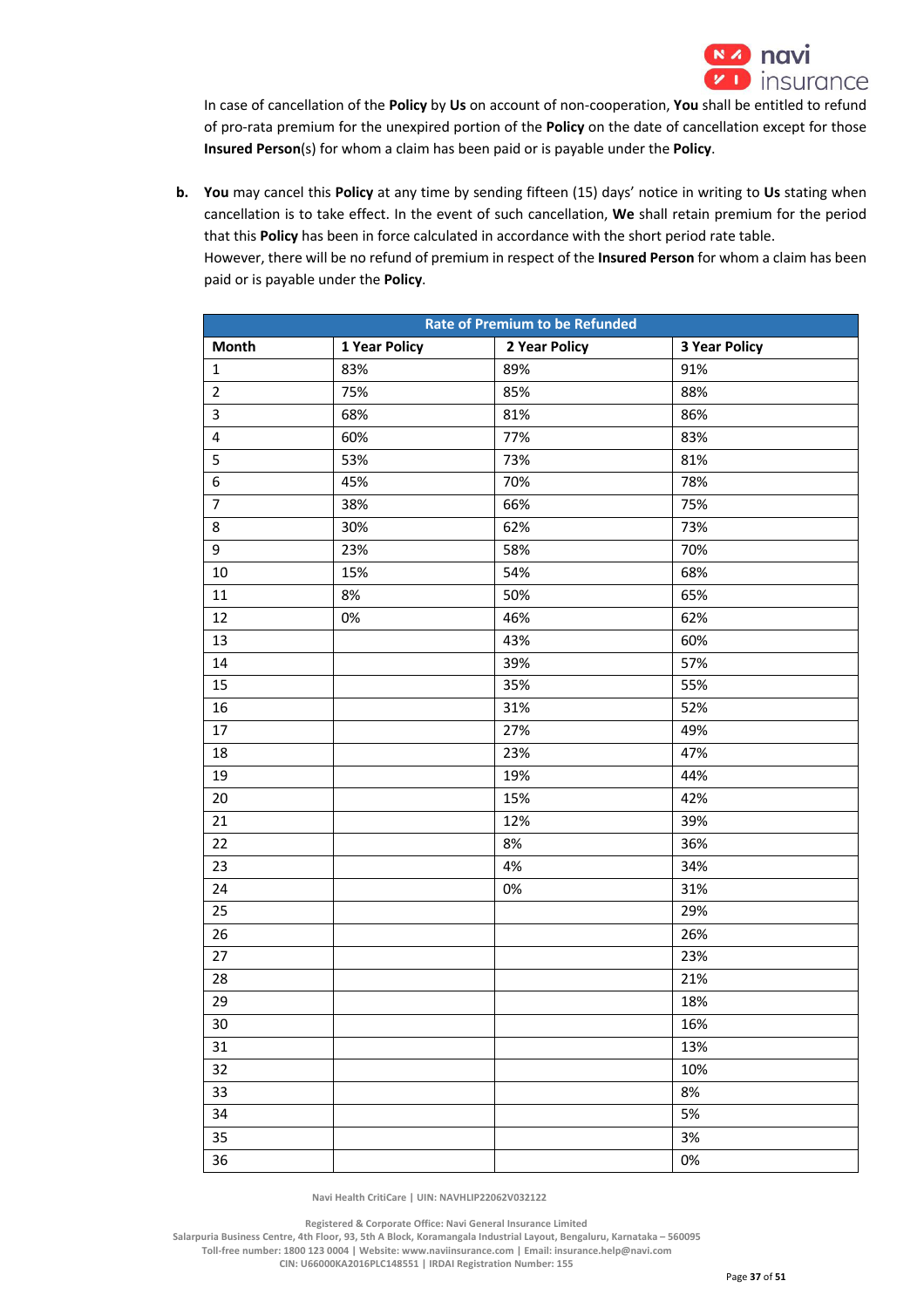

In case of cancellation of the **Policy** by **Us** on account of non-cooperation, **You** shall be entitled to refund of pro-rata premium for the unexpired portion of the **Policy** on the date of cancellation except for those **Insured Person**(s) for whom a claim has been paid or is payable under the **Policy**.

**b. You** may cancel this **Policy** at any time by sending fifteen (15) days' notice in writing to **Us** stating when cancellation is to take effect. In the event of such cancellation, **We** shall retain premium for the period that this **Policy** has been in force calculated in accordance with the short period rate table. However, there will be no refund of premium in respect of the **Insured Person** for whom a claim has been paid or is payable under the **Policy**.

| <b>Rate of Premium to be Refunded</b> |               |               |                      |
|---------------------------------------|---------------|---------------|----------------------|
| <b>Month</b>                          | 1 Year Policy | 2 Year Policy | <b>3 Year Policy</b> |
| $\mathbf{1}$                          | 83%           | 89%           | 91%                  |
| $\overline{2}$                        | 75%           | 85%           | 88%                  |
| $\mathsf{3}$                          | 68%           | 81%           | 86%                  |
| $\overline{\mathbf{4}}$               | 60%           | 77%           | 83%                  |
| 5                                     | 53%           | 73%           | 81%                  |
| 6                                     | 45%           | 70%           | 78%                  |
| $\overline{7}$                        | 38%           | 66%           | 75%                  |
| 8                                     | 30%           | 62%           | 73%                  |
| 9                                     | 23%           | 58%           | 70%                  |
| $10\,$                                | 15%           | 54%           | 68%                  |
| 11                                    | 8%            | 50%           | 65%                  |
| 12                                    | 0%            | 46%           | 62%                  |
| 13                                    |               | 43%           | 60%                  |
| 14                                    |               | 39%           | 57%                  |
| 15                                    |               | 35%           | 55%                  |
| $16\,$                                |               | 31%           | 52%                  |
| 17                                    |               | 27%           | 49%                  |
| $18\,$                                |               | 23%           | 47%                  |
| 19                                    |               | 19%           | 44%                  |
| 20                                    |               | 15%           | 42%                  |
| 21                                    |               | 12%           | 39%                  |
| 22                                    |               | 8%            | 36%                  |
| 23                                    |               | 4%            | 34%                  |
| 24                                    |               | 0%            | 31%                  |
| 25                                    |               |               | 29%                  |
| 26                                    |               |               | 26%                  |
| 27                                    |               |               | 23%                  |
| 28                                    |               |               | 21%                  |
| 29                                    |               |               | 18%                  |
| 30                                    |               |               | 16%                  |
| 31                                    |               |               | 13%                  |
| 32                                    |               |               | 10%                  |
| 33                                    |               |               | 8%                   |
| 34                                    |               |               | 5%                   |
| 35                                    |               |               | 3%                   |
| 36                                    |               |               | 0%                   |

 **Navi Health CritiCare | UIN: NAVHLIP22062V032122**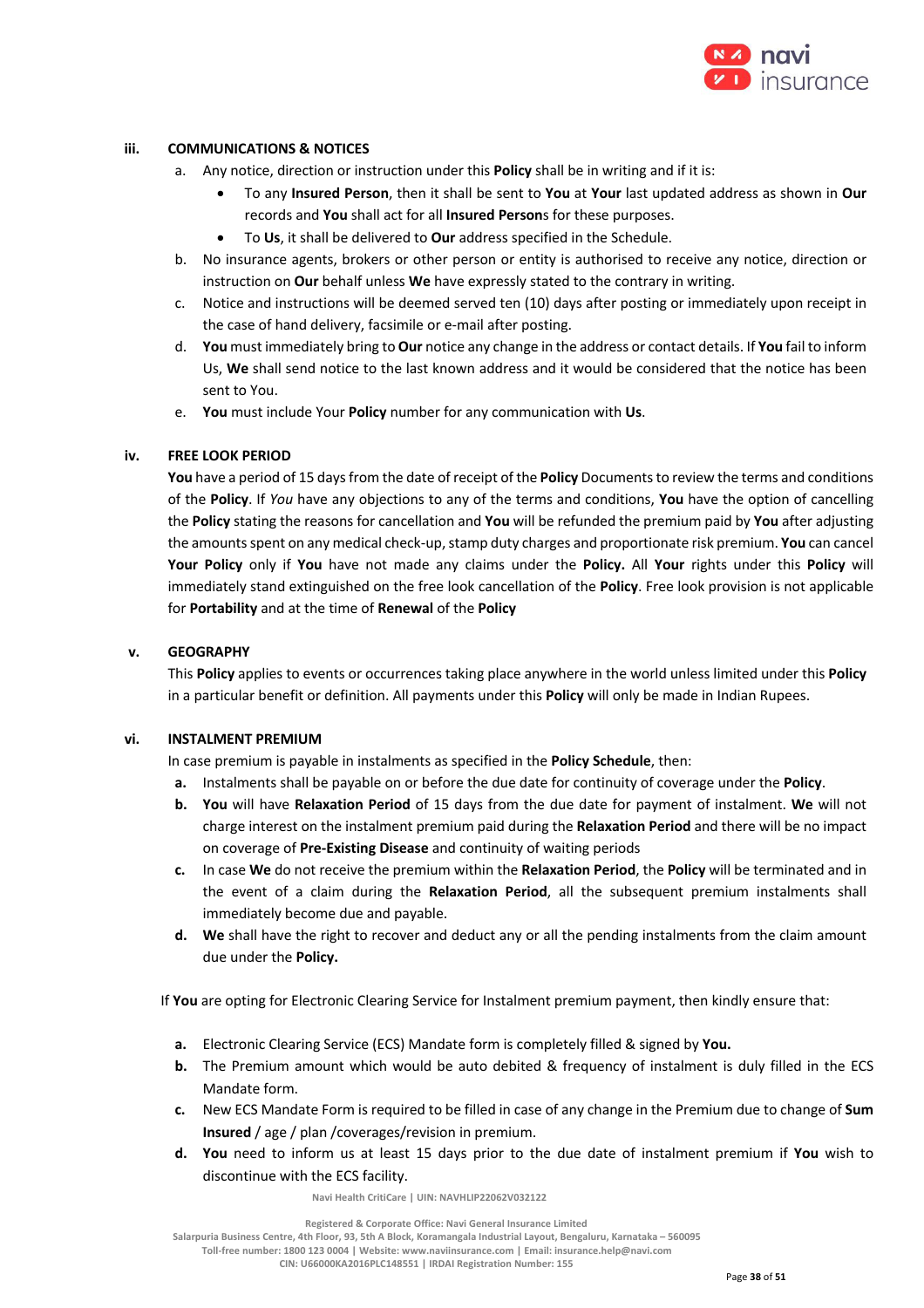

## **iii. COMMUNICATIONS & NOTICES**

- a. Any notice, direction or instruction under this **Policy** shall be in writing and if it is:
	- To any **Insured Person**, then it shall be sent to **You** at **Your** last updated address as shown in **Our**  records and **You** shall act for all **Insured Person**s for these purposes.
	- To **Us**, it shall be delivered to **Our** address specified in the Schedule.
- b. No insurance agents, brokers or other person or entity is authorised to receive any notice, direction or instruction on **Our** behalf unless **We** have expressly stated to the contrary in writing.
- c. Notice and instructions will be deemed served ten (10) days after posting or immediately upon receipt in the case of hand delivery, facsimile or e-mail after posting.
- d. **You** must immediately bring to **Our** notice any change in the address or contact details. If **You** fail to inform Us, **We** shall send notice to the last known address and it would be considered that the notice has been sent to You.
- e. **You** must include Your **Policy** number for any communication with **Us**.

## **iv. FREE LOOK PERIOD**

**You** have a period of 15 days from the date of receipt of the **Policy** Documents to review the terms and conditions of the **Policy**. If *You* have any objections to any of the terms and conditions, **You** have the option of cancelling the **Policy** stating the reasons for cancellation and **You** will be refunded the premium paid by **You** after adjusting the amounts spent on any medical check-up, stamp duty charges and proportionate risk premium. **You** can cancel **Your Policy** only if **You** have not made any claims under the **Policy.** All **Your** rights under this **Policy** will immediately stand extinguished on the free look cancellation of the **Policy**. Free look provision is not applicable for **Portability** and at the time of **Renewal** of the **Policy**

## **v. GEOGRAPHY**

This **Policy** applies to events or occurrences taking place anywhere in the world unless limited under this **Policy** in a particular benefit or definition. All payments under this **Policy** will only be made in Indian Rupees.

## **vi. INSTALMENT PREMIUM**

In case premium is payable in instalments as specified in the **Policy Schedule**, then:

- **a.** Instalments shall be payable on or before the due date for continuity of coverage under the **Policy**.
- **b. You** will have **Relaxation Period** of 15 days from the due date for payment of instalment. **We** will not charge interest on the instalment premium paid during the **Relaxation Period** and there will be no impact on coverage of **Pre-Existing Disease** and continuity of waiting periods
- **c.** In case **We** do not receive the premium within the **Relaxation Period**, the **Policy** will be terminated and in the event of a claim during the **Relaxation Period**, all the subsequent premium instalments shall immediately become due and payable.
- **d. We** shall have the right to recover and deduct any or all the pending instalments from the claim amount due under the **Policy.**

If **You** are opting for Electronic Clearing Service for Instalment premium payment, then kindly ensure that:

- **a.** Electronic Clearing Service (ECS) Mandate form is completely filled & signed by **You.**
- **b.** The Premium amount which would be auto debited & frequency of instalment is duly filled in the ECS Mandate form.
- **c.** New ECS Mandate Form is required to be filled in case of any change in the Premium due to change of **Sum Insured** / age / plan /coverages/revision in premium.
- **d. You** need to inform us at least 15 days prior to the due date of instalment premium if **You** wish to discontinue with the ECS facility.

 **Navi Health CritiCare | UIN: NAVHLIP22062V032122**

 **Registered & Corporate Office: Navi General Insurance Limited**

**Salarpuria Business Centre, 4th Floor, 93, 5th A Block, Koramangala Industrial Layout, Bengaluru, Karnataka – 560095** 

**Toll-free number: 1800 123 0004 | Website: www.naviinsurance.com | Email: insurance.help@navi.com CIN: U66000KA2016PLC148551 | IRDAI Registration Number: 155**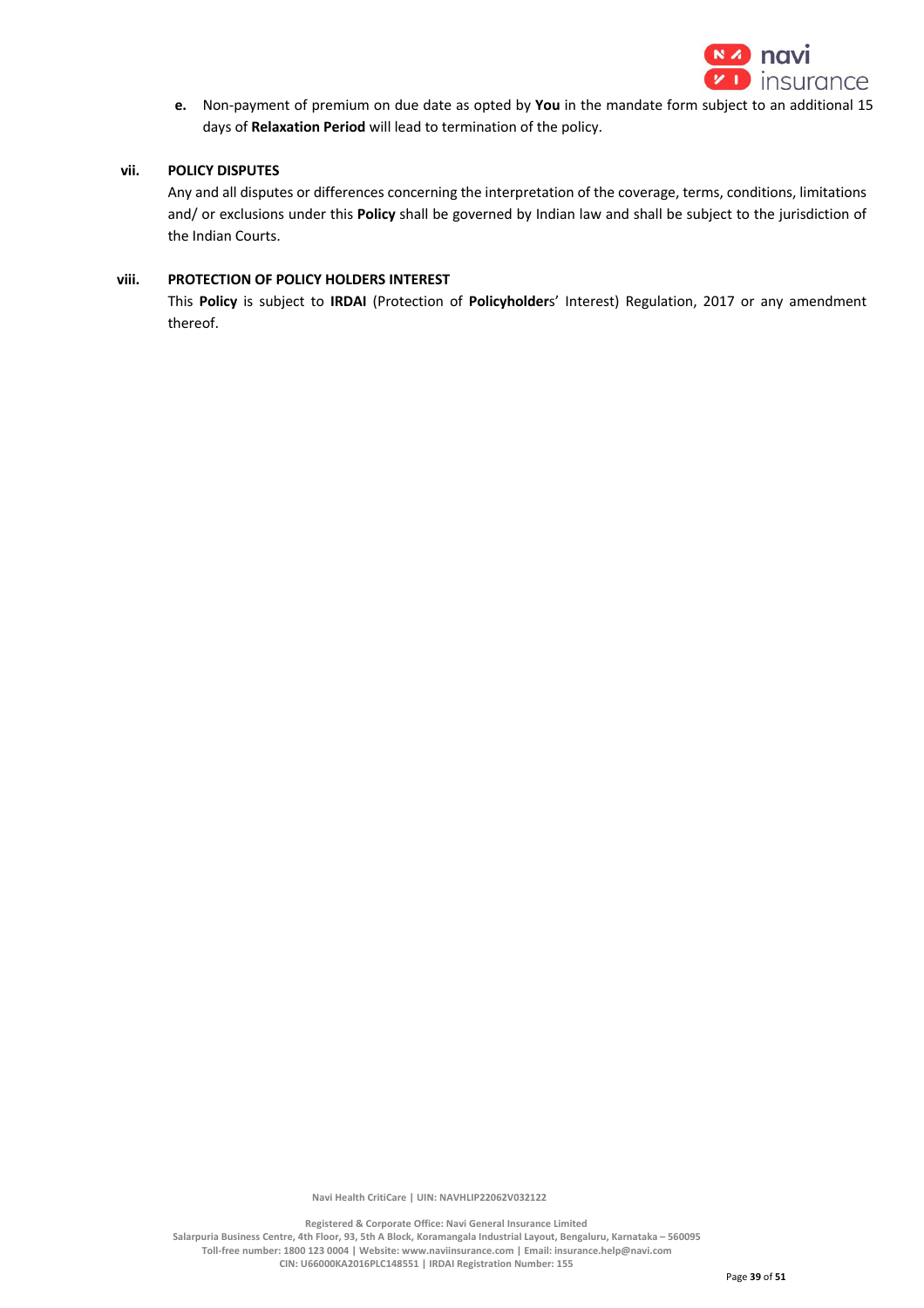

**e.** Non-payment of premium on due date as opted by **You** in the mandate form subject to an additional 15 days of **Relaxation Period** will lead to termination of the policy.

## **vii. POLICY DISPUTES**

Any and all disputes or differences concerning the interpretation of the coverage, terms, conditions, limitations and/ or exclusions under this **Policy** shall be governed by Indian law and shall be subject to the jurisdiction of the Indian Courts.

## **viii. PROTECTION OF POLICY HOLDERS INTEREST**

This **Policy** is subject to **IRDAI** (Protection of **Policyholder**s' Interest) Regulation, 2017 or any amendment thereof.

 **Navi Health CritiCare | UIN: NAVHLIP22062V032122**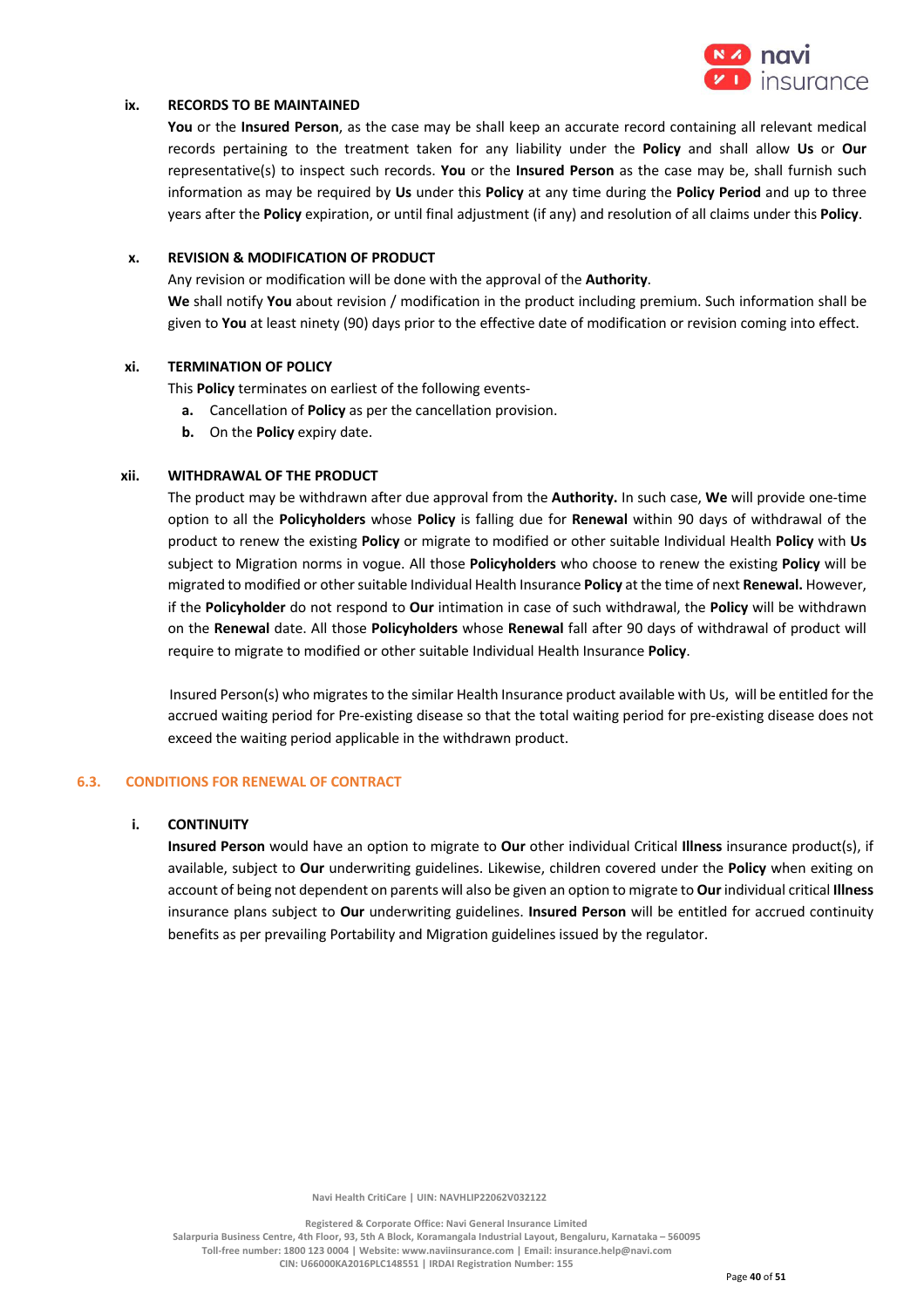

### **ix. RECORDS TO BE MAINTAINED**

**You** or the **Insured Person**, as the case may be shall keep an accurate record containing all relevant medical records pertaining to the treatment taken for any liability under the **Policy** and shall allow **Us** or **Our**  representative(s) to inspect such records. **You** or the **Insured Person** as the case may be, shall furnish such information as may be required by **Us** under this **Policy** at any time during the **Policy Period** and up to three years after the **Policy** expiration, or until final adjustment (if any) and resolution of all claims under this **Policy**.

## **x. REVISION & MODIFICATION OF PRODUCT**

Any revision or modification will be done with the approval of the **Authority**. **We** shall notify **You** about revision / modification in the product including premium. Such information shall be given to **You** at least ninety (90) days prior to the effective date of modification or revision coming into effect.

### **xi. TERMINATION OF POLICY**

This **Policy** terminates on earliest of the following events-

- **a.** Cancellation of **Policy** as per the cancellation provision.
- **b.** On the **Policy** expiry date.

### **xii. WITHDRAWAL OF THE PRODUCT**

The product may be withdrawn after due approval from the **Authority.** In such case, **We** will provide one-time option to all the **Policyholders** whose **Policy** is falling due for **Renewal** within 90 days of withdrawal of the product to renew the existing **Policy** or migrate to modified or other suitable Individual Health **Policy** with **Us** subject to Migration norms in vogue. All those **Policyholders** who choose to renew the existing **Policy** will be migrated to modified or other suitable Individual Health Insurance **Policy** at the time of next **Renewal.** However, if the **Policyholder** do not respond to **Our** intimation in case of such withdrawal, the **Policy** will be withdrawn on the **Renewal** date. All those **Policyholders** whose **Renewal** fall after 90 days of withdrawal of product will require to migrate to modified or other suitable Individual Health Insurance **Policy**.

Insured Person(s) who migrates to the similar Health Insurance product available with Us, will be entitled for the accrued waiting period for Pre-existing disease so that the total waiting period for pre-existing disease does not exceed the waiting period applicable in the withdrawn product.

#### **6.3. CONDITIONS FOR RENEWAL OF CONTRACT**

#### **i. CONTINUITY**

**Insured Person** would have an option to migrate to **Our** other individual Critical **Illness** insurance product(s), if available, subject to **Our** underwriting guidelines. Likewise, children covered under the **Policy** when exiting on account of being not dependent on parents will also be given an option to migrate to **Our** individual critical **Illness** insurance plans subject to **Our** underwriting guidelines. **Insured Person** will be entitled for accrued continuity benefits as per prevailing Portability and Migration guidelines issued by the regulator.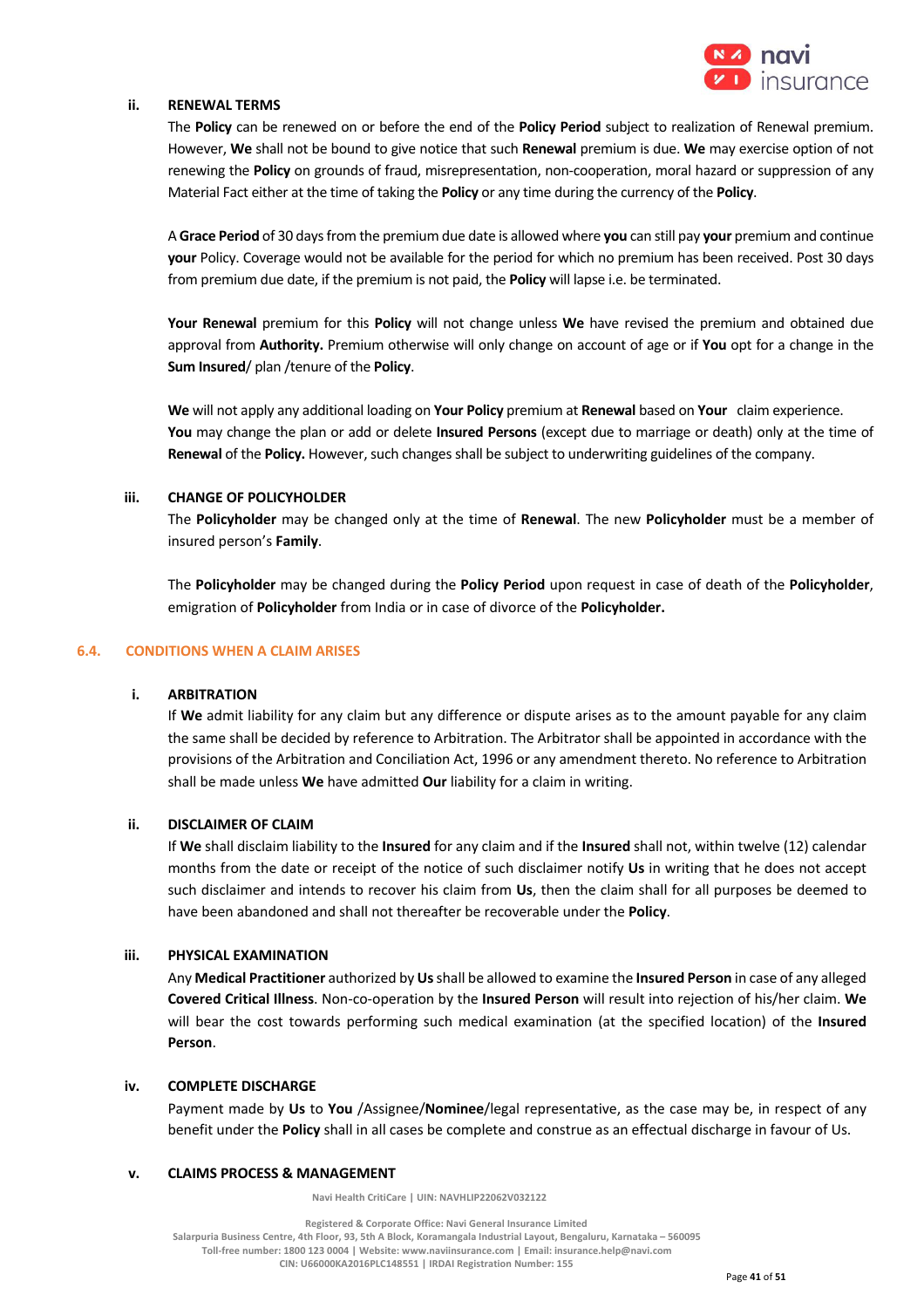

### **ii. RENEWAL TERMS**

The **Policy** can be renewed on or before the end of the **Policy Period** subject to realization of Renewal premium. However, **We** shall not be bound to give notice that such **Renewal** premium is due. **We** may exercise option of not renewing the **Policy** on grounds of fraud, misrepresentation, non-cooperation, moral hazard or suppression of any Material Fact either at the time of taking the **Policy** or any time during the currency of the **Policy**.

A **Grace Period** of 30 days from the premium due date is allowed where **you** can still pay **your** premium and continue **your** Policy. Coverage would not be available for the period for which no premium has been received. Post 30 days from premium due date, if the premium is not paid, the **Policy** will lapse i.e. be terminated.

**Your Renewal** premium for this **Policy** will not change unless **We** have revised the premium and obtained due approval from **Authority.** Premium otherwise will only change on account of age or if **You** opt for a change in the **Sum Insured**/ plan /tenure of the **Policy**.

**We** will not apply any additional loading on **Your Policy** premium at **Renewal** based on **Your** claim experience. **You** may change the plan or add or delete **Insured Persons** (except due to marriage or death) only at the time of **Renewal** of the **Policy.** However, such changes shall be subject to underwriting guidelines of the company.

### **iii. CHANGE OF POLICYHOLDER**

The **Policyholder** may be changed only at the time of **Renewal**. The new **Policyholder** must be a member of insured person's **Family**.

The **Policyholder** may be changed during the **Policy Period** upon request in case of death of the **Policyholder**, emigration of **Policyholder** from India or in case of divorce of the **Policyholder.**

### **6.4. CONDITIONS WHEN A CLAIM ARISES**

#### **i. ARBITRATION**

If **We** admit liability for any claim but any difference or dispute arises as to the amount payable for any claim the same shall be decided by reference to Arbitration. The Arbitrator shall be appointed in accordance with the provisions of the Arbitration and Conciliation Act, 1996 or any amendment thereto. No reference to Arbitration shall be made unless **We** have admitted **Our** liability for a claim in writing.

## **ii. DISCLAIMER OF CLAIM**

If **We** shall disclaim liability to the **Insured** for any claim and if the **Insured** shall not, within twelve (12) calendar months from the date or receipt of the notice of such disclaimer notify **Us** in writing that he does not accept such disclaimer and intends to recover his claim from **Us**, then the claim shall for all purposes be deemed to have been abandoned and shall not thereafter be recoverable under the **Policy**.

#### **iii. PHYSICAL EXAMINATION**

Any **Medical Practitioner** authorized by **Us** shall be allowed to examine the **Insured Person** in case of any alleged **Covered Critical Illness**. Non-co-operation by the **Insured Person** will result into rejection of his/her claim. **We**  will bear the cost towards performing such medical examination (at the specified location) of the **Insured Person**.

### **iv. COMPLETE DISCHARGE**

Payment made by **Us** to **You** /Assignee/**Nominee**/legal representative, as the case may be, in respect of any benefit under the **Policy** shall in all cases be complete and construe as an effectual discharge in favour of Us.

#### **v. CLAIMS PROCESS & MANAGEMENT**

 **Navi Health CritiCare | UIN: NAVHLIP22062V032122**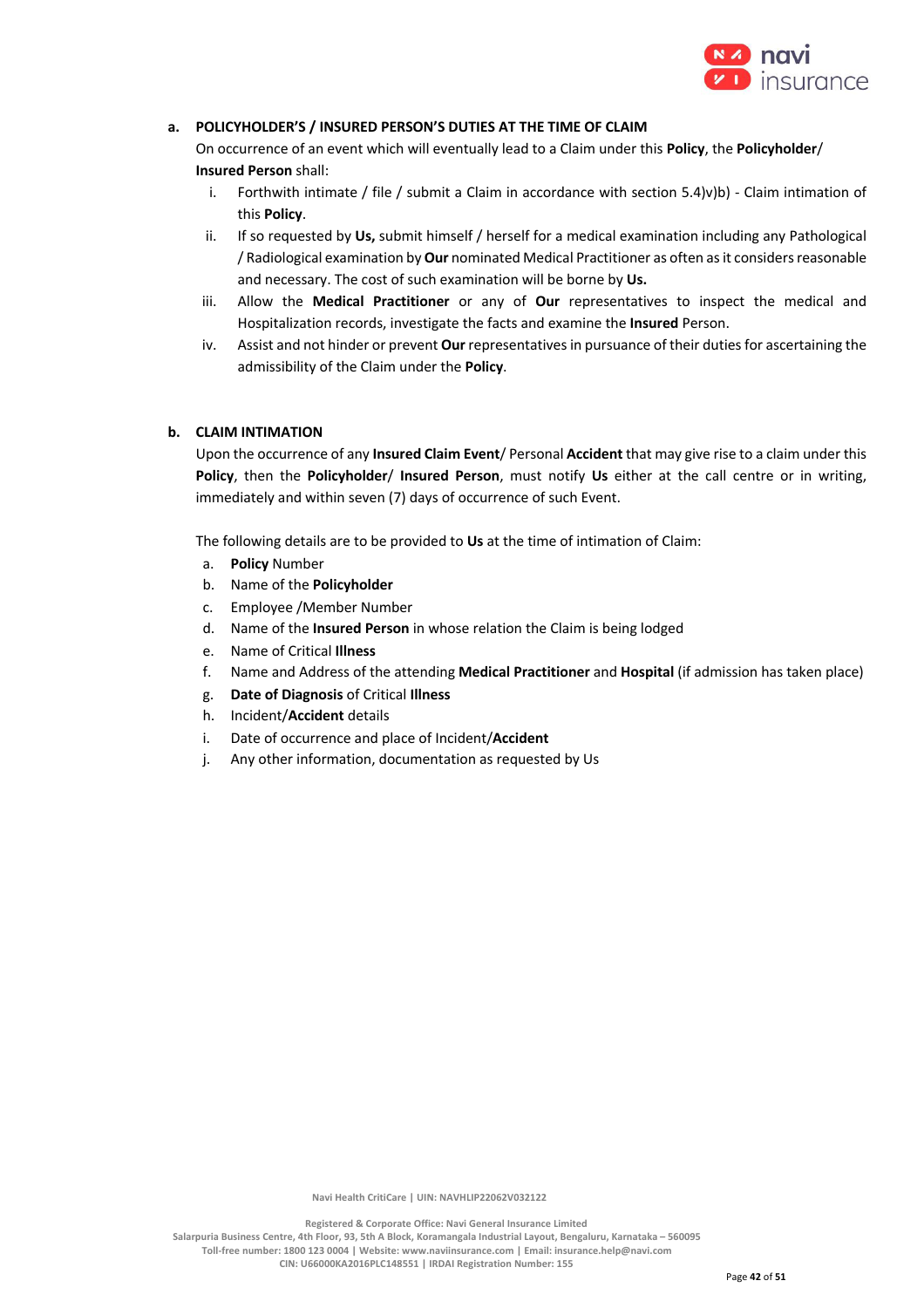

# **a. POLICYHOLDER'S / INSURED PERSON'S DUTIES AT THE TIME OF CLAIM**

On occurrence of an event which will eventually lead to a Claim under this **Policy**, the **Policyholder**/ **Insured Person** shall:

- i. Forthwith intimate / file / submit a Claim in accordance with section 5.4)v)b) Claim intimation of this **Policy**.
- ii. If so requested by **Us,** submit himself / herself for a medical examination including any Pathological / Radiological examination by **Our** nominated Medical Practitioner as often as it considers reasonable and necessary. The cost of such examination will be borne by **Us.**
- iii. Allow the **Medical Practitioner** or any of **Our** representatives to inspect the medical and Hospitalization records, investigate the facts and examine the **Insured** Person.
- iv. Assist and not hinder or prevent **Our** representatives in pursuance of their duties for ascertaining the admissibility of the Claim under the **Policy**.

## **b. CLAIM INTIMATION**

Upon the occurrence of any **Insured Claim Event**/ Personal **Accident** that may give rise to a claim under this **Policy**, then the **Policyholder**/ **Insured Person**, must notify **Us** either at the call centre or in writing, immediately and within seven (7) days of occurrence of such Event.

The following details are to be provided to **Us** at the time of intimation of Claim:

- a. **Policy** Number
- b. Name of the **Policyholder**
- c. Employee /Member Number
- d. Name of the **Insured Person** in whose relation the Claim is being lodged
- e. Name of Critical **Illness**
- f. Name and Address of the attending **Medical Practitioner** and **Hospital** (if admission has taken place)
- g. **Date of Diagnosis** of Critical **Illness**
- h. Incident/**Accident** details
- i. Date of occurrence and place of Incident/**Accident**
- j. Any other information, documentation as requested by Us

 **Navi Health CritiCare | UIN: NAVHLIP22062V032122**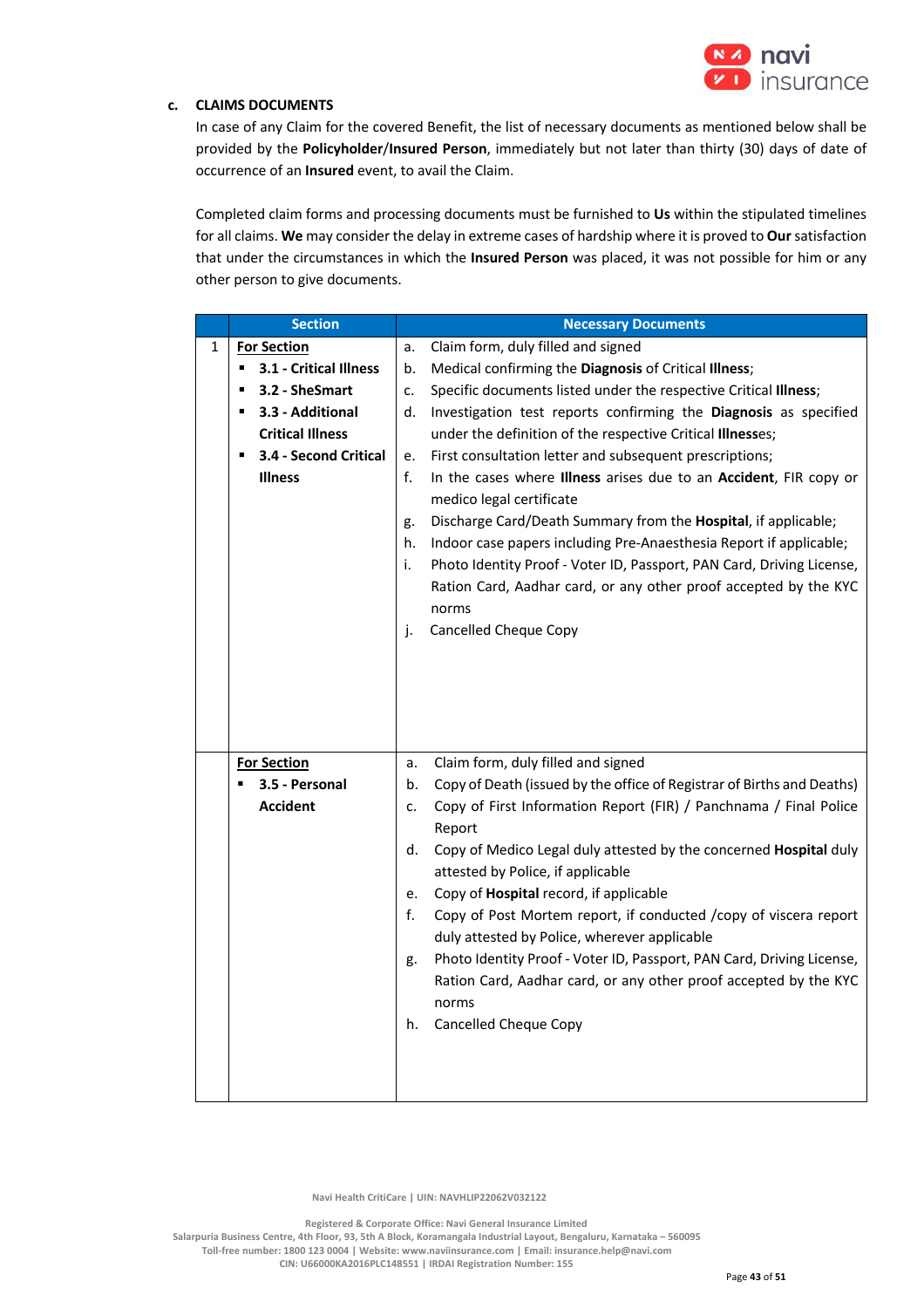

## **c. CLAIMS DOCUMENTS**

In case of any Claim for the covered Benefit, the list of necessary documents as mentioned below shall be provided by the **Policyholder**/**Insured Person**, immediately but not later than thirty (30) days of date of occurrence of an **Insured** event, to avail the Claim.

Completed claim forms and processing documents must be furnished to **Us** within the stipulated timelines for all claims. **We** may consider the delay in extreme cases of hardship where it is proved to **Our** satisfaction that under the circumstances in which the **Insured Person** was placed, it was not possible for him or any other person to give documents.

| <b>Section</b> |                             | <b>Necessary Documents</b>                                                                                   |
|----------------|-----------------------------|--------------------------------------------------------------------------------------------------------------|
| 1              | <b>For Section</b>          | Claim form, duly filled and signed<br>a.                                                                     |
|                | 3.1 - Critical Illness<br>٠ | Medical confirming the Diagnosis of Critical Illness;<br>b.                                                  |
|                | 3.2 - SheSmart              | Specific documents listed under the respective Critical Illness;<br>c.                                       |
|                | 3.3 - Additional<br>п       | Investigation test reports confirming the Diagnosis as specified<br>d.                                       |
|                | <b>Critical Illness</b>     | under the definition of the respective Critical Illnesses;                                                   |
|                | 3.4 - Second Critical<br>٠  | First consultation letter and subsequent prescriptions;<br>e.                                                |
|                | <b>Illness</b>              | f.<br>In the cases where Illness arises due to an Accident, FIR copy or<br>medico legal certificate          |
|                |                             | Discharge Card/Death Summary from the Hospital, if applicable;<br>g.                                         |
|                |                             | Indoor case papers including Pre-Anaesthesia Report if applicable;<br>h.                                     |
|                |                             | i.<br>Photo Identity Proof - Voter ID, Passport, PAN Card, Driving License,                                  |
|                |                             | Ration Card, Aadhar card, or any other proof accepted by the KYC                                             |
|                |                             | norms                                                                                                        |
|                |                             | <b>Cancelled Cheque Copy</b><br>j.                                                                           |
|                |                             |                                                                                                              |
|                |                             |                                                                                                              |
|                |                             |                                                                                                              |
|                |                             |                                                                                                              |
|                |                             |                                                                                                              |
|                | <b>For Section</b>          | Claim form, duly filled and signed<br>a.                                                                     |
|                | 3.5 - Personal              | Copy of Death (issued by the office of Registrar of Births and Deaths)<br>b.                                 |
|                | <b>Accident</b>             | Copy of First Information Report (FIR) / Panchnama / Final Police<br>c.<br>Report                            |
|                |                             | Copy of Medico Legal duly attested by the concerned Hospital duly<br>d.<br>attested by Police, if applicable |
|                |                             | Copy of Hospital record, if applicable<br>e.                                                                 |
|                |                             | Copy of Post Mortem report, if conducted /copy of viscera report<br>f.                                       |
|                |                             | duly attested by Police, wherever applicable                                                                 |
|                |                             | Photo Identity Proof - Voter ID, Passport, PAN Card, Driving License,<br>g.                                  |
|                |                             | Ration Card, Aadhar card, or any other proof accepted by the KYC<br>norms                                    |
|                |                             | Cancelled Cheque Copy<br>h.                                                                                  |
|                |                             |                                                                                                              |
|                |                             |                                                                                                              |
|                |                             |                                                                                                              |

 **Navi Health CritiCare | UIN: NAVHLIP22062V032122**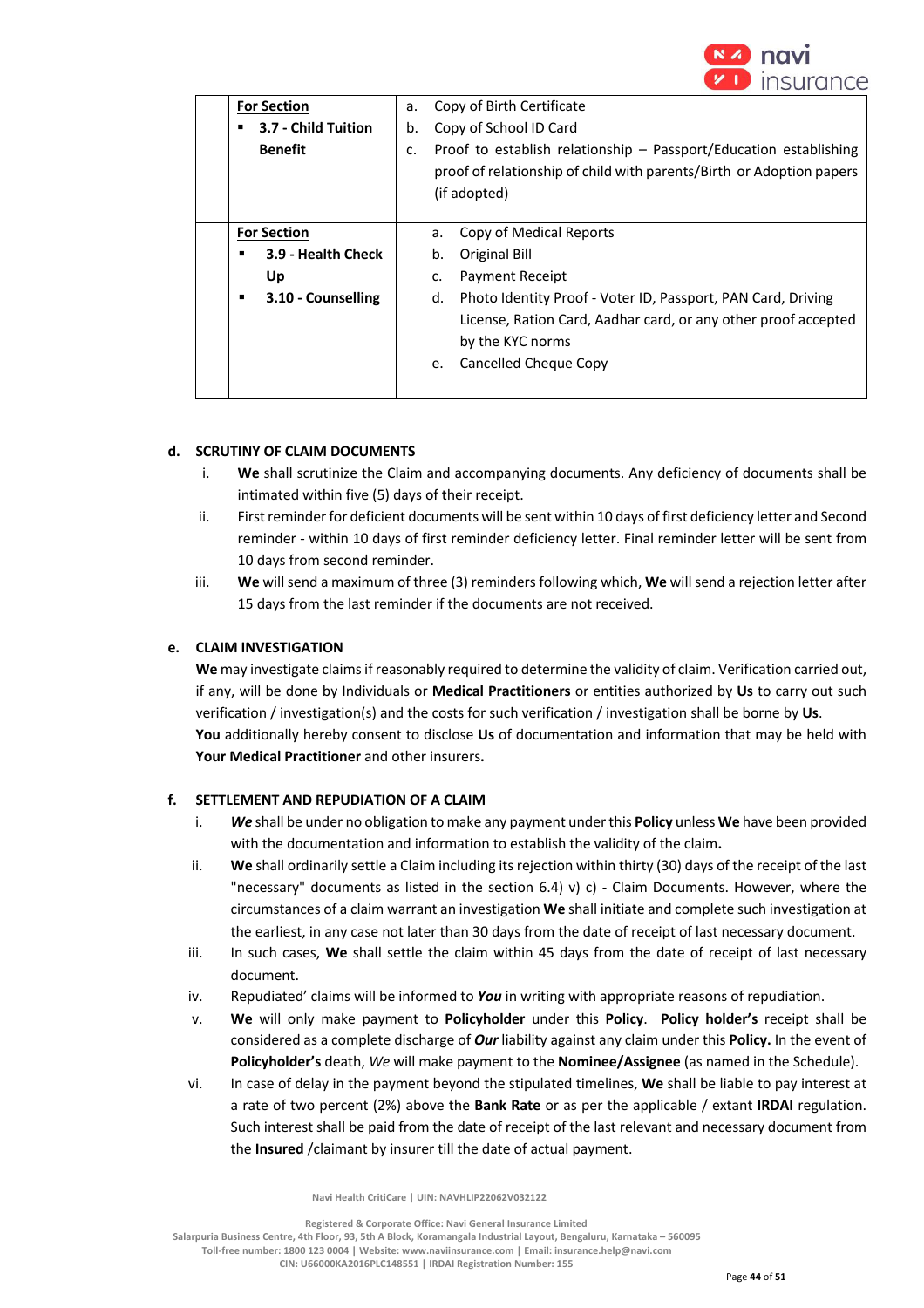

| <b>For Section</b> | a.                  |                                                                                                                                                           | Copy of Birth Certificate                                                                                                                                                   |
|--------------------|---------------------|-----------------------------------------------------------------------------------------------------------------------------------------------------------|-----------------------------------------------------------------------------------------------------------------------------------------------------------------------------|
|                    | 3.7 - Child Tuition | Copy of School ID Card<br>b.                                                                                                                              |                                                                                                                                                                             |
| <b>Benefit</b>     | c.                  | Proof to establish relationship - Passport/Education establishing<br>proof of relationship of child with parents/Birth or Adoption papers<br>(if adopted) |                                                                                                                                                                             |
| <b>For Section</b> |                     | a.                                                                                                                                                        | Copy of Medical Reports                                                                                                                                                     |
| ▪                  | 3.9 - Health Check  | b.                                                                                                                                                        | Original Bill                                                                                                                                                               |
| Up                 |                     | c.                                                                                                                                                        | <b>Payment Receipt</b>                                                                                                                                                      |
| ٠                  | 3.10 - Counselling  | d.<br>e.                                                                                                                                                  | Photo Identity Proof - Voter ID, Passport, PAN Card, Driving<br>License, Ration Card, Aadhar card, or any other proof accepted<br>by the KYC norms<br>Cancelled Cheque Copy |
|                    |                     |                                                                                                                                                           |                                                                                                                                                                             |

## **d. SCRUTINY OF CLAIM DOCUMENTS**

- i. **We** shall scrutinize the Claim and accompanying documents. Any deficiency of documents shall be intimated within five (5) days of their receipt.
- ii. First reminder for deficient documents will be sent within 10 days of first deficiency letter and Second reminder - within 10 days of first reminder deficiency letter. Final reminder letter will be sent from 10 days from second reminder.
- iii. **We** will send a maximum of three (3) reminders following which, **We** will send a rejection letter after 15 days from the last reminder if the documents are not received.

# **e. CLAIM INVESTIGATION**

**We** may investigate claims if reasonably required to determine the validity of claim. Verification carried out, if any, will be done by Individuals or **Medical Practitioners** or entities authorized by **Us** to carry out such verification / investigation(s) and the costs for such verification / investigation shall be borne by **Us**. **You** additionally hereby consent to disclose **Us** of documentation and information that may be held with **Your Medical Practitioner** and other insurers**.**

## **f. SETTLEMENT AND REPUDIATION OF A CLAIM**

- i. *We* shall be under no obligation to make any payment under this **Policy** unless **We** have been provided with the documentation and information to establish the validity of the claim**.**
- ii. **We** shall ordinarily settle a Claim including its rejection within thirty (30) days of the receipt of the last "necessary" documents as listed in the section  $6.4$ ) v) c) - Claim Documents. However, where the circumstances of a claim warrant an investigation **We** shall initiate and complete such investigation at the earliest, in any case not later than 30 days from the date of receipt of last necessary document.
- iii. In such cases, **We** shall settle the claim within 45 days from the date of receipt of last necessary document.
- iv. Repudiated' claims will be informed to *You* in writing with appropriate reasons of repudiation.
- v. **We** will only make payment to **Policyholder** under this **Policy**. **Policy holder's** receipt shall be considered as a complete discharge of *Our* liability against any claim under this **Policy.** In the event of **Policyholder's** death, *We* will make payment to the **Nominee/Assignee** (as named in the Schedule).
- vi. In case of delay in the payment beyond the stipulated timelines, **We** shall be liable to pay interest at a rate of two percent (2%) above the **Bank Rate** or as per the applicable / extant **IRDAI** regulation. Such interest shall be paid from the date of receipt of the last relevant and necessary document from the **Insured** /claimant by insurer till the date of actual payment.

 **Navi Health CritiCare | UIN: NAVHLIP22062V032122**

 **Registered & Corporate Office: Navi General Insurance Limited Salarpuria Business Centre, 4th Floor, 93, 5th A Block, Koramangala Industrial Layout, Bengaluru, Karnataka – 560095 Toll-free number: 1800 123 0004 | Website: www.naviinsurance.com | Email: insurance.help@navi.com** 

**CIN: U66000KA2016PLC148551 | IRDAI Registration Number: 155**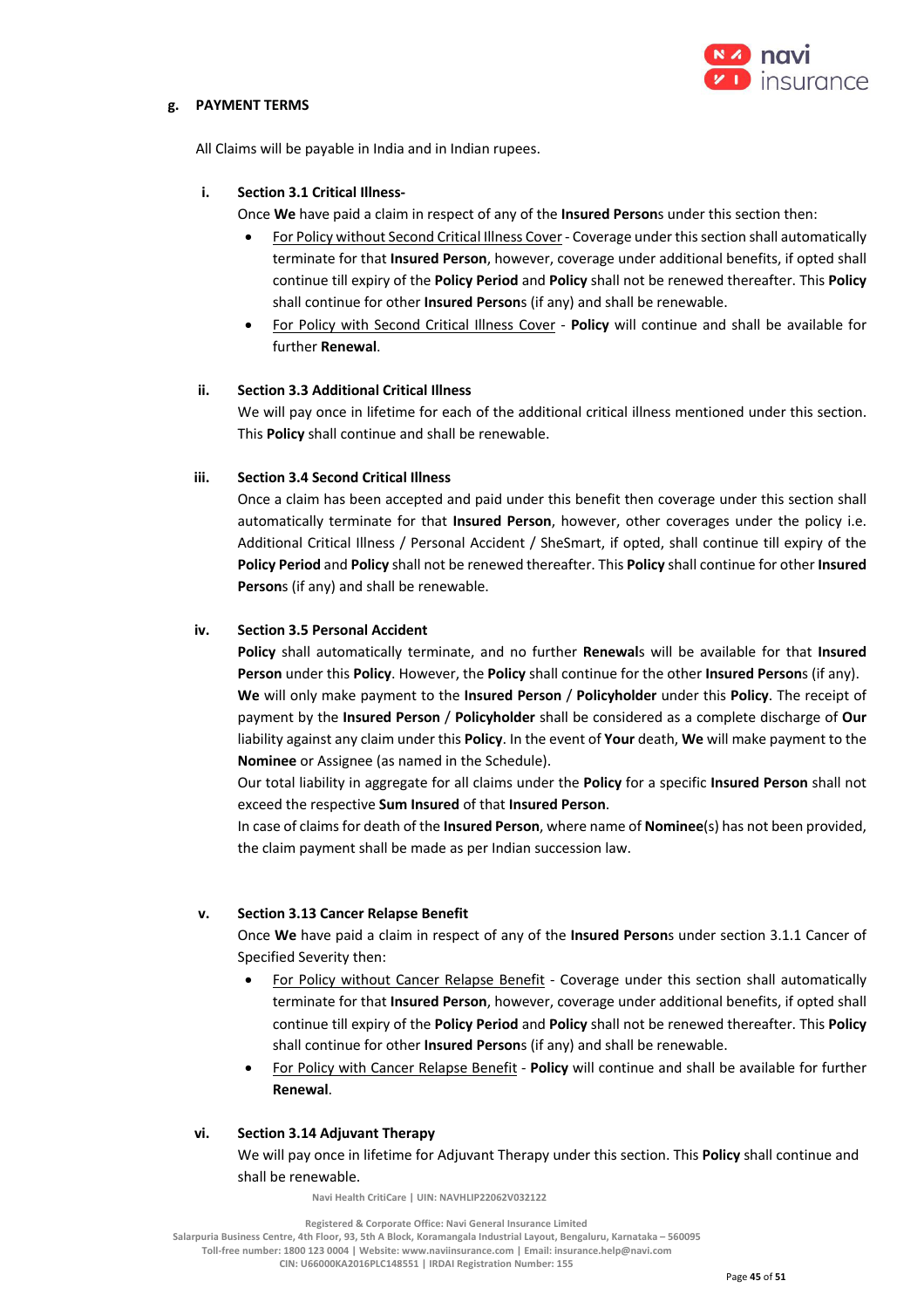

## **g. PAYMENT TERMS**

All Claims will be payable in India and in Indian rupees.

### **i. Section 3.1 Critical Illness-**

Once **We** have paid a claim in respect of any of the **Insured Person**s under this section then:

- For Policy without Second Critical Illness Cover- Coverage under this section shall automatically terminate for that **Insured Person**, however, coverage under additional benefits, if opted shall continue till expiry of the **Policy Period** and **Policy** shall not be renewed thereafter. This **Policy**  shall continue for other **Insured Person**s (if any) and shall be renewable.
- For Policy with Second Critical Illness Cover **Policy** will continue and shall be available for further **Renewal**.

### **ii. Section 3.3 Additional Critical Illness**

We will pay once in lifetime for each of the additional critical illness mentioned under this section. This **Policy** shall continue and shall be renewable.

### **iii. Section 3.4 Second Critical Illness**

Once a claim has been accepted and paid under this benefit then coverage under this section shall automatically terminate for that **Insured Person**, however, other coverages under the policy i.e. Additional Critical Illness / Personal Accident / SheSmart, if opted, shall continue till expiry of the **Policy Period** and **Policy** shall not be renewed thereafter. This **Policy** shall continue for other **Insured Person**s (if any) and shall be renewable.

## **iv. Section 3.5 Personal Accident**

**Policy** shall automatically terminate, and no further **Renewal**s will be available for that **Insured Person** under this **Policy**. However, the **Policy** shall continue for the other **Insured Person**s (if any). **We** will only make payment to the **Insured Person** / **Policyholder** under this **Policy**. The receipt of payment by the **Insured Person** / **Policyholder** shall be considered as a complete discharge of **Our**  liability against any claim under this **Policy**. In the event of **Your** death, **We** will make payment to the **Nominee** or Assignee (as named in the Schedule).

Our total liability in aggregate for all claims under the **Policy** for a specific **Insured Person** shall not exceed the respective **Sum Insured** of that **Insured Person**.

In case of claims for death of the **Insured Person**, where name of **Nominee**(s) has not been provided, the claim payment shall be made as per Indian succession law.

#### **v. Section 3.13 Cancer Relapse Benefit**

Once **We** have paid a claim in respect of any of the **Insured Person**s under section 3.1.1 Cancer of Specified Severity then:

- For Policy without Cancer Relapse Benefit Coverage under this section shall automatically terminate for that **Insured Person**, however, coverage under additional benefits, if opted shall continue till expiry of the **Policy Period** and **Policy** shall not be renewed thereafter. This **Policy**  shall continue for other **Insured Person**s (if any) and shall be renewable.
- For Policy with Cancer Relapse Benefit **Policy** will continue and shall be available for further **Renewal**.

#### **vi. Section 3.14 Adjuvant Therapy**

We will pay once in lifetime for Adjuvant Therapy under this section. This **Policy** shall continue and shall be renewable.

 **Navi Health CritiCare | UIN: NAVHLIP22062V032122**

 **Registered & Corporate Office: Navi General Insurance Limited Salarpuria Business Centre, 4th Floor, 93, 5th A Block, Koramangala Industrial Layout, Bengaluru, Karnataka – 560095** 

**Toll-free number: 1800 123 0004 | Website: www.naviinsurance.com | Email: insurance.help@navi.com** 

**CIN: U66000KA2016PLC148551 | IRDAI Registration Number: 155**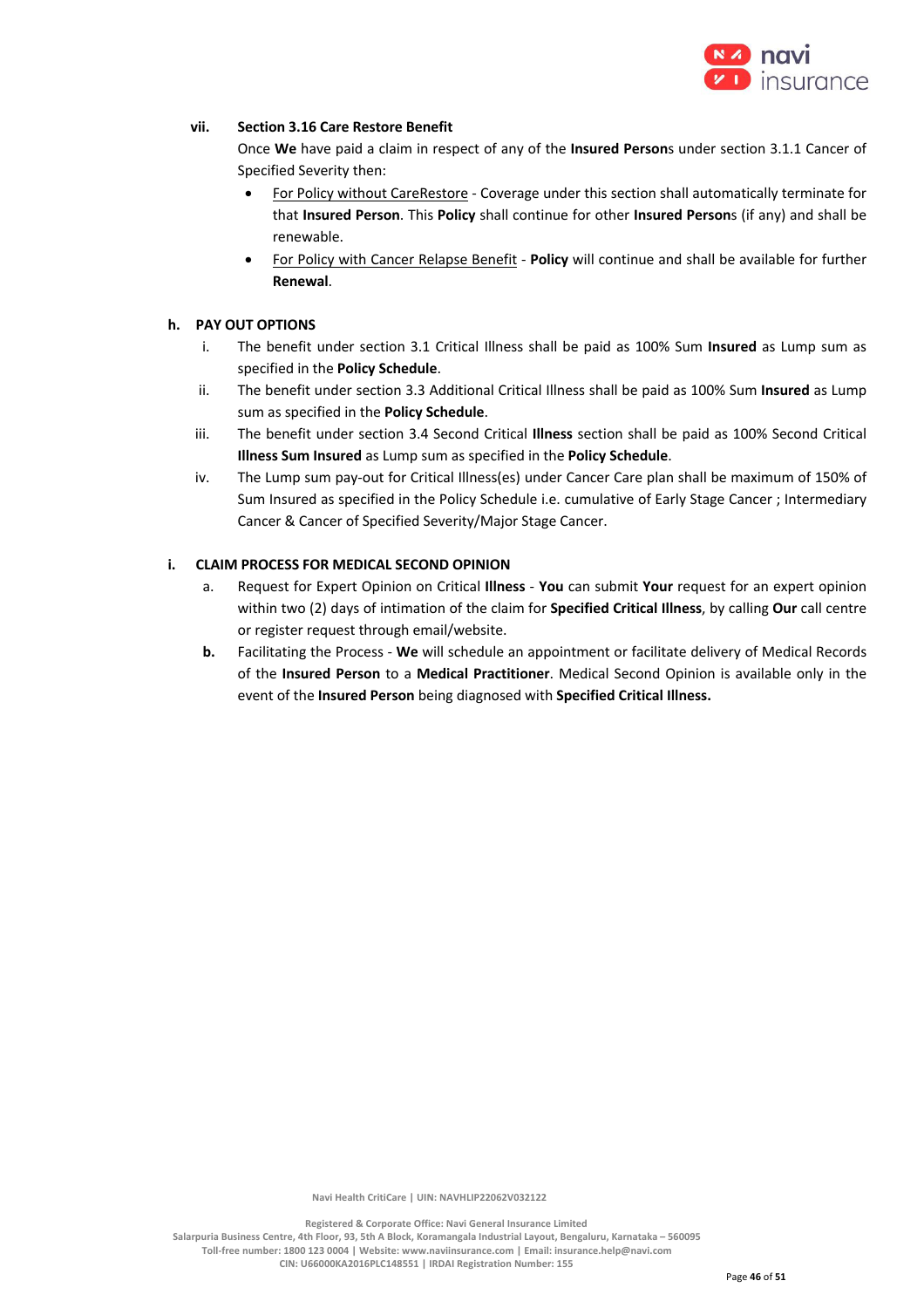

## **vii. Section 3.16 Care Restore Benefit**

Once **We** have paid a claim in respect of any of the **Insured Person**s under section 3.1.1 Cancer of Specified Severity then:

- For Policy without CareRestore Coverage under this section shall automatically terminate for that **Insured Person**. This **Policy** shall continue for other **Insured Person**s (if any) and shall be renewable.
- For Policy with Cancer Relapse Benefit **Policy** will continue and shall be available for further **Renewal**.

## **h. PAY OUT OPTIONS**

- i. The benefit under section 3.1 Critical Illness shall be paid as 100% Sum **Insured** as Lump sum as specified in the **Policy Schedule**.
- ii. The benefit under section 3.3 Additional Critical Illness shall be paid as 100% Sum **Insured** as Lump sum as specified in the **Policy Schedule**.
- iii. The benefit under section 3.4 Second Critical **Illness** section shall be paid as 100% Second Critical **Illness Sum Insured** as Lump sum as specified in the **Policy Schedule**.
- iv. The Lump sum pay-out for Critical Illness(es) under Cancer Care plan shall be maximum of 150% of Sum Insured as specified in the Policy Schedule i.e. cumulative of Early Stage Cancer ; Intermediary Cancer & Cancer of Specified Severity/Major Stage Cancer.

## **i. CLAIM PROCESS FOR MEDICAL SECOND OPINION**

- a. Request for Expert Opinion on Critical **Illness You** can submit **Your** request for an expert opinion within two (2) days of intimation of the claim for **Specified Critical Illness**, by calling **Our** call centre or register request through email/website.
- **b.** Facilitating the Process **We** will schedule an appointment or facilitate delivery of Medical Records of the **Insured Person** to a **Medical Practitioner**. Medical Second Opinion is available only in the event of the **Insured Person** being diagnosed with **Specified Critical Illness.**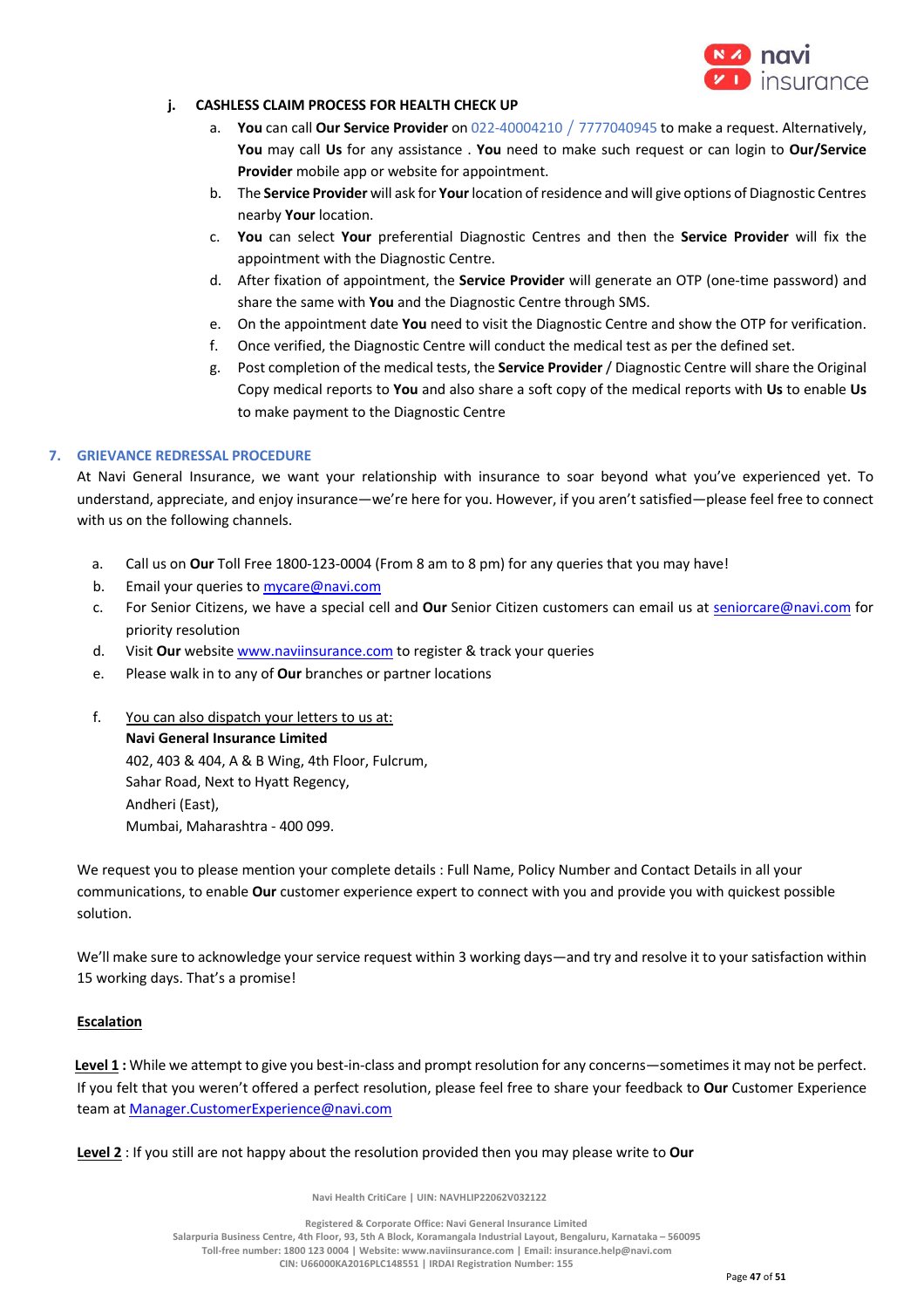

## **j. CASHLESS CLAIM PROCESS FOR HEALTH CHECK UP**

- a. **You** can call **Our Service Provider** on 022-40004210 / 7777040945 to make a request. Alternatively, **You** may call **Us** for any assistance . **You** need to make such request or can login to **Our/Service Provider** mobile app or website for appointment.
- b. The **Service Provider** will ask for **Your**location of residence and will give options of Diagnostic Centres nearby **Your** location.
- c. **You** can select **Your** preferential Diagnostic Centres and then the **Service Provider** will fix the appointment with the Diagnostic Centre.
- d. After fixation of appointment, the **Service Provider** will generate an OTP (one-time password) and share the same with **You** and the Diagnostic Centre through SMS.
- e. On the appointment date **You** need to visit the Diagnostic Centre and show the OTP for verification.
- f. Once verified, the Diagnostic Centre will conduct the medical test as per the defined set.
- g. Post completion of the medical tests, the **Service Provider** / Diagnostic Centre will share the Original Copy medical reports to **You** and also share a soft copy of the medical reports with **Us** to enable **Us** to make payment to the Diagnostic Centre

## **7. GRIEVANCE REDRESSAL PROCEDURE**

At Navi General Insurance, we want your relationship with insurance to soar beyond what you've experienced yet. To understand, appreciate, and enjoy insurance—we're here for you. However, if you aren't satisfied—please feel free to connect with us on the following channels.

- a. Call us on **Our** Toll Free 1800-123-0004 (From 8 am to 8 pm) for any queries that you may have!
- b. Email your queries to mycare@navi.com
- c. For Senior Citizens, we have a special cell and **Our** Senior Citizen customers can email us at seniorcare@navi.com for priority resolution
- d. Visit **Our** website www.naviinsurance.com to register & track your queries
- e. Please walk in to any of **Our** branches or partner locations
- f. You can also dispatch your letters to us at:

**Navi General Insurance Limited**

402, 403 & 404, A & B Wing, 4th Floor, Fulcrum, Sahar Road, Next to Hyatt Regency, Andheri (East), Mumbai, Maharashtra - 400 099.

We request you to please mention your complete details : Full Name, Policy Number and Contact Details in all your communications, to enable **Our** customer experience expert to connect with you and provide you with quickest possible solution.

We'll make sure to acknowledge your service request within 3 working days—and try and resolve it to your satisfaction within 15 working days. That's a promise!

#### **Escalation**

**Level 1 :** While we attempt to give you best-in-class and prompt resolution for any concerns—sometimes it may not be perfect. If you felt that you weren't offered a perfect resolution, please feel free to share your feedback to **Our** Customer Experience team at Manager.CustomerExperience@navi.com

**Level 2** : If you still are not happy about the resolution provided then you may please write to **Our** 

 **Navi Health CritiCare | UIN: NAVHLIP22062V032122**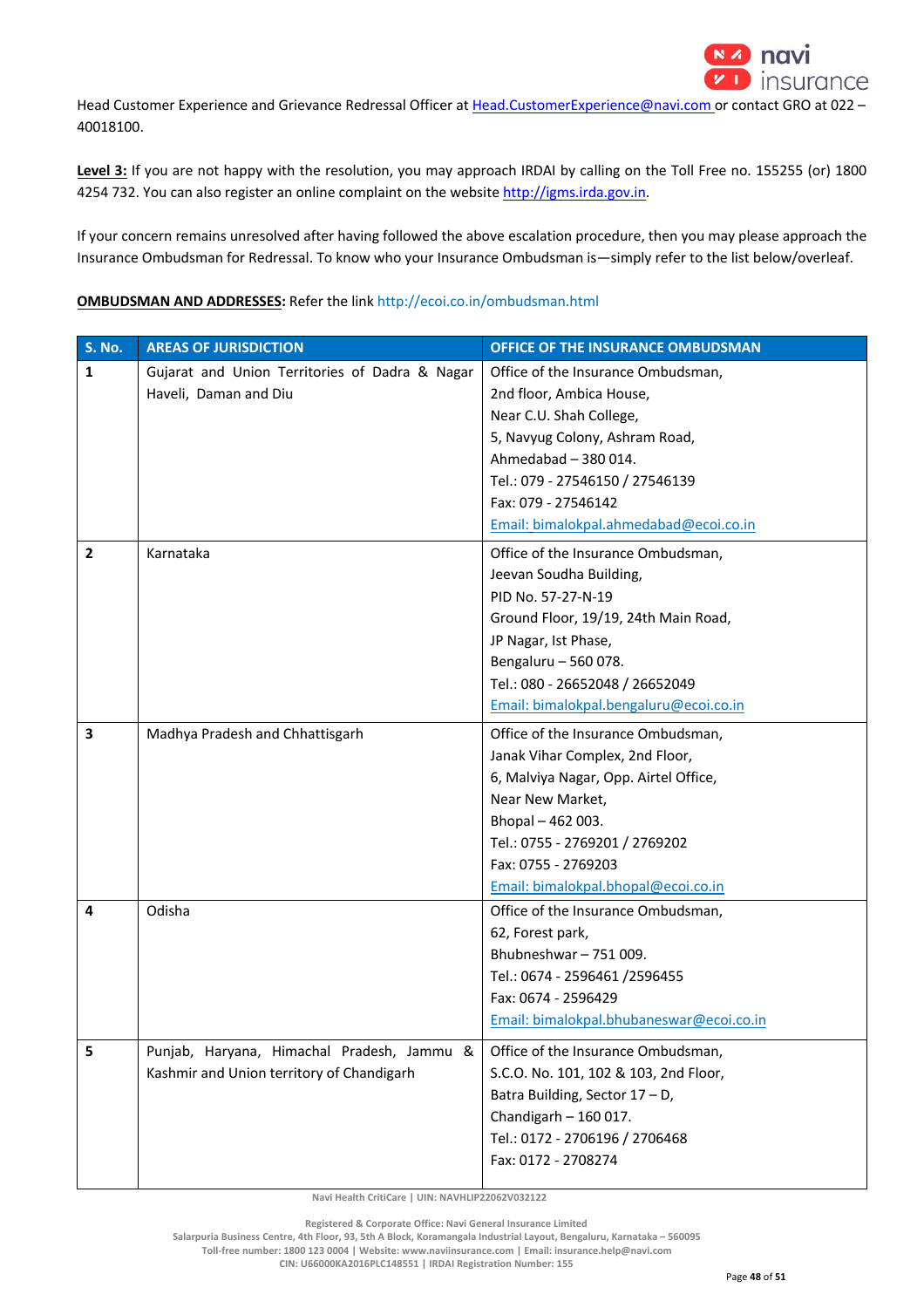

Head Customer Experience and Grievance Redressal Officer at Head.CustomerExperience@navi.com or contact GRO at 022 -40018100.

Level 3: If you are not happy with the resolution, you may approach IRDAI by calling on the Toll Free no. 155255 (or) 1800 4254 732. You can also register an online complaint on the website http://igms.irda.gov.in.

If your concern remains unresolved after having followed the above escalation procedure, then you may please approach the Insurance Ombudsman for Redressal. To know who your Insurance Ombudsman is—simply refer to the list below/overleaf.

## **OMBUDSMAN AND ADDRESSES:** Refer the link http://ecoi.co.in/ombudsman.html

| <b>S. No.</b>  | <b>AREAS OF JURISDICTION</b>                   | OFFICE OF THE INSURANCE OMBUDSMAN        |
|----------------|------------------------------------------------|------------------------------------------|
| $\mathbf{1}$   | Gujarat and Union Territories of Dadra & Nagar | Office of the Insurance Ombudsman,       |
|                | Haveli, Daman and Diu                          | 2nd floor, Ambica House,                 |
|                |                                                | Near C.U. Shah College,                  |
|                |                                                | 5, Navyug Colony, Ashram Road,           |
|                |                                                | Ahmedabad - 380 014.                     |
|                |                                                | Tel.: 079 - 27546150 / 27546139          |
|                |                                                | Fax: 079 - 27546142                      |
|                |                                                | Email: bimalokpal.ahmedabad@ecoi.co.in   |
| $\overline{2}$ | Karnataka                                      | Office of the Insurance Ombudsman,       |
|                |                                                | Jeevan Soudha Building,                  |
|                |                                                | PID No. 57-27-N-19                       |
|                |                                                | Ground Floor, 19/19, 24th Main Road,     |
|                |                                                | JP Nagar, Ist Phase,                     |
|                |                                                | Bengaluru - 560 078.                     |
|                |                                                | Tel.: 080 - 26652048 / 26652049          |
|                |                                                | Email: bimalokpal.bengaluru@ecoi.co.in   |
| 3              | Madhya Pradesh and Chhattisgarh                | Office of the Insurance Ombudsman,       |
|                |                                                | Janak Vihar Complex, 2nd Floor,          |
|                |                                                | 6, Malviya Nagar, Opp. Airtel Office,    |
|                |                                                | Near New Market,                         |
|                |                                                | Bhopal-462003.                           |
|                |                                                | Tel.: 0755 - 2769201 / 2769202           |
|                |                                                | Fax: 0755 - 2769203                      |
|                |                                                | Email: bimalokpal.bhopal@ecoi.co.in      |
| 4              | Odisha                                         | Office of the Insurance Ombudsman,       |
|                |                                                | 62, Forest park,                         |
|                |                                                | Bhubneshwar-751009.                      |
|                |                                                | Tel.: 0674 - 2596461 /2596455            |
|                |                                                | Fax: 0674 - 2596429                      |
|                |                                                | Email: bimalokpal.bhubaneswar@ecoi.co.in |
| 5              | Punjab, Haryana, Himachal Pradesh, Jammu &     | Office of the Insurance Ombudsman,       |
|                | Kashmir and Union territory of Chandigarh      | S.C.O. No. 101, 102 & 103, 2nd Floor,    |
|                |                                                | Batra Building, Sector 17 - D,           |
|                |                                                | Chandigarh $-160017$ .                   |
|                |                                                | Tel.: 0172 - 2706196 / 2706468           |
|                |                                                | Fax: 0172 - 2708274                      |

 **Navi Health CritiCare | UIN: NAVHLIP22062V032122**

 **Registered & Corporate Office: Navi General Insurance Limited**

**Salarpuria Business Centre, 4th Floor, 93, 5th A Block, Koramangala Industrial Layout, Bengaluru, Karnataka – 560095** 

**Toll-free number: 1800 123 0004 | Website: www.naviinsurance.com | Email: insurance.help@navi.com**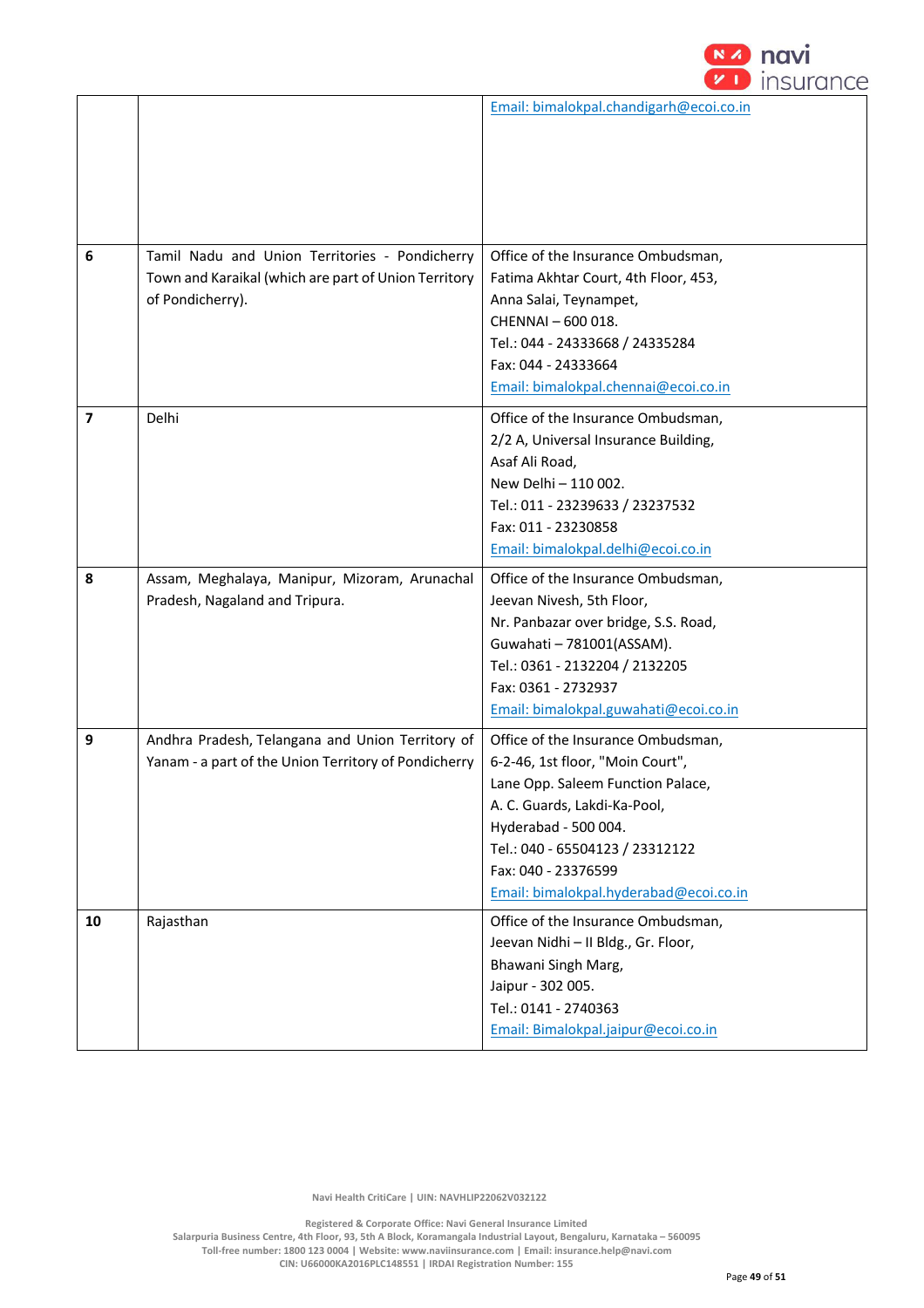

| 6                       | Tamil Nadu and Union Territories - Pondicherry<br>Town and Karaikal (which are part of Union Territory<br>of Pondicherry). | Email: bimalokpal.chandigarh@ecoi.co.in<br>Office of the Insurance Ombudsman,<br>Fatima Akhtar Court, 4th Floor, 453,<br>Anna Salai, Teynampet,<br>CHENNAI - 600 018.<br>Tel.: 044 - 24333668 / 24335284<br>Fax: 044 - 24333664<br>Email: bimalokpal.chennai@ecoi.co.in |
|-------------------------|----------------------------------------------------------------------------------------------------------------------------|-------------------------------------------------------------------------------------------------------------------------------------------------------------------------------------------------------------------------------------------------------------------------|
| $\overline{\mathbf{z}}$ | Delhi                                                                                                                      | Office of the Insurance Ombudsman,<br>2/2 A, Universal Insurance Building,<br>Asaf Ali Road,<br>New Delhi - 110 002.<br>Tel.: 011 - 23239633 / 23237532<br>Fax: 011 - 23230858<br>Email: bimalokpal.delhi@ecoi.co.in                                                    |
| 8                       | Assam, Meghalaya, Manipur, Mizoram, Arunachal<br>Pradesh, Nagaland and Tripura.                                            | Office of the Insurance Ombudsman,<br>Jeevan Nivesh, 5th Floor,<br>Nr. Panbazar over bridge, S.S. Road,<br>Guwahati - 781001(ASSAM).<br>Tel.: 0361 - 2132204 / 2132205<br>Fax: 0361 - 2732937<br>Email: bimalokpal.guwahati@ecoi.co.in                                  |
| 9                       | Andhra Pradesh, Telangana and Union Territory of<br>Yanam - a part of the Union Territory of Pondicherry                   | Office of the Insurance Ombudsman,<br>6-2-46, 1st floor, "Moin Court",<br>Lane Opp. Saleem Function Palace,<br>A. C. Guards, Lakdi-Ka-Pool,<br>Hyderabad - 500 004.<br>Tel.: 040 - 65504123 / 23312122<br>Fax: 040 - 23376599<br>Email: bimalokpal.hyderabad@ecoi.co.in |
| 10                      | Rajasthan                                                                                                                  | Office of the Insurance Ombudsman,<br>Jeevan Nidhi - II Bldg., Gr. Floor,<br>Bhawani Singh Marg,<br>Jaipur - 302 005.<br>Tel.: 0141 - 2740363<br>Email: Bimalokpal.jaipur@ecoi.co.in                                                                                    |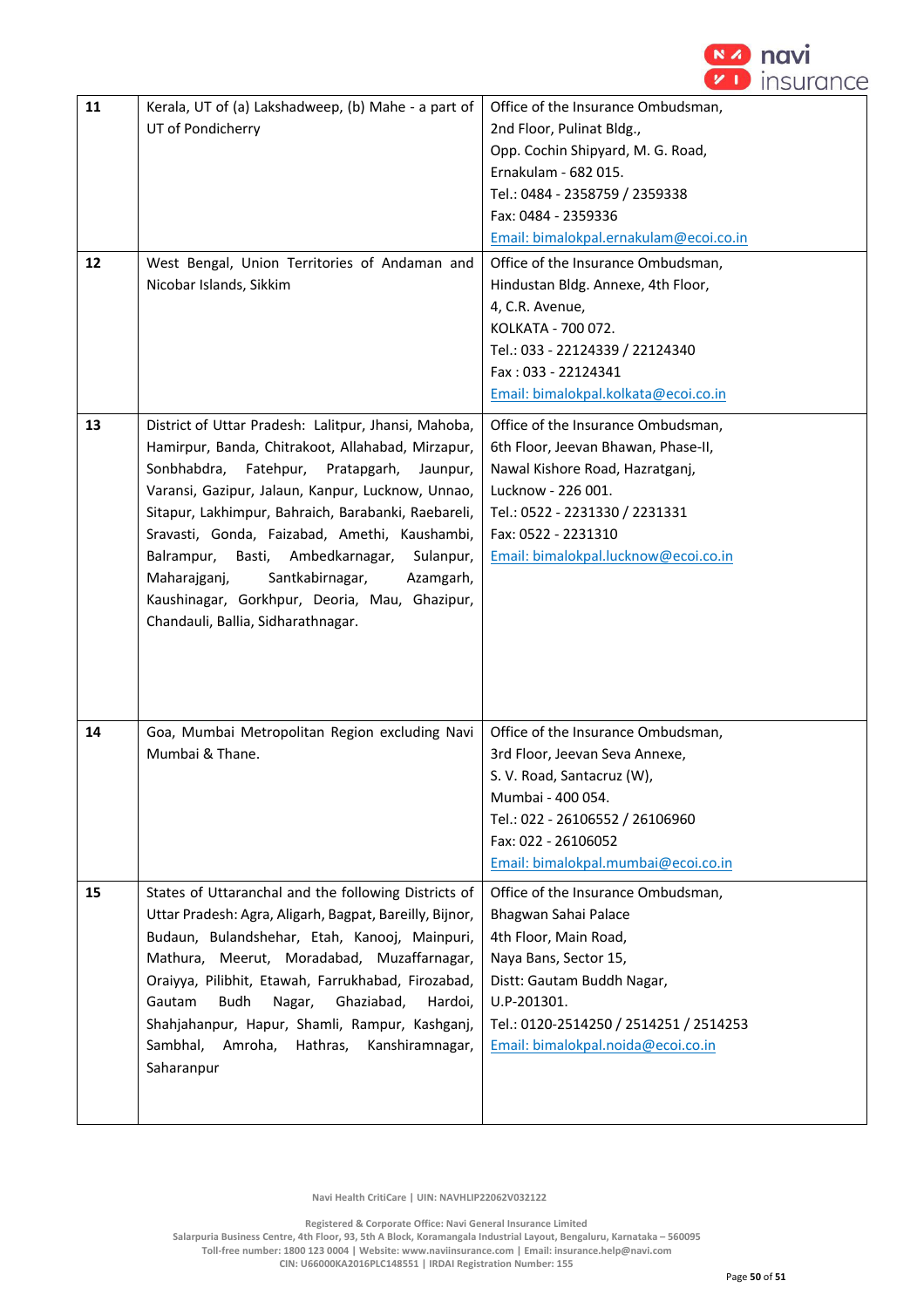

| 11<br>12 | Kerala, UT of (a) Lakshadweep, (b) Mahe - a part of<br>UT of Pondicherry<br>West Bengal, Union Territories of Andaman and<br>Nicobar Islands, Sikkim                                                                                                                                                                                                                                                                                                                                                                  | Office of the Insurance Ombudsman,<br>2nd Floor, Pulinat Bldg.,<br>Opp. Cochin Shipyard, M. G. Road,<br>Ernakulam - 682 015.<br>Tel.: 0484 - 2358759 / 2359338<br>Fax: 0484 - 2359336<br>Email: bimalokpal.ernakulam@ecoi.co.in<br>Office of the Insurance Ombudsman,<br>Hindustan Bldg. Annexe, 4th Floor,<br>4, C.R. Avenue,<br>KOLKATA - 700 072.<br>Tel.: 033 - 22124339 / 22124340<br>Fax: 033 - 22124341<br>Email: bimalokpal.kolkata@ecoi.co.in |
|----------|-----------------------------------------------------------------------------------------------------------------------------------------------------------------------------------------------------------------------------------------------------------------------------------------------------------------------------------------------------------------------------------------------------------------------------------------------------------------------------------------------------------------------|--------------------------------------------------------------------------------------------------------------------------------------------------------------------------------------------------------------------------------------------------------------------------------------------------------------------------------------------------------------------------------------------------------------------------------------------------------|
| 13       | District of Uttar Pradesh: Lalitpur, Jhansi, Mahoba,<br>Hamirpur, Banda, Chitrakoot, Allahabad, Mirzapur,<br>Sonbhabdra, Fatehpur,<br>Pratapgarh,<br>Jaunpur,<br>Varansi, Gazipur, Jalaun, Kanpur, Lucknow, Unnao,<br>Sitapur, Lakhimpur, Bahraich, Barabanki, Raebareli,<br>Sravasti, Gonda, Faizabad, Amethi, Kaushambi,<br>Balrampur,<br>Basti, Ambedkarnagar,<br>Sulanpur,<br>Santkabirnagar,<br>Maharajganj,<br>Azamgarh,<br>Kaushinagar, Gorkhpur, Deoria, Mau, Ghazipur,<br>Chandauli, Ballia, Sidharathnagar. | Office of the Insurance Ombudsman,<br>6th Floor, Jeevan Bhawan, Phase-II,<br>Nawal Kishore Road, Hazratganj,<br>Lucknow - 226 001.<br>Tel.: 0522 - 2231330 / 2231331<br>Fax: 0522 - 2231310<br>Email: bimalokpal.lucknow@ecoi.co.in                                                                                                                                                                                                                    |
| 14       | Goa, Mumbai Metropolitan Region excluding Navi<br>Mumbai & Thane.                                                                                                                                                                                                                                                                                                                                                                                                                                                     | Office of the Insurance Ombudsman,<br>3rd Floor, Jeevan Seva Annexe,<br>S. V. Road, Santacruz (W),<br>Mumbai - 400 054.<br>Tel.: 022 - 26106552 / 26106960<br>Fax: 022 - 26106052<br>Email: bimalokpal.mumbai@ecoi.co.in                                                                                                                                                                                                                               |
| 15       | States of Uttaranchal and the following Districts of<br>Uttar Pradesh: Agra, Aligarh, Bagpat, Bareilly, Bijnor,<br>Budaun, Bulandshehar, Etah, Kanooj, Mainpuri,<br>Mathura, Meerut, Moradabad, Muzaffarnagar,<br>Oraiyya, Pilibhit, Etawah, Farrukhabad, Firozabad,<br>Gautam<br>Budh<br>Ghaziabad,<br>Nagar,<br>Hardoi,<br>Shahjahanpur, Hapur, Shamli, Rampur, Kashganj,<br>Sambhal,<br>Hathras,<br>Amroha,<br>Kanshiramnagar,<br>Saharanpur                                                                       | Office of the Insurance Ombudsman,<br>Bhagwan Sahai Palace<br>4th Floor, Main Road,<br>Naya Bans, Sector 15,<br>Distt: Gautam Buddh Nagar,<br>U.P-201301.<br>Tel.: 0120-2514250 / 2514251 / 2514253<br>Email: bimalokpal.noida@ecoi.co.in                                                                                                                                                                                                              |